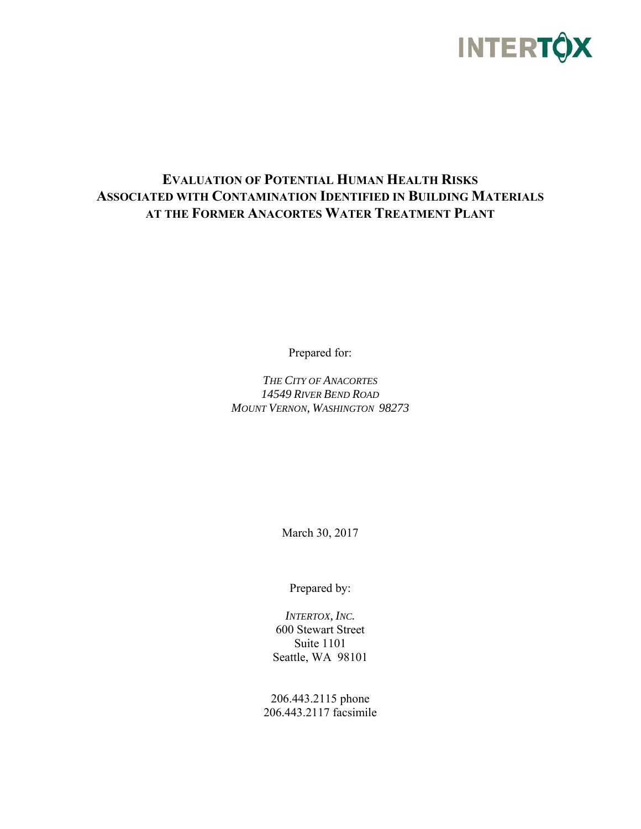

### **EVALUATION OF POTENTIAL HUMAN HEALTH RISKS ASSOCIATED WITH CONTAMINATION IDENTIFIED IN BUILDING MATERIALS AT THE FORMER ANACORTES WATER TREATMENT PLANT**

Prepared for:

*THE CITY OF ANACORTES 14549 RIVER BEND ROAD MOUNT VERNON, WASHINGTON 98273* 

March 30, 2017

Prepared by:

*INTERTOX, INC.*  600 Stewart Street Suite 1101 Seattle, WA 98101

206.443.2115 phone 206.443.2117 facsimile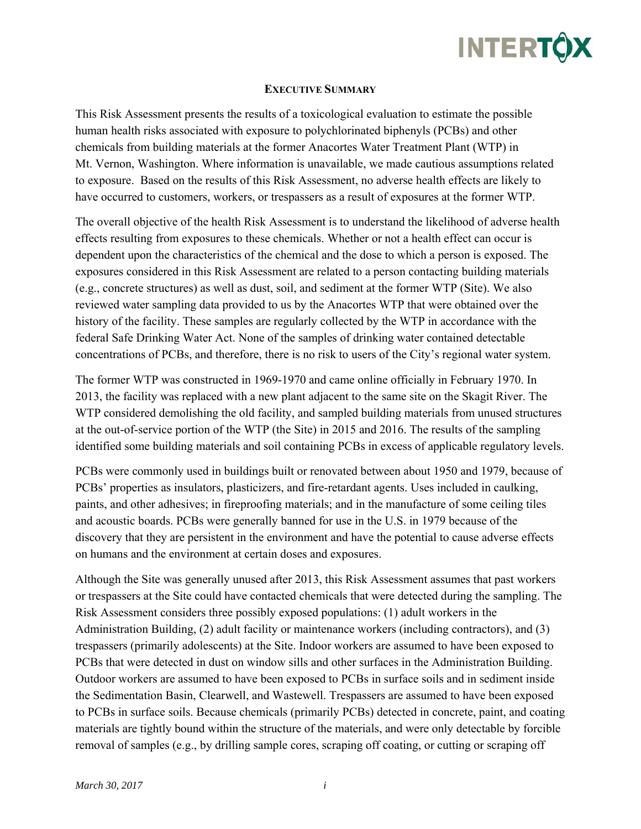

#### **EXECUTIVE SUMMARY**

This Risk Assessment presents the results of a toxicological evaluation to estimate the possible human health risks associated with exposure to polychlorinated biphenyls (PCBs) and other chemicals from building materials at the former Anacortes Water Treatment Plant (WTP) in Mt. Vernon, Washington. Where information is unavailable, we made cautious assumptions related to exposure. Based on the results of this Risk Assessment, no adverse health effects are likely to have occurred to customers, workers, or trespassers as a result of exposures at the former WTP.

The overall objective of the health Risk Assessment is to understand the likelihood of adverse health effects resulting from exposures to these chemicals. Whether or not a health effect can occur is dependent upon the characteristics of the chemical and the dose to which a person is exposed. The exposures considered in this Risk Assessment are related to a person contacting building materials (e.g., concrete structures) as well as dust, soil, and sediment at the former WTP (Site). We also reviewed water sampling data provided to us by the Anacortes WTP that were obtained over the history of the facility. These samples are regularly collected by the WTP in accordance with the federal Safe Drinking Water Act. None of the samples of drinking water contained detectable concentrations of PCBs, and therefore, there is no risk to users of the City's regional water system.

The former WTP was constructed in 1969-1970 and came online officially in February 1970. In 2013, the facility was replaced with a new plant adjacent to the same site on the Skagit River. The WTP considered demolishing the old facility, and sampled building materials from unused structures at the out-of-service portion of the WTP (the Site) in 2015 and 2016. The results of the sampling identified some building materials and soil containing PCBs in excess of applicable regulatory levels.

PCBs were commonly used in buildings built or renovated between about 1950 and 1979, because of PCBs' properties as insulators, plasticizers, and fire-retardant agents. Uses included in caulking, paints, and other adhesives; in fireproofing materials; and in the manufacture of some ceiling tiles and acoustic boards. PCBs were generally banned for use in the U.S. in 1979 because of the discovery that they are persistent in the environment and have the potential to cause adverse effects on humans and the environment at certain doses and exposures.

Although the Site was generally unused after 2013, this Risk Assessment assumes that past workers or trespassers at the Site could have contacted chemicals that were detected during the sampling. The Risk Assessment considers three possibly exposed populations: (1) adult workers in the Administration Building, (2) adult facility or maintenance workers (including contractors), and (3) trespassers (primarily adolescents) at the Site. Indoor workers are assumed to have been exposed to PCBs that were detected in dust on window sills and other surfaces in the Administration Building. Outdoor workers are assumed to have been exposed to PCBs in surface soils and in sediment inside the Sedimentation Basin, Clearwell, and Wastewell. Trespassers are assumed to have been exposed to PCBs in surface soils. Because chemicals (primarily PCBs) detected in concrete, paint, and coating materials are tightly bound within the structure of the materials, and were only detectable by forcible removal of samples (e.g., by drilling sample cores, scraping off coating, or cutting or scraping off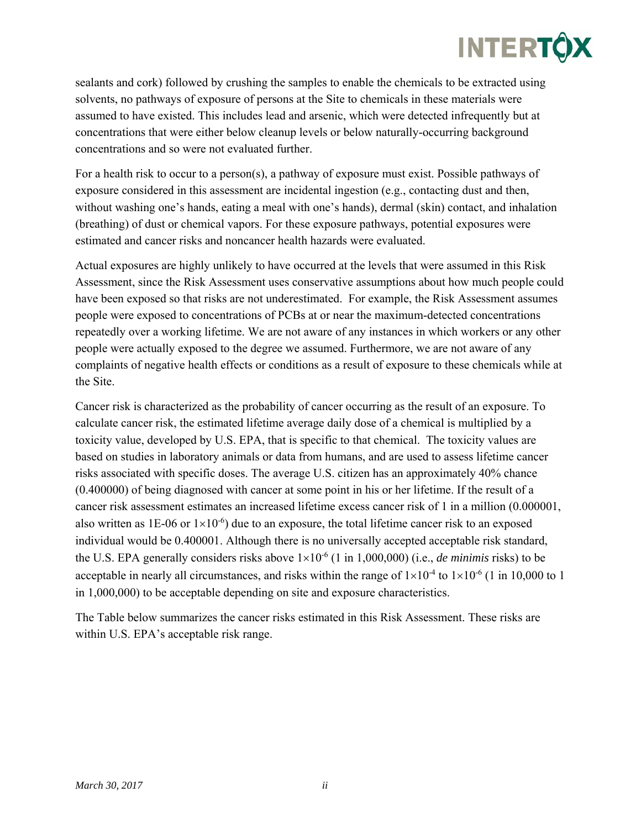

sealants and cork) followed by crushing the samples to enable the chemicals to be extracted using solvents, no pathways of exposure of persons at the Site to chemicals in these materials were assumed to have existed. This includes lead and arsenic, which were detected infrequently but at concentrations that were either below cleanup levels or below naturally-occurring background concentrations and so were not evaluated further.

For a health risk to occur to a person(s), a pathway of exposure must exist. Possible pathways of exposure considered in this assessment are incidental ingestion (e.g., contacting dust and then, without washing one's hands, eating a meal with one's hands), dermal (skin) contact, and inhalation (breathing) of dust or chemical vapors. For these exposure pathways, potential exposures were estimated and cancer risks and noncancer health hazards were evaluated.

Actual exposures are highly unlikely to have occurred at the levels that were assumed in this Risk Assessment, since the Risk Assessment uses conservative assumptions about how much people could have been exposed so that risks are not underestimated. For example, the Risk Assessment assumes people were exposed to concentrations of PCBs at or near the maximum-detected concentrations repeatedly over a working lifetime. We are not aware of any instances in which workers or any other people were actually exposed to the degree we assumed. Furthermore, we are not aware of any complaints of negative health effects or conditions as a result of exposure to these chemicals while at the Site.

Cancer risk is characterized as the probability of cancer occurring as the result of an exposure. To calculate cancer risk, the estimated lifetime average daily dose of a chemical is multiplied by a toxicity value, developed by U.S. EPA, that is specific to that chemical. The toxicity values are based on studies in laboratory animals or data from humans, and are used to assess lifetime cancer risks associated with specific doses. The average U.S. citizen has an approximately 40% chance (0.400000) of being diagnosed with cancer at some point in his or her lifetime. If the result of a cancer risk assessment estimates an increased lifetime excess cancer risk of 1 in a million (0.000001, also written as 1E-06 or  $1\times10^{-6}$ ) due to an exposure, the total lifetime cancer risk to an exposed individual would be 0.400001. Although there is no universally accepted acceptable risk standard, the U.S. EPA generally considers risks above  $1\times10^{-6}$  (1 in 1,000,000) (i.e., *de minimis* risks) to be acceptable in nearly all circumstances, and risks within the range of  $1\times10^{-4}$  to  $1\times10^{-6}$  (1 in 10,000 to 1 in 1,000,000) to be acceptable depending on site and exposure characteristics.

The Table below summarizes the cancer risks estimated in this Risk Assessment. These risks are within U.S. EPA's acceptable risk range.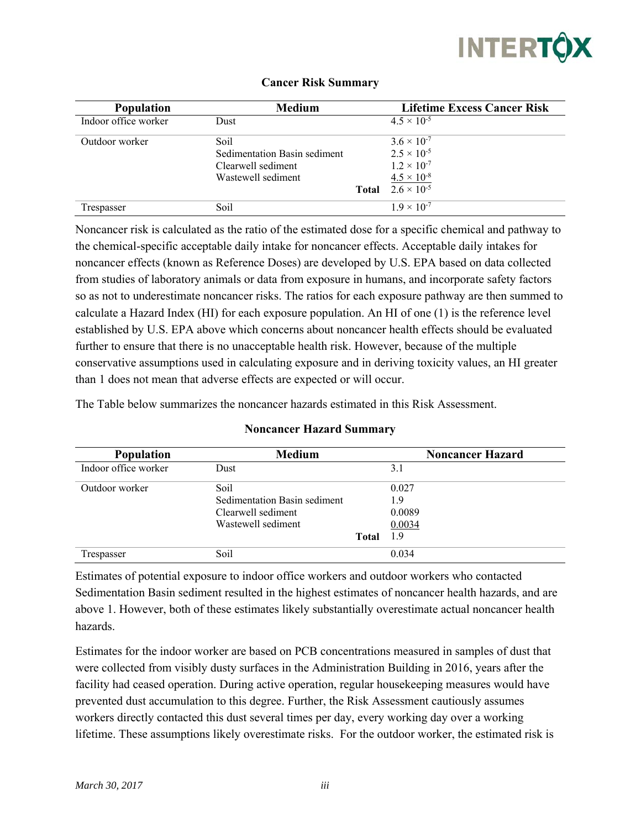

| <b>Population</b>    | <b>Medium</b>                |              | <b>Lifetime Excess Cancer Risk</b> |
|----------------------|------------------------------|--------------|------------------------------------|
| Indoor office worker | Dust                         |              | $4.5 \times 10^{-5}$               |
| Outdoor worker       | Soil                         |              | $3.6 \times 10^{-7}$               |
|                      | Sedimentation Basin sediment |              | $2.5 \times 10^{-5}$               |
|                      | Clearwell sediment           |              | $1.2 \times 10^{-7}$               |
|                      | Wastewell sediment           |              | $4.5 \times 10^{-8}$               |
|                      |                              | <b>Total</b> | $2.6 \times 10^{-5}$               |
| Trespasser           | Soil                         |              | $1.9 \times 10^{-7}$               |

#### **Cancer Risk Summary**

Noncancer risk is calculated as the ratio of the estimated dose for a specific chemical and pathway to the chemical-specific acceptable daily intake for noncancer effects. Acceptable daily intakes for noncancer effects (known as Reference Doses) are developed by U.S. EPA based on data collected from studies of laboratory animals or data from exposure in humans, and incorporate safety factors so as not to underestimate noncancer risks. The ratios for each exposure pathway are then summed to calculate a Hazard Index (HI) for each exposure population. An HI of one (1) is the reference level established by U.S. EPA above which concerns about noncancer health effects should be evaluated further to ensure that there is no unacceptable health risk. However, because of the multiple conservative assumptions used in calculating exposure and in deriving toxicity values, an HI greater than 1 does not mean that adverse effects are expected or will occur.

The Table below summarizes the noncancer hazards estimated in this Risk Assessment.

| <b>Population</b>    | <b>Medium</b>                |              | <b>Noncancer Hazard</b> |
|----------------------|------------------------------|--------------|-------------------------|
| Indoor office worker | Dust                         |              | 3.1                     |
| Outdoor worker       | Soil                         |              | 0.027                   |
|                      | Sedimentation Basin sediment |              | 1.9                     |
|                      | Clearwell sediment           |              | 0.0089                  |
|                      | Wastewell sediment           |              | 0.0034                  |
|                      |                              | <b>Total</b> | 1.9                     |
| Trespasser           | Soil                         |              | 0.034                   |

#### **Noncancer Hazard Summary**

Estimates of potential exposure to indoor office workers and outdoor workers who contacted Sedimentation Basin sediment resulted in the highest estimates of noncancer health hazards, and are above 1. However, both of these estimates likely substantially overestimate actual noncancer health hazards.

Estimates for the indoor worker are based on PCB concentrations measured in samples of dust that were collected from visibly dusty surfaces in the Administration Building in 2016, years after the facility had ceased operation. During active operation, regular housekeeping measures would have prevented dust accumulation to this degree. Further, the Risk Assessment cautiously assumes workers directly contacted this dust several times per day, every working day over a working lifetime. These assumptions likely overestimate risks. For the outdoor worker, the estimated risk is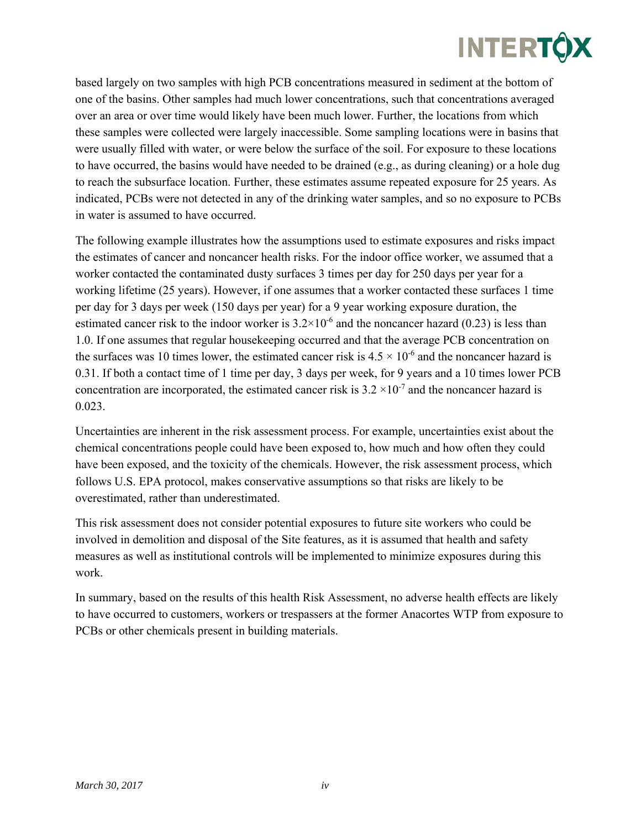

based largely on two samples with high PCB concentrations measured in sediment at the bottom of one of the basins. Other samples had much lower concentrations, such that concentrations averaged over an area or over time would likely have been much lower. Further, the locations from which these samples were collected were largely inaccessible. Some sampling locations were in basins that were usually filled with water, or were below the surface of the soil. For exposure to these locations to have occurred, the basins would have needed to be drained (e.g., as during cleaning) or a hole dug to reach the subsurface location. Further, these estimates assume repeated exposure for 25 years. As indicated, PCBs were not detected in any of the drinking water samples, and so no exposure to PCBs in water is assumed to have occurred.

The following example illustrates how the assumptions used to estimate exposures and risks impact the estimates of cancer and noncancer health risks. For the indoor office worker, we assumed that a worker contacted the contaminated dusty surfaces 3 times per day for 250 days per year for a working lifetime (25 years). However, if one assumes that a worker contacted these surfaces 1 time per day for 3 days per week (150 days per year) for a 9 year working exposure duration, the estimated cancer risk to the indoor worker is  $3.2 \times 10^{-6}$  and the noncancer hazard (0.23) is less than 1.0. If one assumes that regular housekeeping occurred and that the average PCB concentration on the surfaces was 10 times lower, the estimated cancer risk is  $4.5 \times 10^{-6}$  and the noncancer hazard is 0.31. If both a contact time of 1 time per day, 3 days per week, for 9 years and a 10 times lower PCB concentration are incorporated, the estimated cancer risk is  $3.2 \times 10^{-7}$  and the noncancer hazard is 0.023.

Uncertainties are inherent in the risk assessment process. For example, uncertainties exist about the chemical concentrations people could have been exposed to, how much and how often they could have been exposed, and the toxicity of the chemicals. However, the risk assessment process, which follows U.S. EPA protocol, makes conservative assumptions so that risks are likely to be overestimated, rather than underestimated.

This risk assessment does not consider potential exposures to future site workers who could be involved in demolition and disposal of the Site features, as it is assumed that health and safety measures as well as institutional controls will be implemented to minimize exposures during this work.

In summary, based on the results of this health Risk Assessment, no adverse health effects are likely to have occurred to customers, workers or trespassers at the former Anacortes WTP from exposure to PCBs or other chemicals present in building materials.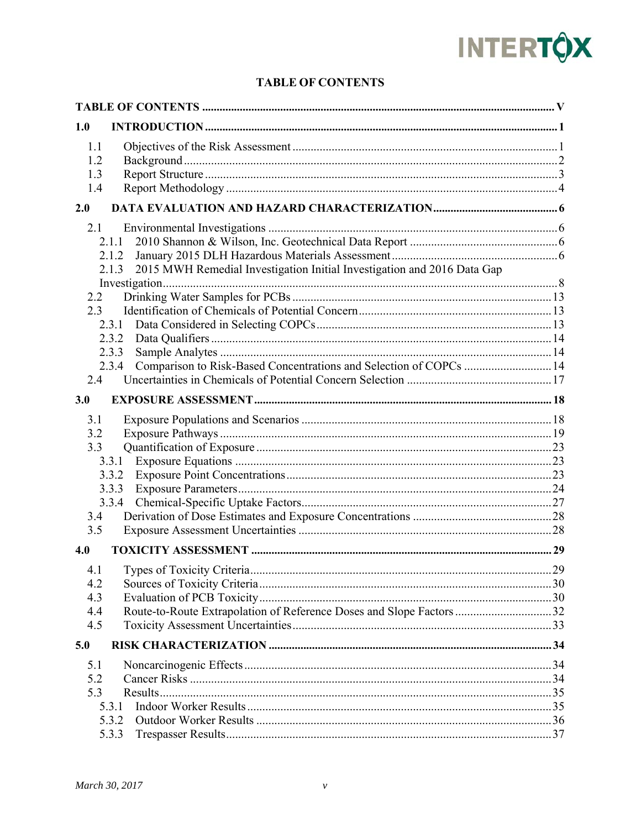# **INTERTÔX**

### **TABLE OF CONTENTS**

| 1.0        |                                                                                      |  |
|------------|--------------------------------------------------------------------------------------|--|
| 1.1        |                                                                                      |  |
| 1.2        |                                                                                      |  |
| 1.3        |                                                                                      |  |
| 1.4        |                                                                                      |  |
| 2.0        |                                                                                      |  |
| 2.1        |                                                                                      |  |
|            | 2.1.1                                                                                |  |
|            | 2.1.2                                                                                |  |
|            | 2015 MWH Remedial Investigation Initial Investigation and 2016 Data Gap<br>2.1.3     |  |
|            |                                                                                      |  |
| 2.2        |                                                                                      |  |
| 2.3        |                                                                                      |  |
|            |                                                                                      |  |
|            | 2.3.2                                                                                |  |
|            | 2.3.3<br>Comparison to Risk-Based Concentrations and Selection of COPCs  14<br>2.3.4 |  |
| 2.4        |                                                                                      |  |
|            |                                                                                      |  |
| 3.0        |                                                                                      |  |
| 3.1        |                                                                                      |  |
| 3.2        |                                                                                      |  |
| 3.3        |                                                                                      |  |
|            | 3.3.1                                                                                |  |
|            | 3.3.2                                                                                |  |
|            | 3.3.3                                                                                |  |
|            | 3.3.4                                                                                |  |
| 3.4<br>3.5 |                                                                                      |  |
|            |                                                                                      |  |
| 4.0        |                                                                                      |  |
|            |                                                                                      |  |
| 4.2        |                                                                                      |  |
| 4.3        |                                                                                      |  |
| 4.4        | Route-to-Route Extrapolation of Reference Doses and Slope Factors 32                 |  |
| 4.5        |                                                                                      |  |
| 5.0        |                                                                                      |  |
| 5.1        |                                                                                      |  |
| 5.2        |                                                                                      |  |
| 5.3        |                                                                                      |  |
|            | 5.3.1                                                                                |  |
|            | 5.3.2                                                                                |  |
|            | 5.3.3                                                                                |  |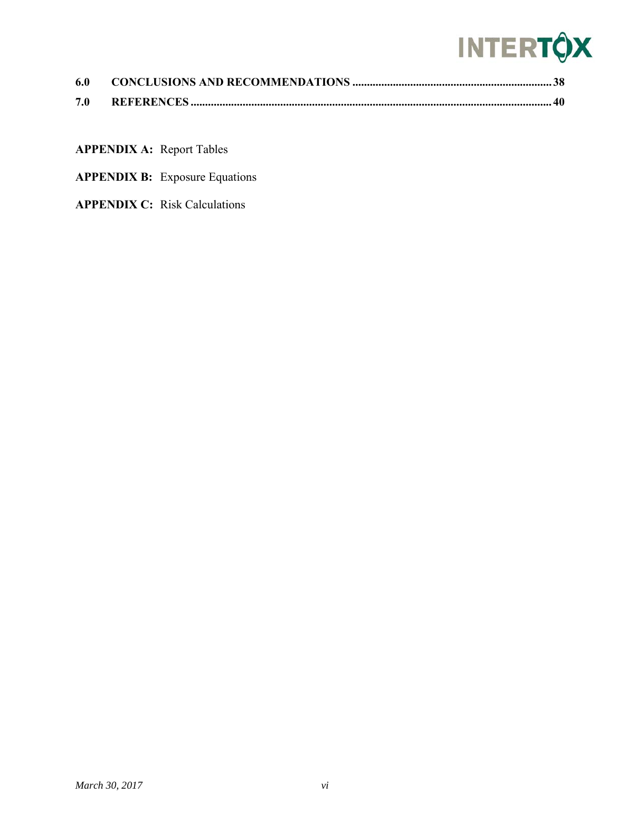## **INTERTÔX**

| 6.0 |  |
|-----|--|
| 7.0 |  |

**APPENDIX A:** Report Tables

- **APPENDIX B:** Exposure Equations
- **APPENDIX C:** Risk Calculations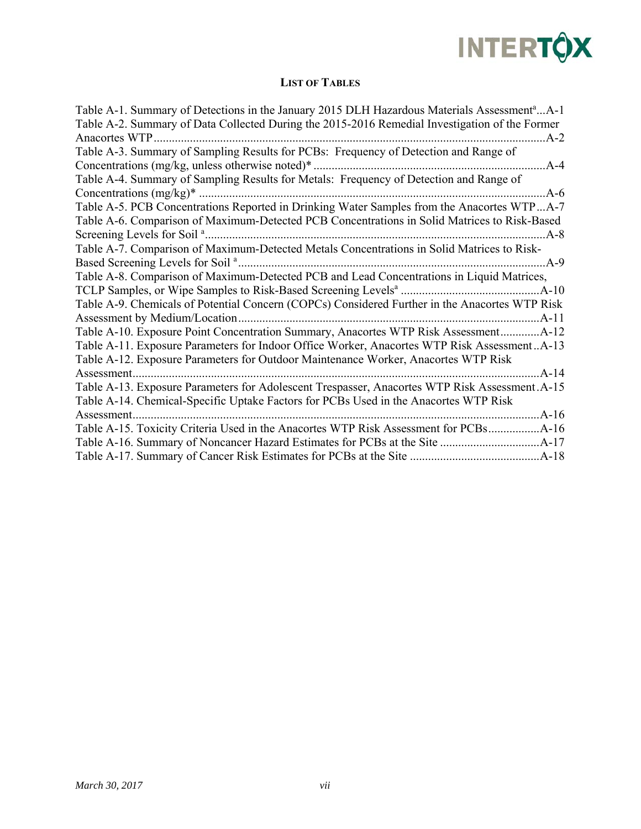

### **LIST OF TABLES**

| Table A-1. Summary of Detections in the January 2015 DLH Hazardous Materials Assessment <sup>a</sup> A-1 |
|----------------------------------------------------------------------------------------------------------|
| Table A-2. Summary of Data Collected During the 2015-2016 Remedial Investigation of the Former           |
| Anacortes WTP<br>$A-2$                                                                                   |
| Table A-3. Summary of Sampling Results for PCBs: Frequency of Detection and Range of                     |
| Concentrations (mg/kg, unless otherwise noted) $*$<br>$A-4$                                              |
| Table A-4. Summary of Sampling Results for Metals: Frequency of Detection and Range of                   |
| Concentrations $(mg/kg)^*$<br>$A-6$                                                                      |
| Table A-5. PCB Concentrations Reported in Drinking Water Samples from the Anacortes WTPA-7               |
| Table A-6. Comparison of Maximum-Detected PCB Concentrations in Solid Matrices to Risk-Based             |
| Screening Levels for Soil <sup>a</sup><br>$A - 8$                                                        |
| Table A-7. Comparison of Maximum-Detected Metals Concentrations in Solid Matrices to Risk-               |
| $A-9$                                                                                                    |
| Table A-8. Comparison of Maximum-Detected PCB and Lead Concentrations in Liquid Matrices,                |
| $A-10$                                                                                                   |
| Table A-9. Chemicals of Potential Concern (COPCs) Considered Further in the Anacortes WTP Risk           |
| Assessment by Medium/Location<br>$A-11$                                                                  |
| Table A-10. Exposure Point Concentration Summary, Anacortes WTP Risk Assessment                          |
| Table A-11. Exposure Parameters for Indoor Office Worker, Anacortes WTP Risk AssessmentA-13              |
| Table A-12. Exposure Parameters for Outdoor Maintenance Worker, Anacortes WTP Risk                       |
| $A-14$<br>Assessment                                                                                     |
| Table A-13. Exposure Parameters for Adolescent Trespasser, Anacortes WTP Risk Assessment. A-15           |
| Table A-14. Chemical-Specific Uptake Factors for PCBs Used in the Anacortes WTP Risk                     |
| $A-16$<br>Assessment.                                                                                    |
| Table A-15. Toxicity Criteria Used in the Anacortes WTP Risk Assessment for PCBs<br>$A-16$               |
| $A-17$                                                                                                   |
| $A-18$                                                                                                   |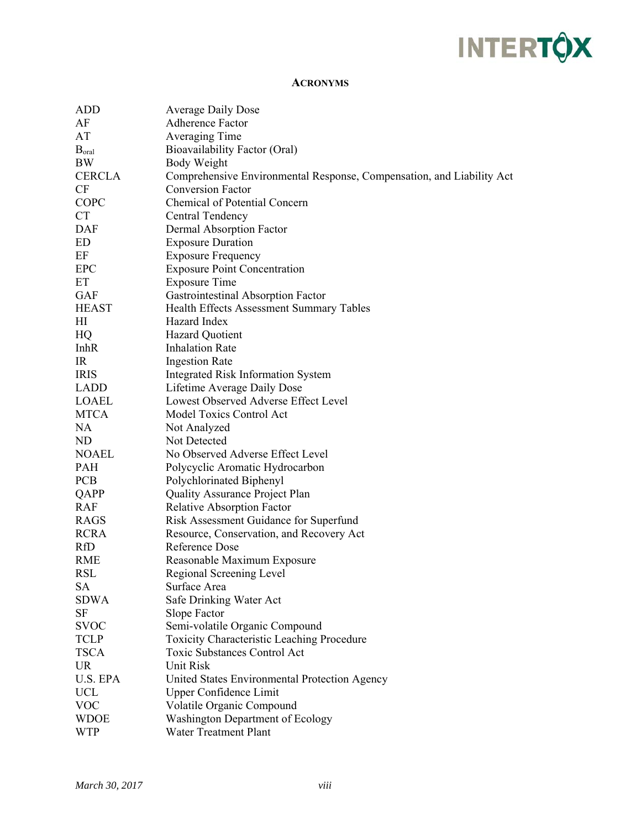## **INTERTÔX**

#### **ACRONYMS**

| ADD               | <b>Average Daily Dose</b>                                             |
|-------------------|-----------------------------------------------------------------------|
| AF                | Adherence Factor                                                      |
| AT                | Averaging Time                                                        |
| B <sub>oral</sub> | Bioavailability Factor (Oral)                                         |
| BW                | Body Weight                                                           |
| <b>CERCLA</b>     | Comprehensive Environmental Response, Compensation, and Liability Act |
| CF                | <b>Conversion Factor</b>                                              |
| COPC              | <b>Chemical of Potential Concern</b>                                  |
| <b>CT</b>         | Central Tendency                                                      |
| <b>DAF</b>        | Dermal Absorption Factor                                              |
| ED                | <b>Exposure Duration</b>                                              |
| EF                | <b>Exposure Frequency</b>                                             |
| <b>EPC</b>        | <b>Exposure Point Concentration</b>                                   |
| ET                | <b>Exposure Time</b>                                                  |
| <b>GAF</b>        | Gastrointestinal Absorption Factor                                    |
| <b>HEAST</b>      | Health Effects Assessment Summary Tables                              |
| H1                | Hazard Index                                                          |
| HQ                | <b>Hazard Quotient</b>                                                |
| <b>InhR</b>       | <b>Inhalation Rate</b>                                                |
| IR                | <b>Ingestion Rate</b>                                                 |
| <b>IRIS</b>       | <b>Integrated Risk Information System</b>                             |
| LADD              | Lifetime Average Daily Dose                                           |
| <b>LOAEL</b>      | Lowest Observed Adverse Effect Level                                  |
| <b>MTCA</b>       | Model Toxics Control Act                                              |
| NA                | Not Analyzed                                                          |
| ND                | Not Detected                                                          |
| <b>NOAEL</b>      | No Observed Adverse Effect Level                                      |
| PAH               | Polycyclic Aromatic Hydrocarbon                                       |
| <b>PCB</b>        | Polychlorinated Biphenyl                                              |
| QAPP              | Quality Assurance Project Plan                                        |
| RAF               | <b>Relative Absorption Factor</b>                                     |
| RAGS              | Risk Assessment Guidance for Superfund                                |
| <b>RCRA</b>       | Resource, Conservation, and Recovery Act                              |
| RfD               | <b>Reference Dose</b>                                                 |
| <b>RME</b>        | Reasonable Maximum Exposure                                           |
| <b>RSL</b>        | Regional Screening Level                                              |
| SА                | Surface Area                                                          |
| <b>SDWA</b>       | Safe Drinking Water Act                                               |
| SF                | <b>Slope Factor</b>                                                   |
| <b>SVOC</b>       | Semi-volatile Organic Compound                                        |
| <b>TCLP</b>       | <b>Toxicity Characteristic Leaching Procedure</b>                     |
| <b>TSCA</b>       | <b>Toxic Substances Control Act</b>                                   |
| <b>UR</b>         | <b>Unit Risk</b>                                                      |
| U.S. EPA          | United States Environmental Protection Agency                         |
| <b>UCL</b>        | <b>Upper Confidence Limit</b>                                         |
| <b>VOC</b>        | Volatile Organic Compound                                             |
| <b>WDOE</b>       | Washington Department of Ecology                                      |
| <b>WTP</b>        | <b>Water Treatment Plant</b>                                          |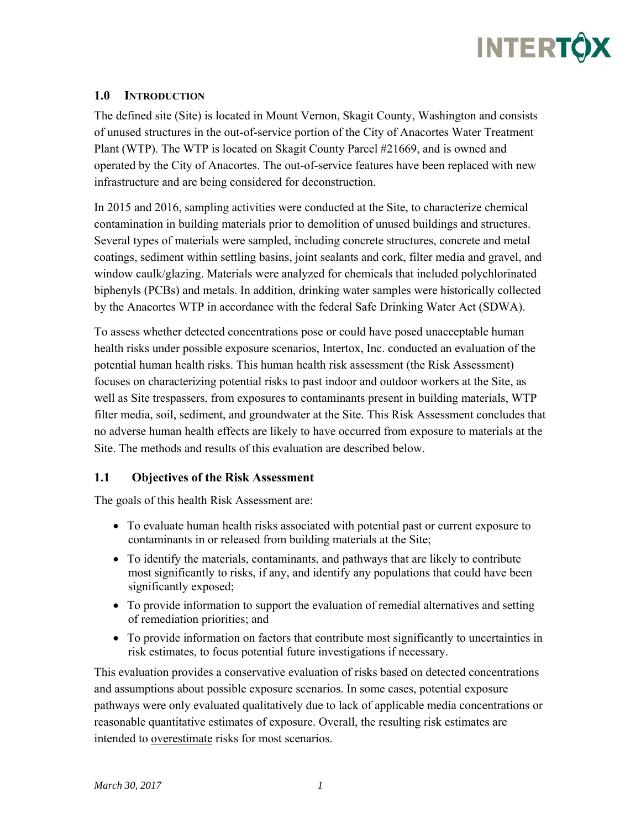

#### **1.0 INTRODUCTION**

The defined site (Site) is located in Mount Vernon, Skagit County, Washington and consists of unused structures in the out-of-service portion of the City of Anacortes Water Treatment Plant (WTP). The WTP is located on Skagit County Parcel #21669, and is owned and operated by the City of Anacortes. The out-of-service features have been replaced with new infrastructure and are being considered for deconstruction.

In 2015 and 2016, sampling activities were conducted at the Site, to characterize chemical contamination in building materials prior to demolition of unused buildings and structures. Several types of materials were sampled, including concrete structures, concrete and metal coatings, sediment within settling basins, joint sealants and cork, filter media and gravel, and window caulk/glazing. Materials were analyzed for chemicals that included polychlorinated biphenyls (PCBs) and metals. In addition, drinking water samples were historically collected by the Anacortes WTP in accordance with the federal Safe Drinking Water Act (SDWA).

To assess whether detected concentrations pose or could have posed unacceptable human health risks under possible exposure scenarios, Intertox, Inc. conducted an evaluation of the potential human health risks. This human health risk assessment (the Risk Assessment) focuses on characterizing potential risks to past indoor and outdoor workers at the Site, as well as Site trespassers, from exposures to contaminants present in building materials, WTP filter media, soil, sediment, and groundwater at the Site. This Risk Assessment concludes that no adverse human health effects are likely to have occurred from exposure to materials at the Site. The methods and results of this evaluation are described below.

#### **1.1 Objectives of the Risk Assessment**

The goals of this health Risk Assessment are:

- To evaluate human health risks associated with potential past or current exposure to contaminants in or released from building materials at the Site;
- To identify the materials, contaminants, and pathways that are likely to contribute most significantly to risks, if any, and identify any populations that could have been significantly exposed;
- To provide information to support the evaluation of remedial alternatives and setting of remediation priorities; and
- To provide information on factors that contribute most significantly to uncertainties in risk estimates, to focus potential future investigations if necessary.

This evaluation provides a conservative evaluation of risks based on detected concentrations and assumptions about possible exposure scenarios. In some cases, potential exposure pathways were only evaluated qualitatively due to lack of applicable media concentrations or reasonable quantitative estimates of exposure. Overall, the resulting risk estimates are intended to overestimate risks for most scenarios.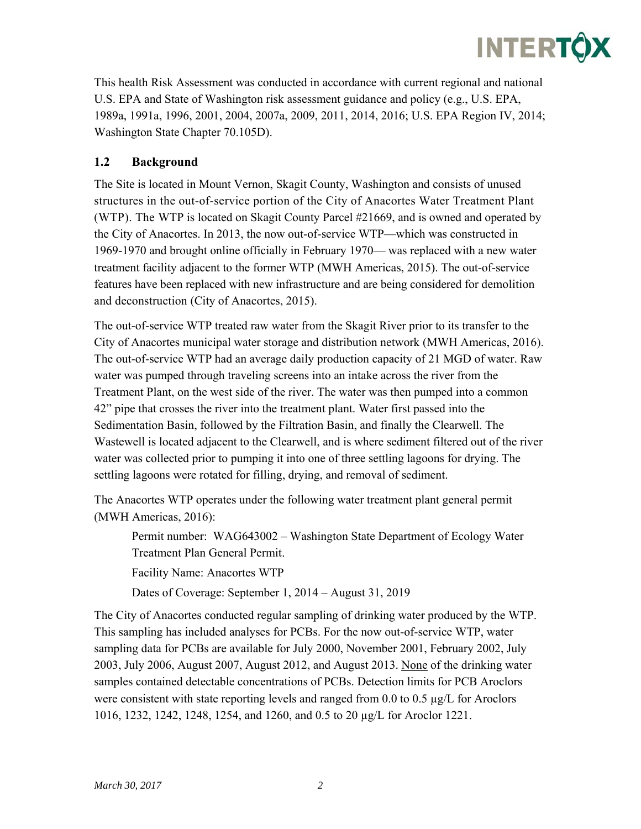

This health Risk Assessment was conducted in accordance with current regional and national U.S. EPA and State of Washington risk assessment guidance and policy (e.g., U.S. EPA, 1989a, 1991a, 1996, 2001, 2004, 2007a, 2009, 2011, 2014, 2016; U.S. EPA Region IV, 2014; Washington State Chapter 70.105D).

### **1.2 Background**

The Site is located in Mount Vernon, Skagit County, Washington and consists of unused structures in the out-of-service portion of the City of Anacortes Water Treatment Plant (WTP). The WTP is located on Skagit County Parcel #21669, and is owned and operated by the City of Anacortes. In 2013, the now out-of-service WTP—which was constructed in 1969-1970 and brought online officially in February 1970— was replaced with a new water treatment facility adjacent to the former WTP (MWH Americas, 2015). The out-of-service features have been replaced with new infrastructure and are being considered for demolition and deconstruction (City of Anacortes, 2015).

The out-of-service WTP treated raw water from the Skagit River prior to its transfer to the City of Anacortes municipal water storage and distribution network (MWH Americas, 2016). The out-of-service WTP had an average daily production capacity of 21 MGD of water. Raw water was pumped through traveling screens into an intake across the river from the Treatment Plant, on the west side of the river. The water was then pumped into a common 42" pipe that crosses the river into the treatment plant. Water first passed into the Sedimentation Basin, followed by the Filtration Basin, and finally the Clearwell. The Wastewell is located adjacent to the Clearwell, and is where sediment filtered out of the river water was collected prior to pumping it into one of three settling lagoons for drying. The settling lagoons were rotated for filling, drying, and removal of sediment.

The Anacortes WTP operates under the following water treatment plant general permit (MWH Americas, 2016):

Permit number: WAG643002 – Washington State Department of Ecology Water Treatment Plan General Permit. Facility Name: Anacortes WTP

Dates of Coverage: September 1, 2014 – August 31, 2019

The City of Anacortes conducted regular sampling of drinking water produced by the WTP. This sampling has included analyses for PCBs. For the now out-of-service WTP, water sampling data for PCBs are available for July 2000, November 2001, February 2002, July 2003, July 2006, August 2007, August 2012, and August 2013. None of the drinking water samples contained detectable concentrations of PCBs. Detection limits for PCB Aroclors were consistent with state reporting levels and ranged from 0.0 to 0.5  $\mu$ g/L for Aroclors 1016, 1232, 1242, 1248, 1254, and 1260, and 0.5 to 20 µg/L for Aroclor 1221.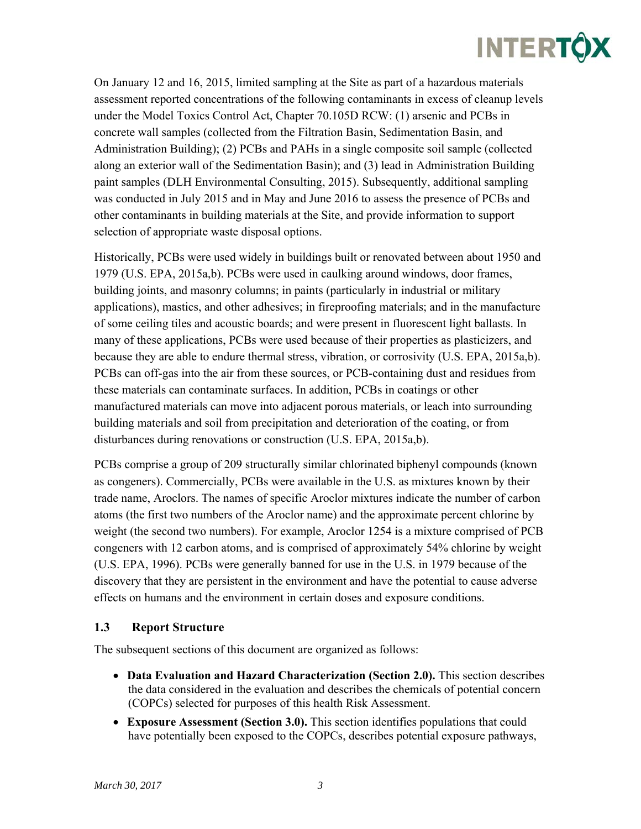On January 12 and 16, 2015, limited sampling at the Site as part of a hazardous materials assessment reported concentrations of the following contaminants in excess of cleanup levels under the Model Toxics Control Act, Chapter 70.105D RCW: (1) arsenic and PCBs in concrete wall samples (collected from the Filtration Basin, Sedimentation Basin, and Administration Building); (2) PCBs and PAHs in a single composite soil sample (collected along an exterior wall of the Sedimentation Basin); and (3) lead in Administration Building paint samples (DLH Environmental Consulting, 2015). Subsequently, additional sampling was conducted in July 2015 and in May and June 2016 to assess the presence of PCBs and other contaminants in building materials at the Site, and provide information to support selection of appropriate waste disposal options.

Historically, PCBs were used widely in buildings built or renovated between about 1950 and 1979 (U.S. EPA, 2015a,b). PCBs were used in caulking around windows, door frames, building joints, and masonry columns; in paints (particularly in industrial or military applications), mastics, and other adhesives; in fireproofing materials; and in the manufacture of some ceiling tiles and acoustic boards; and were present in fluorescent light ballasts. In many of these applications, PCBs were used because of their properties as plasticizers, and because they are able to endure thermal stress, vibration, or corrosivity (U.S. EPA, 2015a,b). PCBs can off-gas into the air from these sources, or PCB-containing dust and residues from these materials can contaminate surfaces. In addition, PCBs in coatings or other manufactured materials can move into adjacent porous materials, or leach into surrounding building materials and soil from precipitation and deterioration of the coating, or from disturbances during renovations or construction (U.S. EPA, 2015a,b).

PCBs comprise a group of 209 structurally similar chlorinated biphenyl compounds (known as congeners). Commercially, PCBs were available in the U.S. as mixtures known by their trade name, Aroclors. The names of specific Aroclor mixtures indicate the number of carbon atoms (the first two numbers of the Aroclor name) and the approximate percent chlorine by weight (the second two numbers). For example, Aroclor 1254 is a mixture comprised of PCB congeners with 12 carbon atoms, and is comprised of approximately 54% chlorine by weight (U.S. EPA, 1996). PCBs were generally banned for use in the U.S. in 1979 because of the discovery that they are persistent in the environment and have the potential to cause adverse effects on humans and the environment in certain doses and exposure conditions.

#### **1.3 Report Structure**

The subsequent sections of this document are organized as follows:

- **Data Evaluation and Hazard Characterization (Section 2.0).** This section describes the data considered in the evaluation and describes the chemicals of potential concern (COPCs) selected for purposes of this health Risk Assessment.
- **Exposure Assessment (Section 3.0).** This section identifies populations that could have potentially been exposed to the COPCs, describes potential exposure pathways,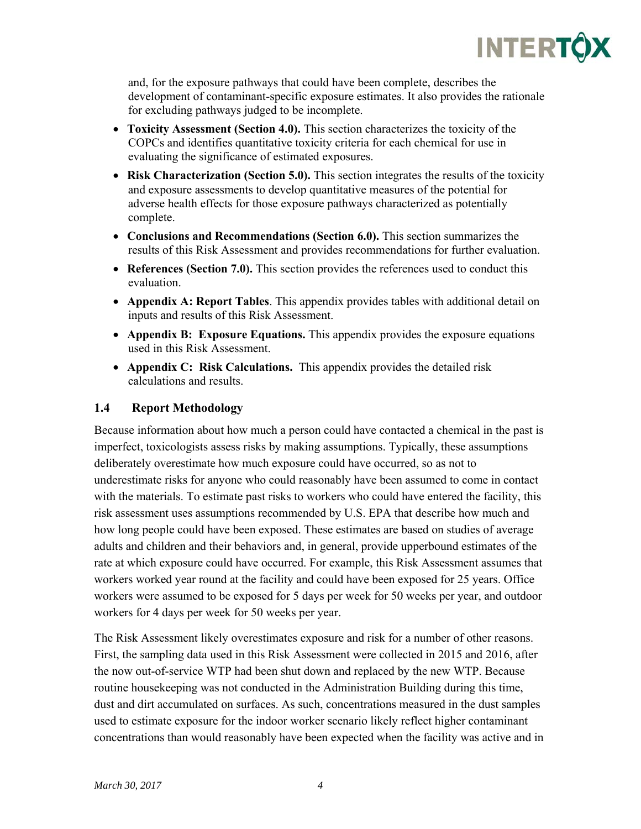

and, for the exposure pathways that could have been complete, describes the development of contaminant-specific exposure estimates. It also provides the rationale for excluding pathways judged to be incomplete.

- **Toxicity Assessment (Section 4.0).** This section characterizes the toxicity of the COPCs and identifies quantitative toxicity criteria for each chemical for use in evaluating the significance of estimated exposures.
- **Risk Characterization (Section 5.0).** This section integrates the results of the toxicity and exposure assessments to develop quantitative measures of the potential for adverse health effects for those exposure pathways characterized as potentially complete.
- **Conclusions and Recommendations (Section 6.0).** This section summarizes the results of this Risk Assessment and provides recommendations for further evaluation.
- **References (Section 7.0).** This section provides the references used to conduct this evaluation.
- **Appendix A: Report Tables**. This appendix provides tables with additional detail on inputs and results of this Risk Assessment.
- **Appendix B: Exposure Equations.** This appendix provides the exposure equations used in this Risk Assessment.
- **Appendix C: Risk Calculations.** This appendix provides the detailed risk calculations and results.

#### **1.4 Report Methodology**

Because information about how much a person could have contacted a chemical in the past is imperfect, toxicologists assess risks by making assumptions. Typically, these assumptions deliberately overestimate how much exposure could have occurred, so as not to underestimate risks for anyone who could reasonably have been assumed to come in contact with the materials. To estimate past risks to workers who could have entered the facility, this risk assessment uses assumptions recommended by U.S. EPA that describe how much and how long people could have been exposed. These estimates are based on studies of average adults and children and their behaviors and, in general, provide upperbound estimates of the rate at which exposure could have occurred. For example, this Risk Assessment assumes that workers worked year round at the facility and could have been exposed for 25 years. Office workers were assumed to be exposed for 5 days per week for 50 weeks per year, and outdoor workers for 4 days per week for 50 weeks per year.

The Risk Assessment likely overestimates exposure and risk for a number of other reasons. First, the sampling data used in this Risk Assessment were collected in 2015 and 2016, after the now out-of-service WTP had been shut down and replaced by the new WTP. Because routine housekeeping was not conducted in the Administration Building during this time, dust and dirt accumulated on surfaces. As such, concentrations measured in the dust samples used to estimate exposure for the indoor worker scenario likely reflect higher contaminant concentrations than would reasonably have been expected when the facility was active and in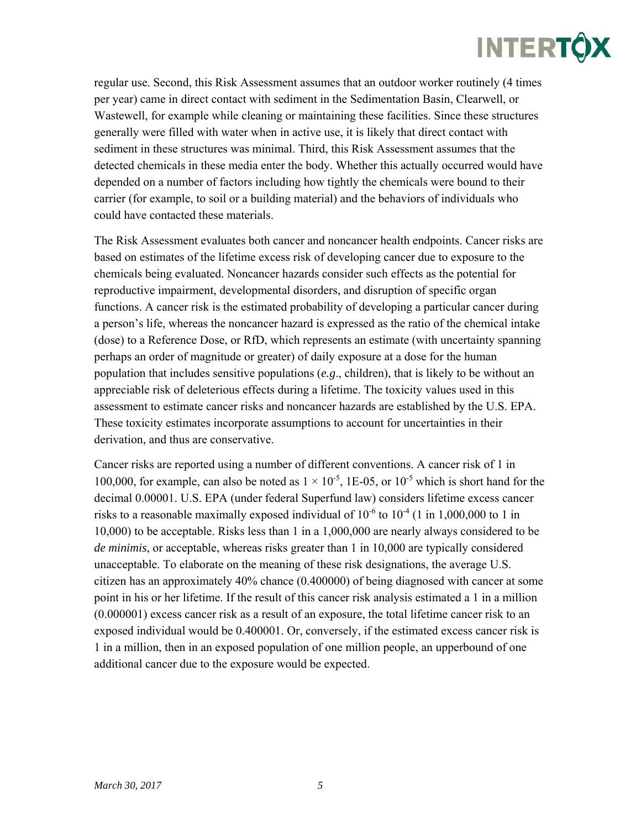regular use. Second, this Risk Assessment assumes that an outdoor worker routinely (4 times per year) came in direct contact with sediment in the Sedimentation Basin, Clearwell, or Wastewell, for example while cleaning or maintaining these facilities. Since these structures generally were filled with water when in active use, it is likely that direct contact with sediment in these structures was minimal. Third, this Risk Assessment assumes that the detected chemicals in these media enter the body. Whether this actually occurred would have depended on a number of factors including how tightly the chemicals were bound to their carrier (for example, to soil or a building material) and the behaviors of individuals who could have contacted these materials.

The Risk Assessment evaluates both cancer and noncancer health endpoints. Cancer risks are based on estimates of the lifetime excess risk of developing cancer due to exposure to the chemicals being evaluated. Noncancer hazards consider such effects as the potential for reproductive impairment, developmental disorders, and disruption of specific organ functions. A cancer risk is the estimated probability of developing a particular cancer during a person's life, whereas the noncancer hazard is expressed as the ratio of the chemical intake (dose) to a Reference Dose, or RfD, which represents an estimate (with uncertainty spanning perhaps an order of magnitude or greater) of daily exposure at a dose for the human population that includes sensitive populations (*e.g*., children), that is likely to be without an appreciable risk of deleterious effects during a lifetime. The toxicity values used in this assessment to estimate cancer risks and noncancer hazards are established by the U.S. EPA. These toxicity estimates incorporate assumptions to account for uncertainties in their derivation, and thus are conservative.

Cancer risks are reported using a number of different conventions. A cancer risk of 1 in 100,000, for example, can also be noted as  $1 \times 10^{-5}$ , 1E-05, or 10<sup>-5</sup> which is short hand for the decimal 0.00001. U.S. EPA (under federal Superfund law) considers lifetime excess cancer risks to a reasonable maximally exposed individual of  $10^{-6}$  to  $10^{-4}$  (1 in 1,000,000 to 1 in 10,000) to be acceptable. Risks less than 1 in a 1,000,000 are nearly always considered to be *de minimis*, or acceptable, whereas risks greater than 1 in 10,000 are typically considered unacceptable. To elaborate on the meaning of these risk designations, the average U.S. citizen has an approximately 40% chance (0.400000) of being diagnosed with cancer at some point in his or her lifetime. If the result of this cancer risk analysis estimated a 1 in a million (0.000001) excess cancer risk as a result of an exposure, the total lifetime cancer risk to an exposed individual would be 0.400001. Or, conversely, if the estimated excess cancer risk is 1 in a million, then in an exposed population of one million people, an upperbound of one additional cancer due to the exposure would be expected.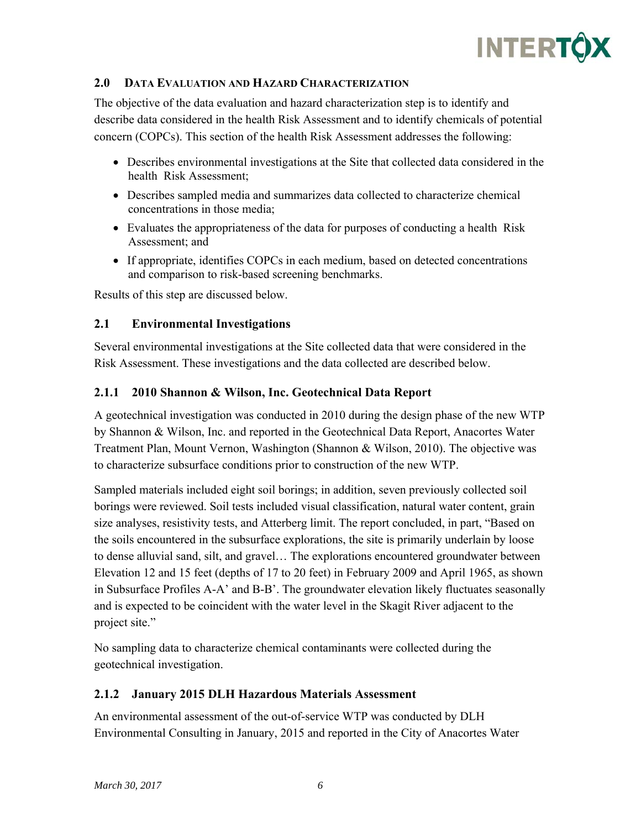

#### **2.0 DATA EVALUATION AND HAZARD CHARACTERIZATION**

The objective of the data evaluation and hazard characterization step is to identify and describe data considered in the health Risk Assessment and to identify chemicals of potential concern (COPCs). This section of the health Risk Assessment addresses the following:

- Describes environmental investigations at the Site that collected data considered in the health Risk Assessment;
- Describes sampled media and summarizes data collected to characterize chemical concentrations in those media;
- Evaluates the appropriateness of the data for purposes of conducting a health Risk Assessment; and
- If appropriate, identifies COPCs in each medium, based on detected concentrations and comparison to risk-based screening benchmarks.

Results of this step are discussed below.

#### **2.1 Environmental Investigations**

Several environmental investigations at the Site collected data that were considered in the Risk Assessment. These investigations and the data collected are described below.

#### **2.1.1 2010 Shannon & Wilson, Inc. Geotechnical Data Report**

A geotechnical investigation was conducted in 2010 during the design phase of the new WTP by Shannon & Wilson, Inc. and reported in the Geotechnical Data Report, Anacortes Water Treatment Plan, Mount Vernon, Washington (Shannon & Wilson, 2010). The objective was to characterize subsurface conditions prior to construction of the new WTP.

Sampled materials included eight soil borings; in addition, seven previously collected soil borings were reviewed. Soil tests included visual classification, natural water content, grain size analyses, resistivity tests, and Atterberg limit. The report concluded, in part, "Based on the soils encountered in the subsurface explorations, the site is primarily underlain by loose to dense alluvial sand, silt, and gravel… The explorations encountered groundwater between Elevation 12 and 15 feet (depths of 17 to 20 feet) in February 2009 and April 1965, as shown in Subsurface Profiles A-A' and B-B'. The groundwater elevation likely fluctuates seasonally and is expected to be coincident with the water level in the Skagit River adjacent to the project site."

No sampling data to characterize chemical contaminants were collected during the geotechnical investigation.

#### **2.1.2 January 2015 DLH Hazardous Materials Assessment**

An environmental assessment of the out-of-service WTP was conducted by DLH Environmental Consulting in January, 2015 and reported in the City of Anacortes Water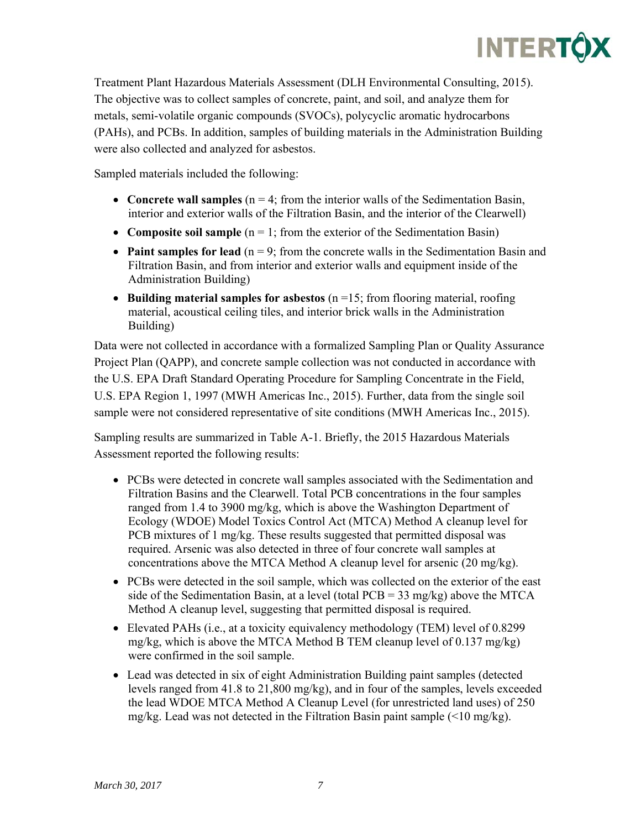

Treatment Plant Hazardous Materials Assessment (DLH Environmental Consulting, 2015). The objective was to collect samples of concrete, paint, and soil, and analyze them for metals, semi-volatile organic compounds (SVOCs), polycyclic aromatic hydrocarbons (PAHs), and PCBs. In addition, samples of building materials in the Administration Building were also collected and analyzed for asbestos.

Sampled materials included the following:

- **Concrete wall samples**  $(n = 4$ ; from the interior walls of the Sedimentation Basin, interior and exterior walls of the Filtration Basin, and the interior of the Clearwell)
- **Composite soil sample**  $(n = 1$ ; from the exterior of the Sedimentation Basin)
- **Paint samples for lead**  $(n = 9$ ; from the concrete walls in the Sedimentation Basin and Filtration Basin, and from interior and exterior walls and equipment inside of the Administration Building)
- **Building material samples for asbestos** (n =15; from flooring material, roofing material, acoustical ceiling tiles, and interior brick walls in the Administration Building)

Data were not collected in accordance with a formalized Sampling Plan or Quality Assurance Project Plan (QAPP), and concrete sample collection was not conducted in accordance with the U.S. EPA Draft Standard Operating Procedure for Sampling Concentrate in the Field, U.S. EPA Region 1, 1997 (MWH Americas Inc., 2015). Further, data from the single soil sample were not considered representative of site conditions (MWH Americas Inc., 2015).

Sampling results are summarized in Table A-1. Briefly, the 2015 Hazardous Materials Assessment reported the following results:

- PCBs were detected in concrete wall samples associated with the Sedimentation and Filtration Basins and the Clearwell. Total PCB concentrations in the four samples ranged from 1.4 to 3900 mg/kg, which is above the Washington Department of Ecology (WDOE) Model Toxics Control Act (MTCA) Method A cleanup level for PCB mixtures of 1 mg/kg. These results suggested that permitted disposal was required. Arsenic was also detected in three of four concrete wall samples at concentrations above the MTCA Method A cleanup level for arsenic (20 mg/kg).
- PCBs were detected in the soil sample, which was collected on the exterior of the east side of the Sedimentation Basin, at a level (total  $PCB = 33$  mg/kg) above the MTCA Method A cleanup level, suggesting that permitted disposal is required.
- Elevated PAHs (i.e., at a toxicity equivalency methodology (TEM) level of 0.8299 mg/kg, which is above the MTCA Method B TEM cleanup level of 0.137 mg/kg) were confirmed in the soil sample.
- Lead was detected in six of eight Administration Building paint samples (detected levels ranged from 41.8 to 21,800 mg/kg), and in four of the samples, levels exceeded the lead WDOE MTCA Method A Cleanup Level (for unrestricted land uses) of 250 mg/kg. Lead was not detected in the Filtration Basin paint sample  $($ <10 mg/kg).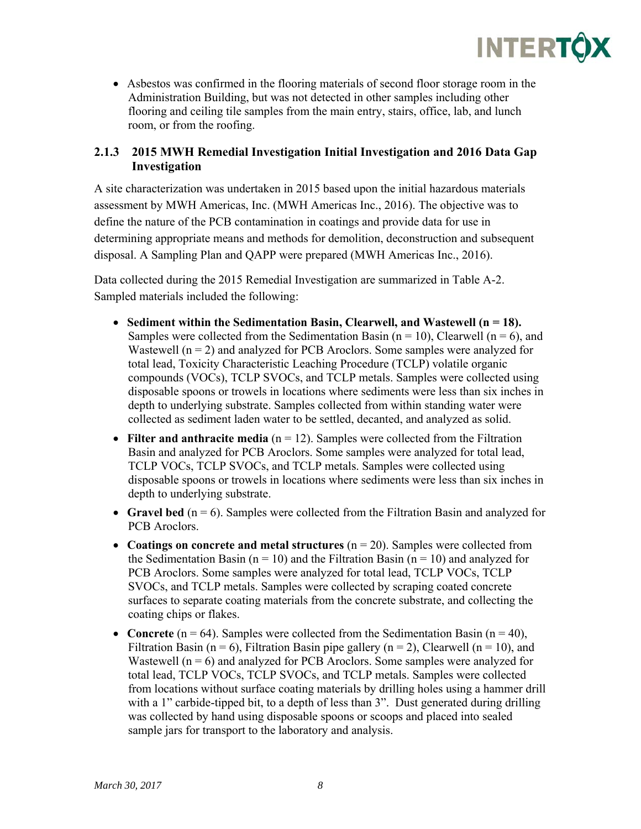

 Asbestos was confirmed in the flooring materials of second floor storage room in the Administration Building, but was not detected in other samples including other flooring and ceiling tile samples from the main entry, stairs, office, lab, and lunch room, or from the roofing.

#### **2.1.3 2015 MWH Remedial Investigation Initial Investigation and 2016 Data Gap Investigation**

A site characterization was undertaken in 2015 based upon the initial hazardous materials assessment by MWH Americas, Inc. (MWH Americas Inc., 2016). The objective was to define the nature of the PCB contamination in coatings and provide data for use in determining appropriate means and methods for demolition, deconstruction and subsequent disposal. A Sampling Plan and QAPP were prepared (MWH Americas Inc., 2016).

Data collected during the 2015 Remedial Investigation are summarized in Table A-2. Sampled materials included the following:

- **Sediment within the Sedimentation Basin, Clearwell, and Wastewell (n = 18).**  Samples were collected from the Sedimentation Basin ( $n = 10$ ), Clearwell ( $n = 6$ ), and Wastewell  $(n = 2)$  and analyzed for PCB Aroclors. Some samples were analyzed for total lead, Toxicity Characteristic Leaching Procedure (TCLP) volatile organic compounds (VOCs), TCLP SVOCs, and TCLP metals. Samples were collected using disposable spoons or trowels in locations where sediments were less than six inches in depth to underlying substrate. Samples collected from within standing water were collected as sediment laden water to be settled, decanted, and analyzed as solid.
- **Filter and anthracite media**  $(n = 12)$ . Samples were collected from the Filtration Basin and analyzed for PCB Aroclors. Some samples were analyzed for total lead, TCLP VOCs, TCLP SVOCs, and TCLP metals. Samples were collected using disposable spoons or trowels in locations where sediments were less than six inches in depth to underlying substrate.
- **Gravel bed**  $(n = 6)$ . Samples were collected from the Filtration Basin and analyzed for PCB Aroclors.
- **Coatings on concrete and metal structures** (n = 20). Samples were collected from the Sedimentation Basin ( $n = 10$ ) and the Filtration Basin ( $n = 10$ ) and analyzed for PCB Aroclors. Some samples were analyzed for total lead, TCLP VOCs, TCLP SVOCs, and TCLP metals. Samples were collected by scraping coated concrete surfaces to separate coating materials from the concrete substrate, and collecting the coating chips or flakes.
- **Concrete**  $(n = 64)$ . Samples were collected from the Sedimentation Basin  $(n = 40)$ , Filtration Basin (n = 6), Filtration Basin pipe gallery (n = 2), Clearwell (n = 10), and Wastewell ( $n = 6$ ) and analyzed for PCB Aroclors. Some samples were analyzed for total lead, TCLP VOCs, TCLP SVOCs, and TCLP metals. Samples were collected from locations without surface coating materials by drilling holes using a hammer drill with a 1" carbide-tipped bit, to a depth of less than 3". Dust generated during drilling was collected by hand using disposable spoons or scoops and placed into sealed sample jars for transport to the laboratory and analysis.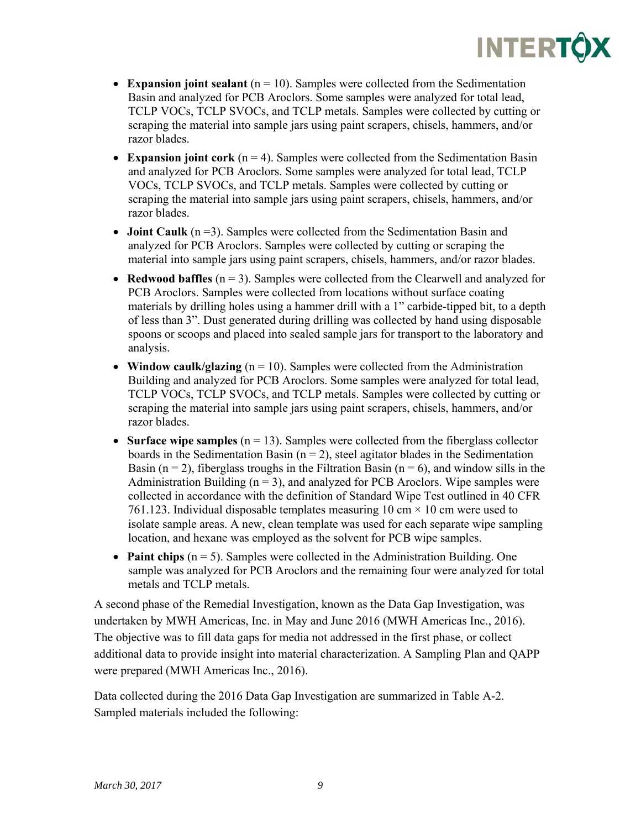- **Expansion joint sealant** ( $n = 10$ ). Samples were collected from the Sedimentation Basin and analyzed for PCB Aroclors. Some samples were analyzed for total lead, TCLP VOCs, TCLP SVOCs, and TCLP metals. Samples were collected by cutting or scraping the material into sample jars using paint scrapers, chisels, hammers, and/or razor blades.
- **Expansion joint cork** ( $n = 4$ ). Samples were collected from the Sedimentation Basin and analyzed for PCB Aroclors. Some samples were analyzed for total lead, TCLP VOCs, TCLP SVOCs, and TCLP metals. Samples were collected by cutting or scraping the material into sample jars using paint scrapers, chisels, hammers, and/or razor blades.
- **Joint Caulk** (n = 3). Samples were collected from the Sedimentation Basin and analyzed for PCB Aroclors. Samples were collected by cutting or scraping the material into sample jars using paint scrapers, chisels, hammers, and/or razor blades.
- **Redwood baffles**  $(n = 3)$ . Samples were collected from the Clearwell and analyzed for PCB Aroclors. Samples were collected from locations without surface coating materials by drilling holes using a hammer drill with a 1" carbide-tipped bit, to a depth of less than 3". Dust generated during drilling was collected by hand using disposable spoons or scoops and placed into sealed sample jars for transport to the laboratory and analysis.
- **Window caulk/glazing**  $(n = 10)$ . Samples were collected from the Administration Building and analyzed for PCB Aroclors. Some samples were analyzed for total lead, TCLP VOCs, TCLP SVOCs, and TCLP metals. Samples were collected by cutting or scraping the material into sample jars using paint scrapers, chisels, hammers, and/or razor blades.
- **Surface wipe samples** ( $n = 13$ ). Samples were collected from the fiberglass collector boards in the Sedimentation Basin ( $n = 2$ ), steel agitator blades in the Sedimentation Basin ( $n = 2$ ), fiberglass troughs in the Filtration Basin ( $n = 6$ ), and window sills in the Administration Building  $(n = 3)$ , and analyzed for PCB Aroclors. Wipe samples were collected in accordance with the definition of Standard Wipe Test outlined in 40 CFR 761.123. Individual disposable templates measuring 10 cm  $\times$  10 cm were used to isolate sample areas. A new, clean template was used for each separate wipe sampling location, and hexane was employed as the solvent for PCB wipe samples.
- Paint chips (n = 5). Samples were collected in the Administration Building. One sample was analyzed for PCB Aroclors and the remaining four were analyzed for total metals and TCLP metals.

A second phase of the Remedial Investigation, known as the Data Gap Investigation, was undertaken by MWH Americas, Inc. in May and June 2016 (MWH Americas Inc., 2016). The objective was to fill data gaps for media not addressed in the first phase, or collect additional data to provide insight into material characterization. A Sampling Plan and QAPP were prepared (MWH Americas Inc., 2016).

Data collected during the 2016 Data Gap Investigation are summarized in Table A-2. Sampled materials included the following: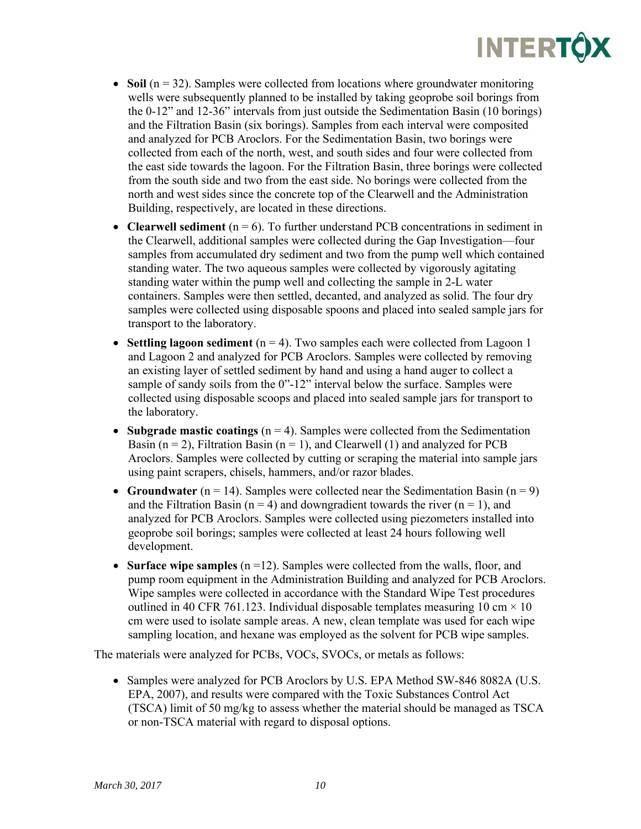- $\bullet$  **Soil** ( $n = 32$ ). Samples were collected from locations where groundwater monitoring wells were subsequently planned to be installed by taking geoprobe soil borings from the 0-12" and 12-36" intervals from just outside the Sedimentation Basin (10 borings) and the Filtration Basin (six borings). Samples from each interval were composited and analyzed for PCB Aroclors. For the Sedimentation Basin, two borings were collected from each of the north, west, and south sides and four were collected from the east side towards the lagoon. For the Filtration Basin, three borings were collected from the south side and two from the east side. No borings were collected from the north and west sides since the concrete top of the Clearwell and the Administration Building, respectively, are located in these directions.
- **Clearwell sediment**  $(n = 6)$ . To further understand PCB concentrations in sediment in the Clearwell, additional samples were collected during the Gap Investigation—four samples from accumulated dry sediment and two from the pump well which contained standing water. The two aqueous samples were collected by vigorously agitating standing water within the pump well and collecting the sample in 2-L water containers. Samples were then settled, decanted, and analyzed as solid. The four dry samples were collected using disposable spoons and placed into sealed sample jars for transport to the laboratory.
- **Settling lagoon sediment**  $(n = 4)$ . Two samples each were collected from Lagoon 1 and Lagoon 2 and analyzed for PCB Aroclors. Samples were collected by removing an existing layer of settled sediment by hand and using a hand auger to collect a sample of sandy soils from the 0"-12" interval below the surface. Samples were collected using disposable scoops and placed into sealed sample jars for transport to the laboratory.
- **Subgrade mastic coatings** ( $n = 4$ ). Samples were collected from the Sedimentation Basin ( $n = 2$ ), Filtration Basin ( $n = 1$ ), and Clearwell (1) and analyzed for PCB Aroclors. Samples were collected by cutting or scraping the material into sample jars using paint scrapers, chisels, hammers, and/or razor blades.
- **Groundwater** ( $n = 14$ ). Samples were collected near the Sedimentation Basin ( $n = 9$ ) and the Filtration Basin ( $n = 4$ ) and downgradient towards the river ( $n = 1$ ), and analyzed for PCB Aroclors. Samples were collected using piezometers installed into geoprobe soil borings; samples were collected at least 24 hours following well development.
- **Surface wipe samples** ( $n = 12$ ). Samples were collected from the walls, floor, and pump room equipment in the Administration Building and analyzed for PCB Aroclors. Wipe samples were collected in accordance with the Standard Wipe Test procedures outlined in 40 CFR 761.123. Individual disposable templates measuring 10 cm  $\times$  10 cm were used to isolate sample areas. A new, clean template was used for each wipe sampling location, and hexane was employed as the solvent for PCB wipe samples.

The materials were analyzed for PCBs, VOCs, SVOCs, or metals as follows:

• Samples were analyzed for PCB Aroclors by U.S. EPA Method SW-846 8082A (U.S. EPA, 2007), and results were compared with the Toxic Substances Control Act (TSCA) limit of 50 mg/kg to assess whether the material should be managed as TSCA or non-TSCA material with regard to disposal options.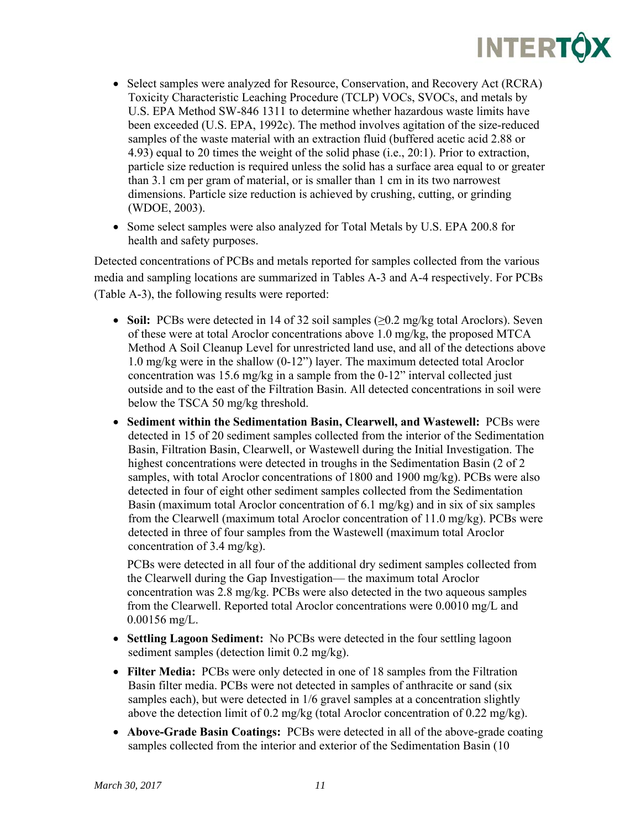

- Select samples were analyzed for Resource, Conservation, and Recovery Act (RCRA) Toxicity Characteristic Leaching Procedure (TCLP) VOCs, SVOCs, and metals by U.S. EPA Method SW-846 1311 to determine whether hazardous waste limits have been exceeded (U.S. EPA, 1992c). The method involves agitation of the size-reduced samples of the waste material with an extraction fluid (buffered acetic acid 2.88 or 4.93) equal to 20 times the weight of the solid phase (i.e., 20:1). Prior to extraction, particle size reduction is required unless the solid has a surface area equal to or greater than 3.1 cm per gram of material, or is smaller than 1 cm in its two narrowest dimensions. Particle size reduction is achieved by crushing, cutting, or grinding (WDOE, 2003).
- Some select samples were also analyzed for Total Metals by U.S. EPA 200.8 for health and safety purposes.

Detected concentrations of PCBs and metals reported for samples collected from the various media and sampling locations are summarized in Tables A-3 and A-4 respectively. For PCBs (Table A-3), the following results were reported:

- **Soil:** PCBs were detected in 14 of 32 soil samples (≥0.2 mg/kg total Aroclors). Seven of these were at total Aroclor concentrations above 1.0 mg/kg, the proposed MTCA Method A Soil Cleanup Level for unrestricted land use, and all of the detections above 1.0 mg/kg were in the shallow (0-12") layer. The maximum detected total Aroclor concentration was 15.6 mg/kg in a sample from the 0-12" interval collected just outside and to the east of the Filtration Basin. All detected concentrations in soil were below the TSCA 50 mg/kg threshold.
- **Sediment within the Sedimentation Basin, Clearwell, and Wastewell:** PCBs were detected in 15 of 20 sediment samples collected from the interior of the Sedimentation Basin, Filtration Basin, Clearwell, or Wastewell during the Initial Investigation. The highest concentrations were detected in troughs in the Sedimentation Basin (2 of 2 samples, with total Aroclor concentrations of 1800 and 1900 mg/kg). PCBs were also detected in four of eight other sediment samples collected from the Sedimentation Basin (maximum total Aroclor concentration of 6.1 mg/kg) and in six of six samples from the Clearwell (maximum total Aroclor concentration of 11.0 mg/kg). PCBs were detected in three of four samples from the Wastewell (maximum total Aroclor concentration of 3.4 mg/kg).

PCBs were detected in all four of the additional dry sediment samples collected from the Clearwell during the Gap Investigation— the maximum total Aroclor concentration was 2.8 mg/kg. PCBs were also detected in the two aqueous samples from the Clearwell. Reported total Aroclor concentrations were 0.0010 mg/L and 0.00156 mg/L.

- **Settling Lagoon Sediment:** No PCBs were detected in the four settling lagoon sediment samples (detection limit 0.2 mg/kg).
- **Filter Media:** PCBs were only detected in one of 18 samples from the Filtration Basin filter media. PCBs were not detected in samples of anthracite or sand (six samples each), but were detected in 1/6 gravel samples at a concentration slightly above the detection limit of 0.2 mg/kg (total Aroclor concentration of 0.22 mg/kg).
- **Above-Grade Basin Coatings:** PCBs were detected in all of the above-grade coating samples collected from the interior and exterior of the Sedimentation Basin (10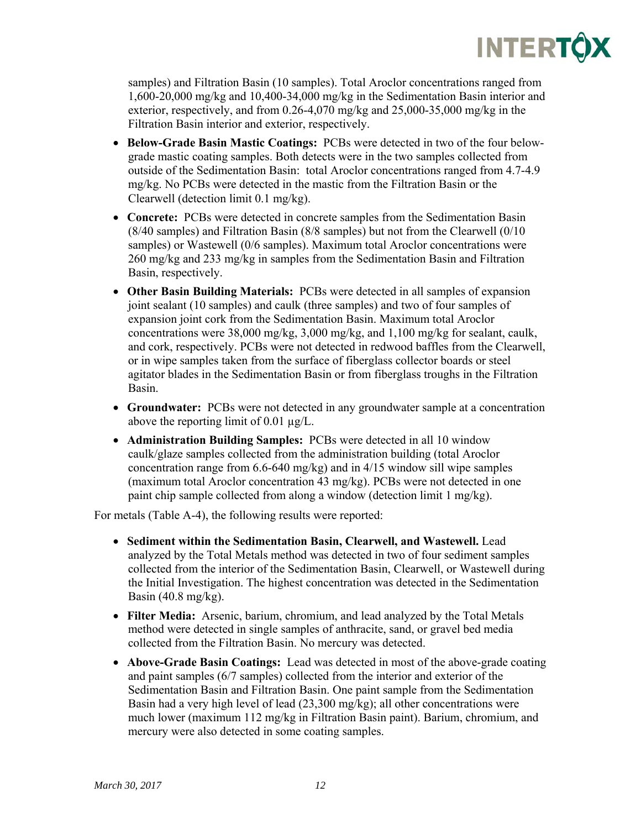

samples) and Filtration Basin (10 samples). Total Aroclor concentrations ranged from 1,600-20,000 mg/kg and 10,400-34,000 mg/kg in the Sedimentation Basin interior and exterior, respectively, and from 0.26-4,070 mg/kg and 25,000-35,000 mg/kg in the Filtration Basin interior and exterior, respectively.

- **Below-Grade Basin Mastic Coatings:** PCBs were detected in two of the four belowgrade mastic coating samples. Both detects were in the two samples collected from outside of the Sedimentation Basin: total Aroclor concentrations ranged from 4.7-4.9 mg/kg. No PCBs were detected in the mastic from the Filtration Basin or the Clearwell (detection limit 0.1 mg/kg).
- **Concrete:** PCBs were detected in concrete samples from the Sedimentation Basin (8/40 samples) and Filtration Basin (8/8 samples) but not from the Clearwell (0/10 samples) or Wastewell (0/6 samples). Maximum total Aroclor concentrations were 260 mg/kg and 233 mg/kg in samples from the Sedimentation Basin and Filtration Basin, respectively.
- **Other Basin Building Materials:** PCBs were detected in all samples of expansion joint sealant (10 samples) and caulk (three samples) and two of four samples of expansion joint cork from the Sedimentation Basin. Maximum total Aroclor concentrations were 38,000 mg/kg, 3,000 mg/kg, and 1,100 mg/kg for sealant, caulk, and cork, respectively. PCBs were not detected in redwood baffles from the Clearwell, or in wipe samples taken from the surface of fiberglass collector boards or steel agitator blades in the Sedimentation Basin or from fiberglass troughs in the Filtration Basin.
- **Groundwater:** PCBs were not detected in any groundwater sample at a concentration above the reporting limit of 0.01 µg/L.
- **Administration Building Samples:** PCBs were detected in all 10 window caulk/glaze samples collected from the administration building (total Aroclor concentration range from 6.6-640 mg/kg) and in 4/15 window sill wipe samples (maximum total Aroclor concentration 43 mg/kg). PCBs were not detected in one paint chip sample collected from along a window (detection limit 1 mg/kg).

For metals (Table A-4), the following results were reported:

- **Sediment within the Sedimentation Basin, Clearwell, and Wastewell.** Lead analyzed by the Total Metals method was detected in two of four sediment samples collected from the interior of the Sedimentation Basin, Clearwell, or Wastewell during the Initial Investigation. The highest concentration was detected in the Sedimentation Basin (40.8 mg/kg).
- **Filter Media:** Arsenic, barium, chromium, and lead analyzed by the Total Metals method were detected in single samples of anthracite, sand, or gravel bed media collected from the Filtration Basin. No mercury was detected.
- **Above-Grade Basin Coatings:** Lead was detected in most of the above-grade coating and paint samples (6/7 samples) collected from the interior and exterior of the Sedimentation Basin and Filtration Basin. One paint sample from the Sedimentation Basin had a very high level of lead (23,300 mg/kg); all other concentrations were much lower (maximum 112 mg/kg in Filtration Basin paint). Barium, chromium, and mercury were also detected in some coating samples.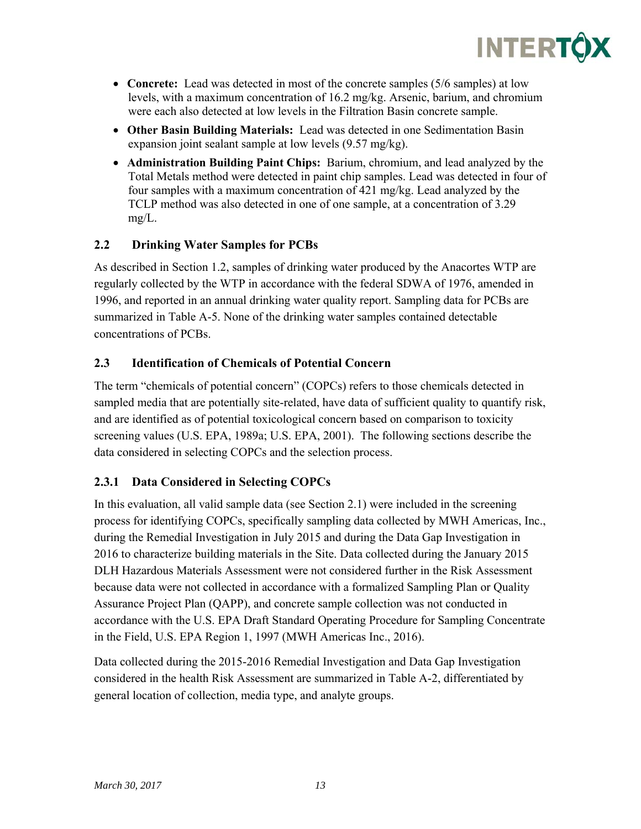

- **Concrete:** Lead was detected in most of the concrete samples (5/6 samples) at low levels, with a maximum concentration of 16.2 mg/kg. Arsenic, barium, and chromium were each also detected at low levels in the Filtration Basin concrete sample.
- **Other Basin Building Materials:** Lead was detected in one Sedimentation Basin expansion joint sealant sample at low levels (9.57 mg/kg).
- **Administration Building Paint Chips:** Barium, chromium, and lead analyzed by the Total Metals method were detected in paint chip samples. Lead was detected in four of four samples with a maximum concentration of 421 mg/kg. Lead analyzed by the TCLP method was also detected in one of one sample, at a concentration of 3.29 mg/L.

### **2.2 Drinking Water Samples for PCBs**

As described in Section 1.2, samples of drinking water produced by the Anacortes WTP are regularly collected by the WTP in accordance with the federal SDWA of 1976, amended in 1996, and reported in an annual drinking water quality report. Sampling data for PCBs are summarized in Table A-5. None of the drinking water samples contained detectable concentrations of PCBs.

### **2.3 Identification of Chemicals of Potential Concern**

The term "chemicals of potential concern" (COPCs) refers to those chemicals detected in sampled media that are potentially site-related, have data of sufficient quality to quantify risk, and are identified as of potential toxicological concern based on comparison to toxicity screening values (U.S. EPA, 1989a; U.S. EPA, 2001). The following sections describe the data considered in selecting COPCs and the selection process.

#### **2.3.1 Data Considered in Selecting COPCs**

In this evaluation, all valid sample data (see Section 2.1) were included in the screening process for identifying COPCs, specifically sampling data collected by MWH Americas, Inc., during the Remedial Investigation in July 2015 and during the Data Gap Investigation in 2016 to characterize building materials in the Site. Data collected during the January 2015 DLH Hazardous Materials Assessment were not considered further in the Risk Assessment because data were not collected in accordance with a formalized Sampling Plan or Quality Assurance Project Plan (QAPP), and concrete sample collection was not conducted in accordance with the U.S. EPA Draft Standard Operating Procedure for Sampling Concentrate in the Field, U.S. EPA Region 1, 1997 (MWH Americas Inc., 2016).

Data collected during the 2015-2016 Remedial Investigation and Data Gap Investigation considered in the health Risk Assessment are summarized in Table A-2, differentiated by general location of collection, media type, and analyte groups.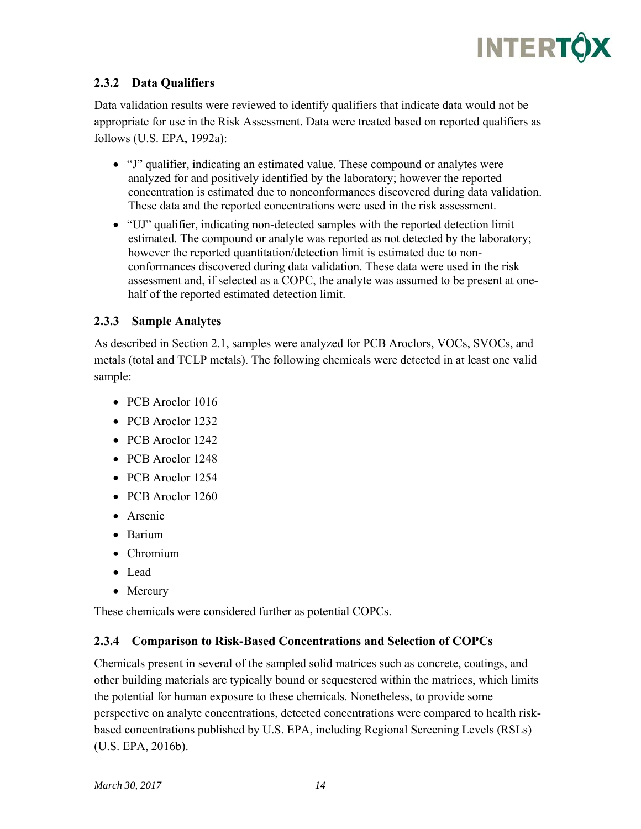

### **2.3.2 Data Qualifiers**

Data validation results were reviewed to identify qualifiers that indicate data would not be appropriate for use in the Risk Assessment. Data were treated based on reported qualifiers as follows (U.S. EPA, 1992a):

- "J" qualifier, indicating an estimated value. These compound or analytes were analyzed for and positively identified by the laboratory; however the reported concentration is estimated due to nonconformances discovered during data validation. These data and the reported concentrations were used in the risk assessment.
- "UJ" qualifier, indicating non-detected samples with the reported detection limit estimated. The compound or analyte was reported as not detected by the laboratory; however the reported quantitation/detection limit is estimated due to nonconformances discovered during data validation. These data were used in the risk assessment and, if selected as a COPC, the analyte was assumed to be present at onehalf of the reported estimated detection limit.

#### **2.3.3 Sample Analytes**

As described in Section 2.1, samples were analyzed for PCB Aroclors, VOCs, SVOCs, and metals (total and TCLP metals). The following chemicals were detected in at least one valid sample:

- PCB Aroclor 1016
- PCB Aroclor 1232
- PCB Aroclor 1242
- PCB Aroclor 1248
- PCB Aroclor 1254
- PCB Aroclor 1260
- Arsenic
- Barium
- Chromium
- Lead
- Mercury

These chemicals were considered further as potential COPCs.

#### **2.3.4 Comparison to Risk-Based Concentrations and Selection of COPCs**

Chemicals present in several of the sampled solid matrices such as concrete, coatings, and other building materials are typically bound or sequestered within the matrices, which limits the potential for human exposure to these chemicals. Nonetheless, to provide some perspective on analyte concentrations, detected concentrations were compared to health riskbased concentrations published by U.S. EPA, including Regional Screening Levels (RSLs) (U.S. EPA, 2016b).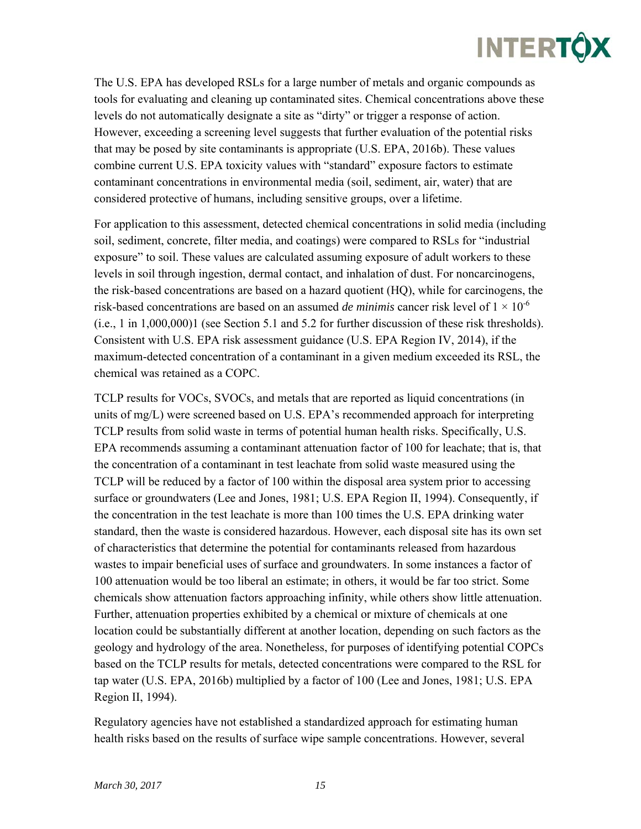The U.S. EPA has developed RSLs for a large number of metals and organic compounds as tools for evaluating and cleaning up contaminated sites. Chemical concentrations above these levels do not automatically designate a site as "dirty" or trigger a response of action. However, exceeding a screening level suggests that further evaluation of the potential risks that may be posed by site contaminants is appropriate (U.S. EPA, 2016b). These values combine current U.S. EPA toxicity values with "standard" exposure factors to estimate contaminant concentrations in environmental media (soil, sediment, air, water) that are considered protective of humans, including sensitive groups, over a lifetime.

For application to this assessment, detected chemical concentrations in solid media (including soil, sediment, concrete, filter media, and coatings) were compared to RSLs for "industrial exposure" to soil. These values are calculated assuming exposure of adult workers to these levels in soil through ingestion, dermal contact, and inhalation of dust. For noncarcinogens, the risk-based concentrations are based on a hazard quotient (HQ), while for carcinogens, the risk-based concentrations are based on an assumed *de minimis* cancer risk level of  $1 \times 10^{-6}$ (i.e., 1 in 1,000,000)1 (see Section 5.1 and 5.2 for further discussion of these risk thresholds). Consistent with U.S. EPA risk assessment guidance (U.S. EPA Region IV, 2014), if the maximum-detected concentration of a contaminant in a given medium exceeded its RSL, the chemical was retained as a COPC.

TCLP results for VOCs, SVOCs, and metals that are reported as liquid concentrations (in units of mg/L) were screened based on U.S. EPA's recommended approach for interpreting TCLP results from solid waste in terms of potential human health risks. Specifically, U.S. EPA recommends assuming a contaminant attenuation factor of 100 for leachate; that is, that the concentration of a contaminant in test leachate from solid waste measured using the TCLP will be reduced by a factor of 100 within the disposal area system prior to accessing surface or groundwaters (Lee and Jones, 1981; U.S. EPA Region II, 1994). Consequently, if the concentration in the test leachate is more than 100 times the U.S. EPA drinking water standard, then the waste is considered hazardous. However, each disposal site has its own set of characteristics that determine the potential for contaminants released from hazardous wastes to impair beneficial uses of surface and groundwaters. In some instances a factor of 100 attenuation would be too liberal an estimate; in others, it would be far too strict. Some chemicals show attenuation factors approaching infinity, while others show little attenuation. Further, attenuation properties exhibited by a chemical or mixture of chemicals at one location could be substantially different at another location, depending on such factors as the geology and hydrology of the area. Nonetheless, for purposes of identifying potential COPCs based on the TCLP results for metals, detected concentrations were compared to the RSL for tap water (U.S. EPA, 2016b) multiplied by a factor of 100 (Lee and Jones, 1981; U.S. EPA Region II, 1994).

Regulatory agencies have not established a standardized approach for estimating human health risks based on the results of surface wipe sample concentrations. However, several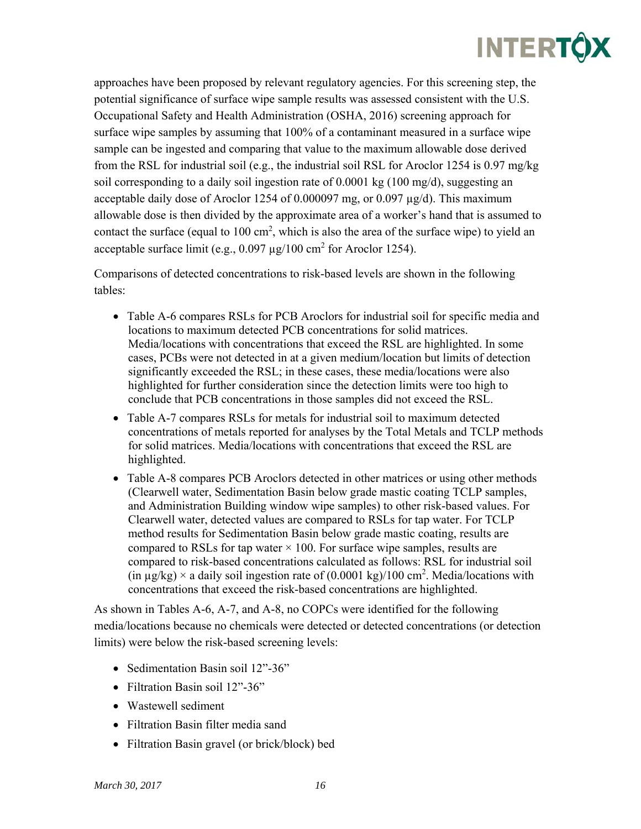## **INTERTÓX**

approaches have been proposed by relevant regulatory agencies. For this screening step, the potential significance of surface wipe sample results was assessed consistent with the U.S. Occupational Safety and Health Administration (OSHA, 2016) screening approach for surface wipe samples by assuming that 100% of a contaminant measured in a surface wipe sample can be ingested and comparing that value to the maximum allowable dose derived from the RSL for industrial soil (e.g., the industrial soil RSL for Aroclor 1254 is 0.97 mg/kg soil corresponding to a daily soil ingestion rate of 0.0001 kg  $(100 \text{ mg/d})$ , suggesting an acceptable daily dose of Aroclor 1254 of 0.000097 mg, or 0.097  $\mu$ g/d). This maximum allowable dose is then divided by the approximate area of a worker's hand that is assumed to contact the surface (equal to  $100 \text{ cm}^2$ , which is also the area of the surface wipe) to yield an acceptable surface limit (e.g.,  $0.097 \mu g/100 \text{ cm}^2$  for Aroclor 1254).

Comparisons of detected concentrations to risk-based levels are shown in the following tables:

- Table A-6 compares RSLs for PCB Aroclors for industrial soil for specific media and locations to maximum detected PCB concentrations for solid matrices. Media/locations with concentrations that exceed the RSL are highlighted. In some cases, PCBs were not detected in at a given medium/location but limits of detection significantly exceeded the RSL; in these cases, these media/locations were also highlighted for further consideration since the detection limits were too high to conclude that PCB concentrations in those samples did not exceed the RSL.
- Table A-7 compares RSLs for metals for industrial soil to maximum detected concentrations of metals reported for analyses by the Total Metals and TCLP methods for solid matrices. Media/locations with concentrations that exceed the RSL are highlighted.
- Table A-8 compares PCB Aroclors detected in other matrices or using other methods (Clearwell water, Sedimentation Basin below grade mastic coating TCLP samples, and Administration Building window wipe samples) to other risk-based values. For Clearwell water, detected values are compared to RSLs for tap water. For TCLP method results for Sedimentation Basin below grade mastic coating, results are compared to RSLs for tap water  $\times$  100. For surface wipe samples, results are compared to risk-based concentrations calculated as follows: RSL for industrial soil (in  $\mu$ g/kg)  $\times$  a daily soil ingestion rate of (0.0001 kg)/100 cm<sup>2</sup>. Media/locations with concentrations that exceed the risk-based concentrations are highlighted.

As shown in Tables A-6, A-7, and A-8, no COPCs were identified for the following media/locations because no chemicals were detected or detected concentrations (or detection limits) were below the risk-based screening levels:

- Sedimentation Basin soil 12"-36"
- Filtration Basin soil 12"-36"
- Wastewell sediment
- Filtration Basin filter media sand
- Filtration Basin gravel (or brick/block) bed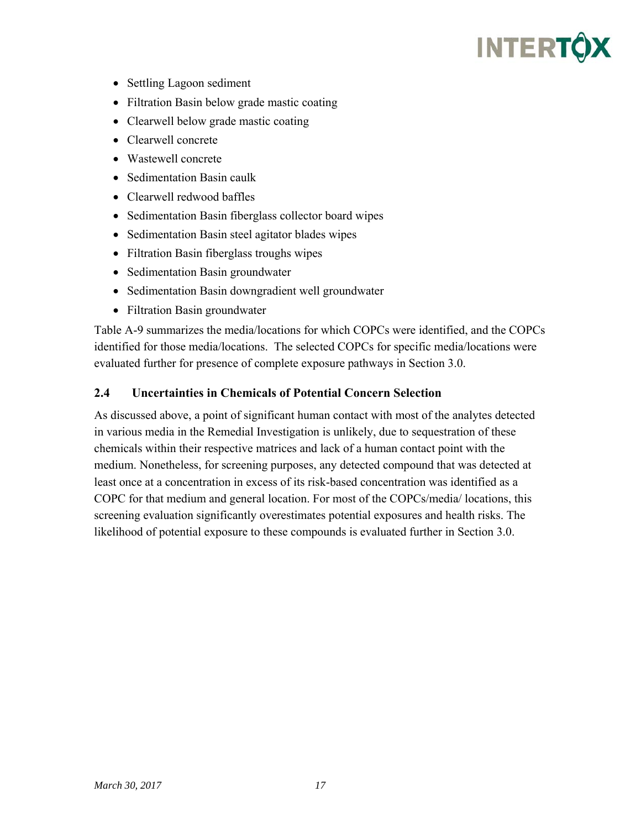- Settling Lagoon sediment
- Filtration Basin below grade mastic coating
- Clearwell below grade mastic coating
- Clearwell concrete
- Wastewell concrete
- Sedimentation Basin caulk
- Clearwell redwood baffles
- Sedimentation Basin fiberglass collector board wipes
- Sedimentation Basin steel agitator blades wipes
- Filtration Basin fiberglass troughs wipes
- Sedimentation Basin groundwater
- Sedimentation Basin downgradient well groundwater
- Filtration Basin groundwater

Table A-9 summarizes the media/locations for which COPCs were identified, and the COPCs identified for those media/locations. The selected COPCs for specific media/locations were evaluated further for presence of complete exposure pathways in Section 3.0.

#### **2.4 Uncertainties in Chemicals of Potential Concern Selection**

As discussed above, a point of significant human contact with most of the analytes detected in various media in the Remedial Investigation is unlikely, due to sequestration of these chemicals within their respective matrices and lack of a human contact point with the medium. Nonetheless, for screening purposes, any detected compound that was detected at least once at a concentration in excess of its risk-based concentration was identified as a COPC for that medium and general location. For most of the COPCs/media/ locations, this screening evaluation significantly overestimates potential exposures and health risks. The likelihood of potential exposure to these compounds is evaluated further in Section 3.0.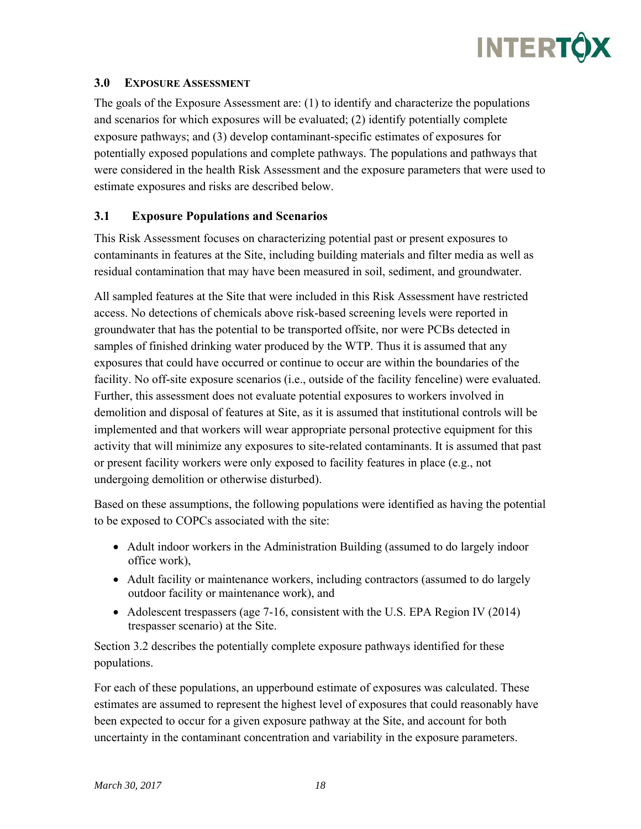#### **3.0 EXPOSURE ASSESSMENT**

The goals of the Exposure Assessment are: (1) to identify and characterize the populations and scenarios for which exposures will be evaluated; (2) identify potentially complete exposure pathways; and (3) develop contaminant-specific estimates of exposures for potentially exposed populations and complete pathways. The populations and pathways that were considered in the health Risk Assessment and the exposure parameters that were used to estimate exposures and risks are described below.

#### **3.1 Exposure Populations and Scenarios**

This Risk Assessment focuses on characterizing potential past or present exposures to contaminants in features at the Site, including building materials and filter media as well as residual contamination that may have been measured in soil, sediment, and groundwater.

All sampled features at the Site that were included in this Risk Assessment have restricted access. No detections of chemicals above risk-based screening levels were reported in groundwater that has the potential to be transported offsite, nor were PCBs detected in samples of finished drinking water produced by the WTP. Thus it is assumed that any exposures that could have occurred or continue to occur are within the boundaries of the facility. No off-site exposure scenarios (i.e., outside of the facility fenceline) were evaluated. Further, this assessment does not evaluate potential exposures to workers involved in demolition and disposal of features at Site, as it is assumed that institutional controls will be implemented and that workers will wear appropriate personal protective equipment for this activity that will minimize any exposures to site-related contaminants. It is assumed that past or present facility workers were only exposed to facility features in place (e.g., not undergoing demolition or otherwise disturbed).

Based on these assumptions, the following populations were identified as having the potential to be exposed to COPCs associated with the site:

- Adult indoor workers in the Administration Building (assumed to do largely indoor office work),
- Adult facility or maintenance workers, including contractors (assumed to do largely outdoor facility or maintenance work), and
- $\bullet$  Adolescent trespassers (age 7-16, consistent with the U.S. EPA Region IV (2014) trespasser scenario) at the Site.

Section 3.2 describes the potentially complete exposure pathways identified for these populations.

For each of these populations, an upperbound estimate of exposures was calculated. These estimates are assumed to represent the highest level of exposures that could reasonably have been expected to occur for a given exposure pathway at the Site, and account for both uncertainty in the contaminant concentration and variability in the exposure parameters.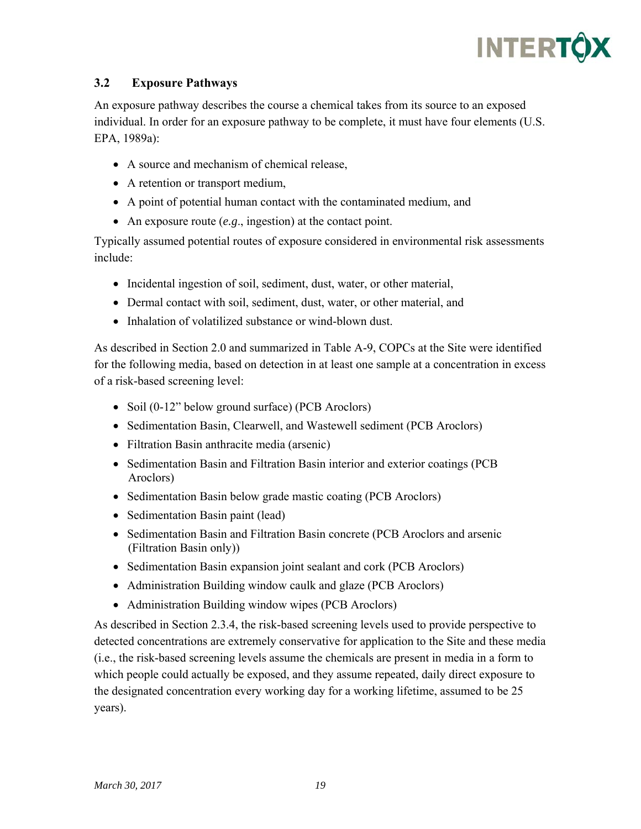## **INTERTÓX**

### **3.2 Exposure Pathways**

An exposure pathway describes the course a chemical takes from its source to an exposed individual. In order for an exposure pathway to be complete, it must have four elements (U.S. EPA, 1989a):

- A source and mechanism of chemical release,
- A retention or transport medium,
- A point of potential human contact with the contaminated medium, and
- An exposure route (*e.g*., ingestion) at the contact point.

Typically assumed potential routes of exposure considered in environmental risk assessments include:

- Incidental ingestion of soil, sediment, dust, water, or other material,
- Dermal contact with soil, sediment, dust, water, or other material, and
- Inhalation of volatilized substance or wind-blown dust.

As described in Section 2.0 and summarized in Table A-9, COPCs at the Site were identified for the following media, based on detection in at least one sample at a concentration in excess of a risk-based screening level:

- Soil (0-12" below ground surface) (PCB Aroclors)
- Sedimentation Basin, Clearwell, and Wastewell sediment (PCB Aroclors)
- Filtration Basin anthracite media (arsenic)
- Sedimentation Basin and Filtration Basin interior and exterior coatings (PCB) Aroclors)
- Sedimentation Basin below grade mastic coating (PCB Aroclors)
- Sedimentation Basin paint (lead)
- Sedimentation Basin and Filtration Basin concrete (PCB Aroclors and arsenic (Filtration Basin only))
- Sedimentation Basin expansion joint sealant and cork (PCB Aroclors)
- Administration Building window caulk and glaze (PCB Aroclors)
- Administration Building window wipes (PCB Aroclors)

As described in Section 2.3.4, the risk-based screening levels used to provide perspective to detected concentrations are extremely conservative for application to the Site and these media (i.e., the risk-based screening levels assume the chemicals are present in media in a form to which people could actually be exposed, and they assume repeated, daily direct exposure to the designated concentration every working day for a working lifetime, assumed to be 25 years).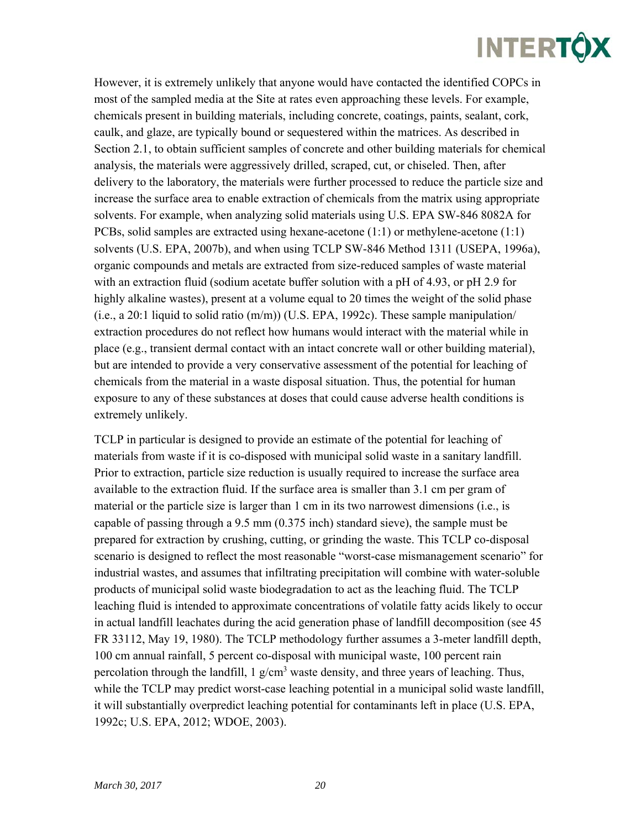However, it is extremely unlikely that anyone would have contacted the identified COPCs in most of the sampled media at the Site at rates even approaching these levels. For example, chemicals present in building materials, including concrete, coatings, paints, sealant, cork, caulk, and glaze, are typically bound or sequestered within the matrices. As described in Section 2.1, to obtain sufficient samples of concrete and other building materials for chemical analysis, the materials were aggressively drilled, scraped, cut, or chiseled. Then, after delivery to the laboratory, the materials were further processed to reduce the particle size and increase the surface area to enable extraction of chemicals from the matrix using appropriate solvents. For example, when analyzing solid materials using U.S. EPA SW-846 8082A for PCBs, solid samples are extracted using hexane-acetone  $(1:1)$  or methylene-acetone  $(1:1)$ solvents (U.S. EPA, 2007b), and when using TCLP SW-846 Method 1311 (USEPA, 1996a), organic compounds and metals are extracted from size-reduced samples of waste material with an extraction fluid (sodium acetate buffer solution with a pH of 4.93, or pH 2.9 for highly alkaline wastes), present at a volume equal to 20 times the weight of the solid phase (i.e., a 20:1 liquid to solid ratio (m/m)) (U.S. EPA, 1992c). These sample manipulation/ extraction procedures do not reflect how humans would interact with the material while in place (e.g., transient dermal contact with an intact concrete wall or other building material), but are intended to provide a very conservative assessment of the potential for leaching of chemicals from the material in a waste disposal situation. Thus, the potential for human exposure to any of these substances at doses that could cause adverse health conditions is extremely unlikely.

TCLP in particular is designed to provide an estimate of the potential for leaching of materials from waste if it is co-disposed with municipal solid waste in a sanitary landfill. Prior to extraction, particle size reduction is usually required to increase the surface area available to the extraction fluid. If the surface area is smaller than 3.1 cm per gram of material or the particle size is larger than 1 cm in its two narrowest dimensions (i.e., is capable of passing through a 9.5 mm (0.375 inch) standard sieve), the sample must be prepared for extraction by crushing, cutting, or grinding the waste. This TCLP co-disposal scenario is designed to reflect the most reasonable "worst-case mismanagement scenario" for industrial wastes, and assumes that infiltrating precipitation will combine with water-soluble products of municipal solid waste biodegradation to act as the leaching fluid. The TCLP leaching fluid is intended to approximate concentrations of volatile fatty acids likely to occur in actual landfill leachates during the acid generation phase of landfill decomposition (see 45 FR 33112, May 19, 1980). The TCLP methodology further assumes a 3-meter landfill depth, 100 cm annual rainfall, 5 percent co-disposal with municipal waste, 100 percent rain percolation through the landfill, 1  $g/cm<sup>3</sup>$  waste density, and three years of leaching. Thus, while the TCLP may predict worst-case leaching potential in a municipal solid waste landfill, it will substantially overpredict leaching potential for contaminants left in place (U.S. EPA, 1992c; U.S. EPA, 2012; WDOE, 2003).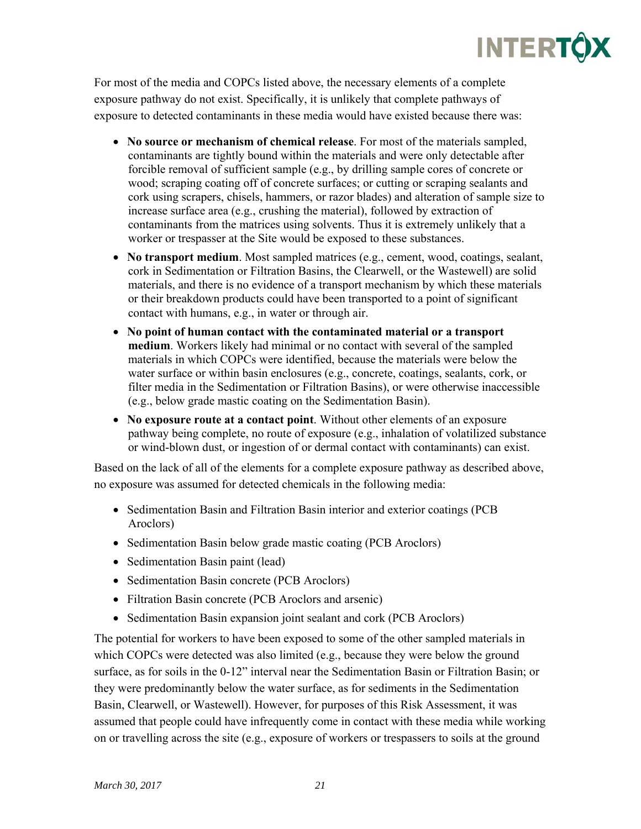For most of the media and COPCs listed above, the necessary elements of a complete exposure pathway do not exist. Specifically, it is unlikely that complete pathways of exposure to detected contaminants in these media would have existed because there was:

- **No source or mechanism of chemical release**. For most of the materials sampled, contaminants are tightly bound within the materials and were only detectable after forcible removal of sufficient sample (e.g., by drilling sample cores of concrete or wood; scraping coating off of concrete surfaces; or cutting or scraping sealants and cork using scrapers, chisels, hammers, or razor blades) and alteration of sample size to increase surface area (e.g., crushing the material), followed by extraction of contaminants from the matrices using solvents. Thus it is extremely unlikely that a worker or trespasser at the Site would be exposed to these substances.
- **No transport medium**. Most sampled matrices (e.g., cement, wood, coatings, sealant, cork in Sedimentation or Filtration Basins, the Clearwell, or the Wastewell) are solid materials, and there is no evidence of a transport mechanism by which these materials or their breakdown products could have been transported to a point of significant contact with humans, e.g., in water or through air.
- **No point of human contact with the contaminated material or a transport medium**. Workers likely had minimal or no contact with several of the sampled materials in which COPCs were identified, because the materials were below the water surface or within basin enclosures (e.g., concrete, coatings, sealants, cork, or filter media in the Sedimentation or Filtration Basins), or were otherwise inaccessible (e.g., below grade mastic coating on the Sedimentation Basin).
- **No exposure route at a contact point**. Without other elements of an exposure pathway being complete, no route of exposure (e.g., inhalation of volatilized substance or wind-blown dust, or ingestion of or dermal contact with contaminants) can exist.

Based on the lack of all of the elements for a complete exposure pathway as described above, no exposure was assumed for detected chemicals in the following media:

- Sedimentation Basin and Filtration Basin interior and exterior coatings (PCB) Aroclors)
- Sedimentation Basin below grade mastic coating (PCB Aroclors)
- Sedimentation Basin paint (lead)
- Sedimentation Basin concrete (PCB Aroclors)
- Filtration Basin concrete (PCB Aroclors and arsenic)
- Sedimentation Basin expansion joint sealant and cork (PCB Aroclors)

The potential for workers to have been exposed to some of the other sampled materials in which COPCs were detected was also limited (e.g., because they were below the ground surface, as for soils in the 0-12" interval near the Sedimentation Basin or Filtration Basin; or they were predominantly below the water surface, as for sediments in the Sedimentation Basin, Clearwell, or Wastewell). However, for purposes of this Risk Assessment, it was assumed that people could have infrequently come in contact with these media while working on or travelling across the site (e.g., exposure of workers or trespassers to soils at the ground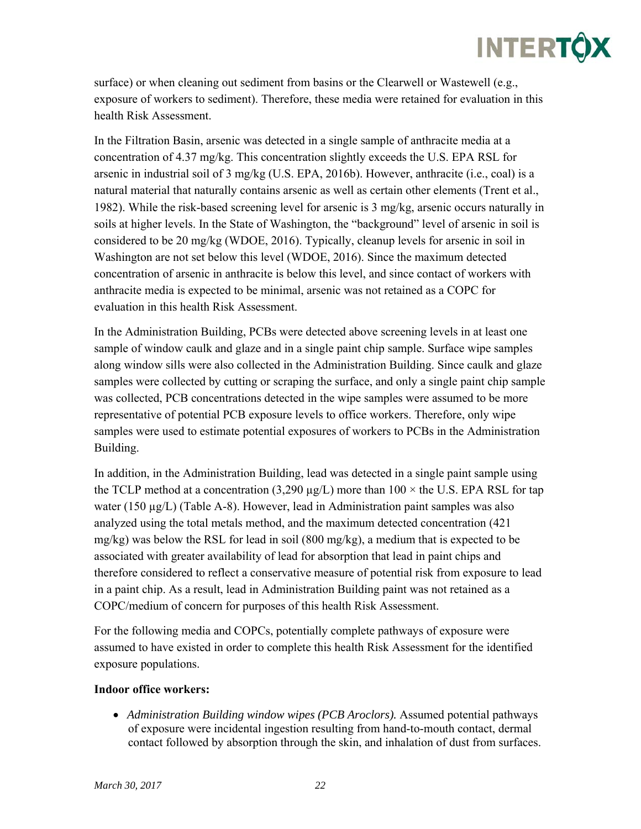surface) or when cleaning out sediment from basins or the Clearwell or Wastewell (e.g., exposure of workers to sediment). Therefore, these media were retained for evaluation in this health Risk Assessment.

In the Filtration Basin, arsenic was detected in a single sample of anthracite media at a concentration of 4.37 mg/kg. This concentration slightly exceeds the U.S. EPA RSL for arsenic in industrial soil of 3 mg/kg (U.S. EPA, 2016b). However, anthracite (i.e., coal) is a natural material that naturally contains arsenic as well as certain other elements (Trent et al., 1982). While the risk-based screening level for arsenic is 3 mg/kg, arsenic occurs naturally in soils at higher levels. In the State of Washington, the "background" level of arsenic in soil is considered to be 20 mg/kg (WDOE, 2016). Typically, cleanup levels for arsenic in soil in Washington are not set below this level (WDOE, 2016). Since the maximum detected concentration of arsenic in anthracite is below this level, and since contact of workers with anthracite media is expected to be minimal, arsenic was not retained as a COPC for evaluation in this health Risk Assessment.

In the Administration Building, PCBs were detected above screening levels in at least one sample of window caulk and glaze and in a single paint chip sample. Surface wipe samples along window sills were also collected in the Administration Building. Since caulk and glaze samples were collected by cutting or scraping the surface, and only a single paint chip sample was collected, PCB concentrations detected in the wipe samples were assumed to be more representative of potential PCB exposure levels to office workers. Therefore, only wipe samples were used to estimate potential exposures of workers to PCBs in the Administration Building.

In addition, in the Administration Building, lead was detected in a single paint sample using the TCLP method at a concentration (3,290  $\mu$ g/L) more than 100  $\times$  the U.S. EPA RSL for tap water (150 µg/L) (Table A-8). However, lead in Administration paint samples was also analyzed using the total metals method, and the maximum detected concentration (421 mg/kg) was below the RSL for lead in soil (800 mg/kg), a medium that is expected to be associated with greater availability of lead for absorption that lead in paint chips and therefore considered to reflect a conservative measure of potential risk from exposure to lead in a paint chip. As a result, lead in Administration Building paint was not retained as a COPC/medium of concern for purposes of this health Risk Assessment.

For the following media and COPCs, potentially complete pathways of exposure were assumed to have existed in order to complete this health Risk Assessment for the identified exposure populations.

#### **Indoor office workers:**

 *Administration Building window wipes (PCB Aroclors).* Assumed potential pathways of exposure were incidental ingestion resulting from hand-to-mouth contact, dermal contact followed by absorption through the skin, and inhalation of dust from surfaces.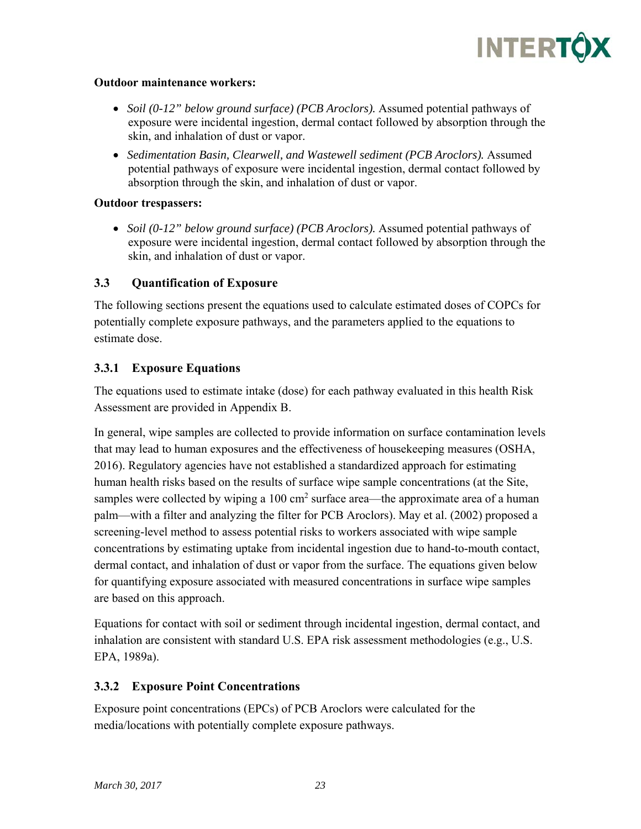

#### **Outdoor maintenance workers:**

- *Soil (0-12" below ground surface) (PCB Aroclors).* Assumed potential pathways of exposure were incidental ingestion, dermal contact followed by absorption through the skin, and inhalation of dust or vapor.
- *Sedimentation Basin, Clearwell, and Wastewell sediment (PCB Aroclors).* Assumed potential pathways of exposure were incidental ingestion, dermal contact followed by absorption through the skin, and inhalation of dust or vapor.

#### **Outdoor trespassers:**

• *Soil (0-12" below ground surface) (PCB Aroclors).* Assumed potential pathways of exposure were incidental ingestion, dermal contact followed by absorption through the skin, and inhalation of dust or vapor.

#### **3.3 Quantification of Exposure**

The following sections present the equations used to calculate estimated doses of COPCs for potentially complete exposure pathways, and the parameters applied to the equations to estimate dose.

#### **3.3.1 Exposure Equations**

The equations used to estimate intake (dose) for each pathway evaluated in this health Risk Assessment are provided in Appendix B.

In general, wipe samples are collected to provide information on surface contamination levels that may lead to human exposures and the effectiveness of housekeeping measures (OSHA, 2016). Regulatory agencies have not established a standardized approach for estimating human health risks based on the results of surface wipe sample concentrations (at the Site, samples were collected by wiping a 100 cm<sup>2</sup> surface area—the approximate area of a human palm—with a filter and analyzing the filter for PCB Aroclors). May et al. (2002) proposed a screening-level method to assess potential risks to workers associated with wipe sample concentrations by estimating uptake from incidental ingestion due to hand-to-mouth contact, dermal contact, and inhalation of dust or vapor from the surface. The equations given below for quantifying exposure associated with measured concentrations in surface wipe samples are based on this approach.

Equations for contact with soil or sediment through incidental ingestion, dermal contact, and inhalation are consistent with standard U.S. EPA risk assessment methodologies (e.g., U.S. EPA, 1989a).

#### **3.3.2 Exposure Point Concentrations**

Exposure point concentrations (EPCs) of PCB Aroclors were calculated for the media/locations with potentially complete exposure pathways.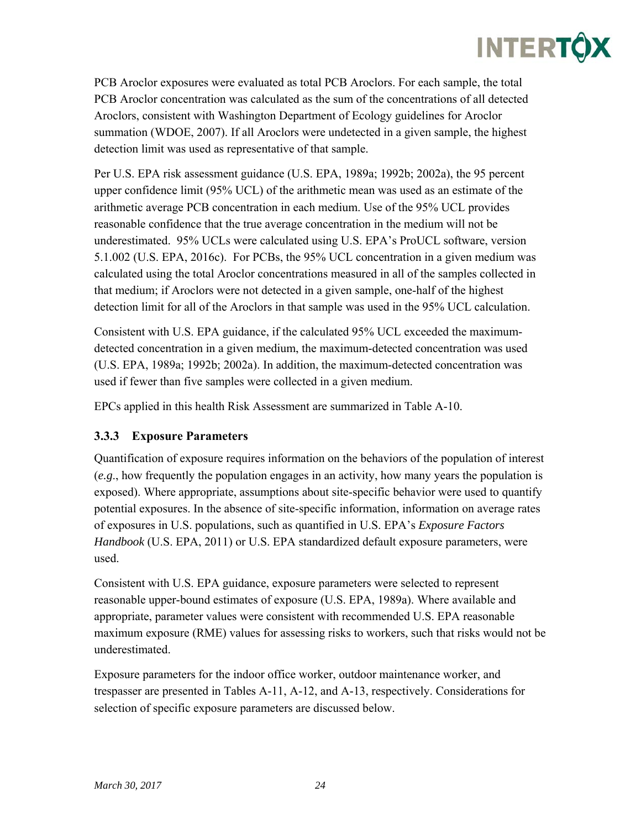## **INTERTÔX**

PCB Aroclor exposures were evaluated as total PCB Aroclors. For each sample, the total PCB Aroclor concentration was calculated as the sum of the concentrations of all detected Aroclors, consistent with Washington Department of Ecology guidelines for Aroclor summation (WDOE, 2007). If all Aroclors were undetected in a given sample, the highest detection limit was used as representative of that sample.

Per U.S. EPA risk assessment guidance (U.S. EPA, 1989a; 1992b; 2002a), the 95 percent upper confidence limit (95% UCL) of the arithmetic mean was used as an estimate of the arithmetic average PCB concentration in each medium. Use of the 95% UCL provides reasonable confidence that the true average concentration in the medium will not be underestimated. 95% UCLs were calculated using U.S. EPA's ProUCL software, version 5.1.002 (U.S. EPA, 2016c). For PCBs, the 95% UCL concentration in a given medium was calculated using the total Aroclor concentrations measured in all of the samples collected in that medium; if Aroclors were not detected in a given sample, one-half of the highest detection limit for all of the Aroclors in that sample was used in the 95% UCL calculation.

Consistent with U.S. EPA guidance, if the calculated 95% UCL exceeded the maximumdetected concentration in a given medium, the maximum-detected concentration was used (U.S. EPA, 1989a; 1992b; 2002a). In addition, the maximum-detected concentration was used if fewer than five samples were collected in a given medium.

EPCs applied in this health Risk Assessment are summarized in Table A-10.

### **3.3.3 Exposure Parameters**

Quantification of exposure requires information on the behaviors of the population of interest (*e.g*., how frequently the population engages in an activity, how many years the population is exposed). Where appropriate, assumptions about site-specific behavior were used to quantify potential exposures. In the absence of site-specific information, information on average rates of exposures in U.S. populations, such as quantified in U.S. EPA's *Exposure Factors Handbook* (U.S. EPA, 2011) or U.S. EPA standardized default exposure parameters, were used.

Consistent with U.S. EPA guidance, exposure parameters were selected to represent reasonable upper-bound estimates of exposure (U.S. EPA, 1989a). Where available and appropriate, parameter values were consistent with recommended U.S. EPA reasonable maximum exposure (RME) values for assessing risks to workers, such that risks would not be underestimated.

Exposure parameters for the indoor office worker, outdoor maintenance worker, and trespasser are presented in Tables A-11, A-12, and A-13, respectively. Considerations for selection of specific exposure parameters are discussed below.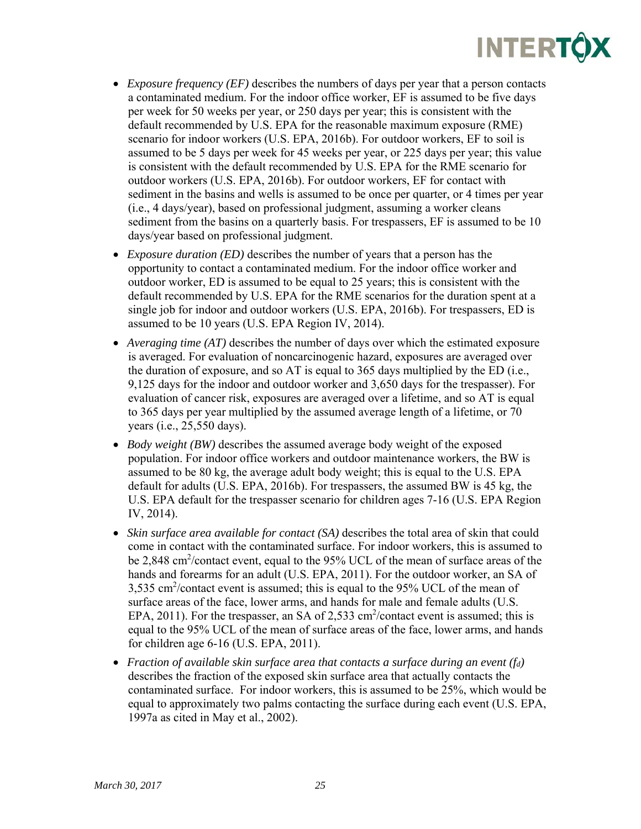

- *Exposure frequency (EF)* describes the numbers of days per year that a person contacts a contaminated medium. For the indoor office worker, EF is assumed to be five days per week for 50 weeks per year, or 250 days per year; this is consistent with the default recommended by U.S. EPA for the reasonable maximum exposure (RME) scenario for indoor workers (U.S. EPA, 2016b). For outdoor workers, EF to soil is assumed to be 5 days per week for 45 weeks per year, or 225 days per year; this value is consistent with the default recommended by U.S. EPA for the RME scenario for outdoor workers (U.S. EPA, 2016b). For outdoor workers, EF for contact with sediment in the basins and wells is assumed to be once per quarter, or 4 times per year (i.e., 4 days/year), based on professional judgment, assuming a worker cleans sediment from the basins on a quarterly basis. For trespassers, EF is assumed to be 10 days/year based on professional judgment.
- *Exposure duration (ED)* describes the number of years that a person has the opportunity to contact a contaminated medium. For the indoor office worker and outdoor worker, ED is assumed to be equal to 25 years; this is consistent with the default recommended by U.S. EPA for the RME scenarios for the duration spent at a single job for indoor and outdoor workers (U.S. EPA, 2016b). For trespassers, ED is assumed to be 10 years (U.S. EPA Region IV, 2014).
- *Averaging time (AT)* describes the number of days over which the estimated exposure is averaged. For evaluation of noncarcinogenic hazard, exposures are averaged over the duration of exposure, and so AT is equal to  $365$  days multiplied by the ED (i.e., 9,125 days for the indoor and outdoor worker and 3,650 days for the trespasser). For evaluation of cancer risk, exposures are averaged over a lifetime, and so AT is equal to 365 days per year multiplied by the assumed average length of a lifetime, or 70 years (i.e., 25,550 days).
- *Body weight (BW)* describes the assumed average body weight of the exposed population. For indoor office workers and outdoor maintenance workers, the BW is assumed to be 80 kg, the average adult body weight; this is equal to the U.S. EPA default for adults (U.S. EPA, 2016b). For trespassers, the assumed BW is 45 kg, the U.S. EPA default for the trespasser scenario for children ages 7-16 (U.S. EPA Region IV, 2014).
- *Skin surface area available for contact (SA)* describes the total area of skin that could come in contact with the contaminated surface. For indoor workers, this is assumed to be 2,848 cm<sup>2</sup>/contact event, equal to the 95% UCL of the mean of surface areas of the hands and forearms for an adult (U.S. EPA, 2011). For the outdoor worker, an SA of 3,535 cm2 /contact event is assumed; this is equal to the 95% UCL of the mean of surface areas of the face, lower arms, and hands for male and female adults (U.S. EPA, 2011). For the trespasser, an SA of 2,533  $\text{cm}^2/\text{contact}$  event is assumed; this is equal to the 95% UCL of the mean of surface areas of the face, lower arms, and hands for children age 6-16 (U.S. EPA, 2011).
- *Fraction of available skin surface area that contacts a surface during an event (fd)* describes the fraction of the exposed skin surface area that actually contacts the contaminated surface. For indoor workers, this is assumed to be 25%, which would be equal to approximately two palms contacting the surface during each event (U.S. EPA, 1997a as cited in May et al., 2002).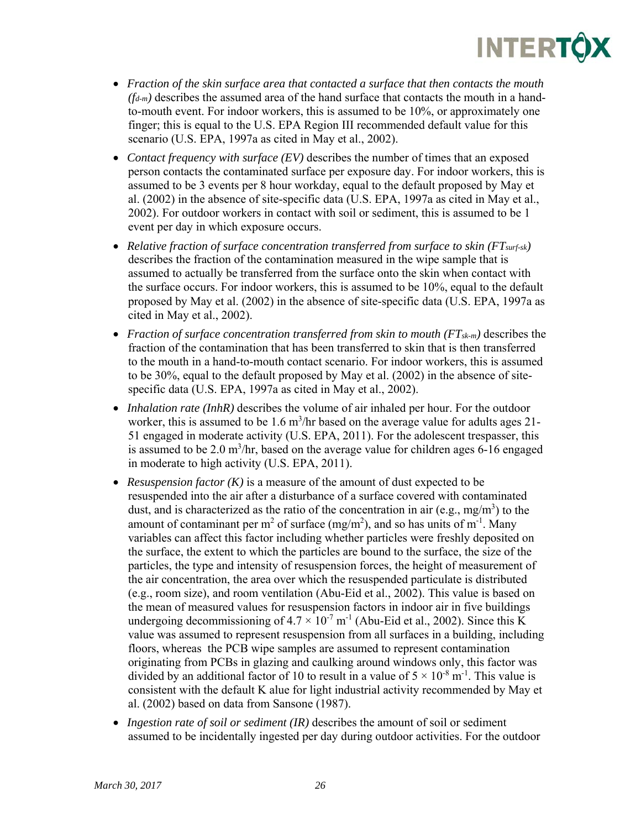

- *Fraction of the skin surface area that contacted a surface that then contacts the mouth*   $(f_{d-m})$  describes the assumed area of the hand surface that contacts the mouth in a handto-mouth event. For indoor workers, this is assumed to be 10%, or approximately one finger; this is equal to the U.S. EPA Region III recommended default value for this scenario (U.S. EPA, 1997a as cited in May et al., 2002).
- *Contact frequency with surface (EV)* describes the number of times that an exposed person contacts the contaminated surface per exposure day. For indoor workers, this is assumed to be 3 events per 8 hour workday, equal to the default proposed by May et al. (2002) in the absence of site-specific data (U.S. EPA, 1997a as cited in May et al., 2002). For outdoor workers in contact with soil or sediment, this is assumed to be 1 event per day in which exposure occurs.
- *Relative fraction of surface concentration transferred from surface to skin (FTsurf-sk)* describes the fraction of the contamination measured in the wipe sample that is assumed to actually be transferred from the surface onto the skin when contact with the surface occurs. For indoor workers, this is assumed to be 10%, equal to the default proposed by May et al. (2002) in the absence of site-specific data (U.S. EPA, 1997a as cited in May et al., 2002).
- *Fraction of surface concentration transferred from skin to mouth (FT<sub>sk-m</sub>) describes the* fraction of the contamination that has been transferred to skin that is then transferred to the mouth in a hand-to-mouth contact scenario. For indoor workers, this is assumed to be 30%, equal to the default proposed by May et al. (2002) in the absence of sitespecific data (U.S. EPA, 1997a as cited in May et al., 2002).
- *Inhalation rate (InhR)* describes the volume of air inhaled per hour. For the outdoor worker, this is assumed to be  $1.6 \text{ m}^3/\text{hr}$  based on the average value for adults ages 21-51 engaged in moderate activity (U.S. EPA, 2011). For the adolescent trespasser, this is assumed to be  $2.0 \text{ m}^3/\text{hr}$ , based on the average value for children ages 6-16 engaged in moderate to high activity (U.S. EPA, 2011).
- *Resuspension factor (K)* is a measure of the amount of dust expected to be resuspended into the air after a disturbance of a surface covered with contaminated dust, and is characterized as the ratio of the concentration in air (e.g., mg/m<sup>3</sup>) to the amount of contaminant per m<sup>2</sup> of surface  $(mg/m<sup>2</sup>)$ , and so has units of m<sup>-1</sup>. Many variables can affect this factor including whether particles were freshly deposited on the surface, the extent to which the particles are bound to the surface, the size of the particles, the type and intensity of resuspension forces, the height of measurement of the air concentration, the area over which the resuspended particulate is distributed (e.g., room size), and room ventilation (Abu-Eid et al., 2002). This value is based on the mean of measured values for resuspension factors in indoor air in five buildings undergoing decommissioning of  $4.7 \times 10^{-7}$  m<sup>-1</sup> (Abu-Eid et al., 2002). Since this K value was assumed to represent resuspension from all surfaces in a building, including floors, whereas the PCB wipe samples are assumed to represent contamination originating from PCBs in glazing and caulking around windows only, this factor was divided by an additional factor of 10 to result in a value of  $5 \times 10^{-8}$  m<sup>-1</sup>. This value is consistent with the default K alue for light industrial activity recommended by May et al. (2002) based on data from Sansone (1987).
- *Ingestion rate of soil or sediment (IR)* describes the amount of soil or sediment assumed to be incidentally ingested per day during outdoor activities. For the outdoor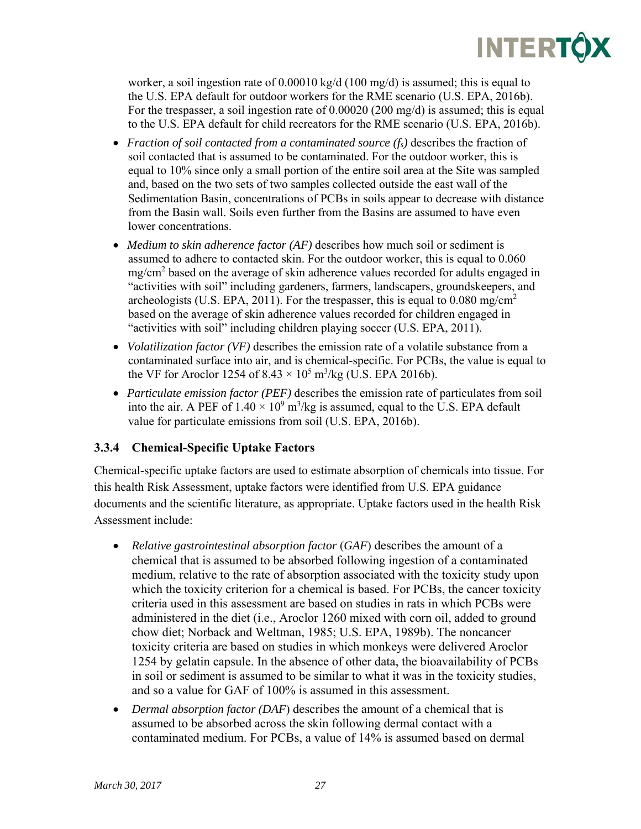

worker, a soil ingestion rate of 0.00010 kg/d (100 mg/d) is assumed; this is equal to the U.S. EPA default for outdoor workers for the RME scenario (U.S. EPA, 2016b). For the trespasser, a soil ingestion rate of 0.00020 (200 mg/d) is assumed; this is equal to the U.S. EPA default for child recreators for the RME scenario (U.S. EPA, 2016b).

- *Fraction of soil contacted from a contaminated source (fs)* describes the fraction of soil contacted that is assumed to be contaminated. For the outdoor worker, this is equal to 10% since only a small portion of the entire soil area at the Site was sampled and, based on the two sets of two samples collected outside the east wall of the Sedimentation Basin, concentrations of PCBs in soils appear to decrease with distance from the Basin wall. Soils even further from the Basins are assumed to have even lower concentrations.
- *Medium to skin adherence factor (AF)* describes how much soil or sediment is assumed to adhere to contacted skin. For the outdoor worker, this is equal to 0.060 mg/cm<sup>2</sup> based on the average of skin adherence values recorded for adults engaged in "activities with soil" including gardeners, farmers, landscapers, groundskeepers, and archeologists (U.S. EPA, 2011). For the trespasser, this is equal to  $0.080$  mg/cm<sup>2</sup> based on the average of skin adherence values recorded for children engaged in "activities with soil" including children playing soccer (U.S. EPA, 2011).
- *Volatilization factor (VF)* describes the emission rate of a volatile substance from a contaminated surface into air, and is chemical-specific. For PCBs, the value is equal to the VF for Aroclor 1254 of  $8.43 \times 10^5$  m<sup>3</sup>/kg (U.S. EPA 2016b).
- *Particulate emission factor (PEF)* describes the emission rate of particulates from soil into the air. A PEF of  $1.40 \times 10^9$  m<sup>3</sup>/kg is assumed, equal to the U.S. EPA default value for particulate emissions from soil (U.S. EPA, 2016b).

#### **3.3.4 Chemical-Specific Uptake Factors**

Chemical-specific uptake factors are used to estimate absorption of chemicals into tissue. For this health Risk Assessment, uptake factors were identified from U.S. EPA guidance documents and the scientific literature, as appropriate. Uptake factors used in the health Risk Assessment include:

- *Relative gastrointestinal absorption factor* (*GAF*) describes the amount of a chemical that is assumed to be absorbed following ingestion of a contaminated medium, relative to the rate of absorption associated with the toxicity study upon which the toxicity criterion for a chemical is based. For PCBs, the cancer toxicity criteria used in this assessment are based on studies in rats in which PCBs were administered in the diet (i.e., Aroclor 1260 mixed with corn oil, added to ground chow diet; Norback and Weltman, 1985; U.S. EPA, 1989b). The noncancer toxicity criteria are based on studies in which monkeys were delivered Aroclor 1254 by gelatin capsule. In the absence of other data, the bioavailability of PCBs in soil or sediment is assumed to be similar to what it was in the toxicity studies, and so a value for GAF of 100% is assumed in this assessment.
- *Dermal absorption factor (DAF*) describes the amount of a chemical that is assumed to be absorbed across the skin following dermal contact with a contaminated medium. For PCBs, a value of 14% is assumed based on dermal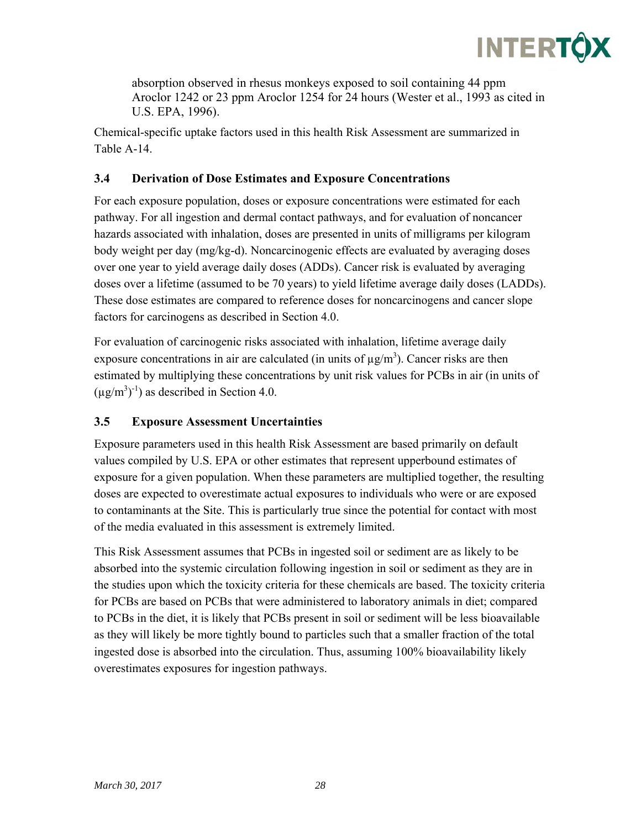

absorption observed in rhesus monkeys exposed to soil containing 44 ppm Aroclor 1242 or 23 ppm Aroclor 1254 for 24 hours (Wester et al., 1993 as cited in U.S. EPA, 1996).

Chemical-specific uptake factors used in this health Risk Assessment are summarized in Table A-14.

## **3.4 Derivation of Dose Estimates and Exposure Concentrations**

For each exposure population, doses or exposure concentrations were estimated for each pathway. For all ingestion and dermal contact pathways, and for evaluation of noncancer hazards associated with inhalation, doses are presented in units of milligrams per kilogram body weight per day (mg/kg-d). Noncarcinogenic effects are evaluated by averaging doses over one year to yield average daily doses (ADDs). Cancer risk is evaluated by averaging doses over a lifetime (assumed to be 70 years) to yield lifetime average daily doses (LADDs). These dose estimates are compared to reference doses for noncarcinogens and cancer slope factors for carcinogens as described in Section 4.0.

For evaluation of carcinogenic risks associated with inhalation, lifetime average daily exposure concentrations in air are calculated (in units of  $\mu$ g/m<sup>3</sup>). Cancer risks are then estimated by multiplying these concentrations by unit risk values for PCBs in air (in units of  $(\mu g/m^3)^{-1}$  as described in Section 4.0.

## **3.5 Exposure Assessment Uncertainties**

Exposure parameters used in this health Risk Assessment are based primarily on default values compiled by U.S. EPA or other estimates that represent upperbound estimates of exposure for a given population. When these parameters are multiplied together, the resulting doses are expected to overestimate actual exposures to individuals who were or are exposed to contaminants at the Site. This is particularly true since the potential for contact with most of the media evaluated in this assessment is extremely limited.

This Risk Assessment assumes that PCBs in ingested soil or sediment are as likely to be absorbed into the systemic circulation following ingestion in soil or sediment as they are in the studies upon which the toxicity criteria for these chemicals are based. The toxicity criteria for PCBs are based on PCBs that were administered to laboratory animals in diet; compared to PCBs in the diet, it is likely that PCBs present in soil or sediment will be less bioavailable as they will likely be more tightly bound to particles such that a smaller fraction of the total ingested dose is absorbed into the circulation. Thus, assuming 100% bioavailability likely overestimates exposures for ingestion pathways.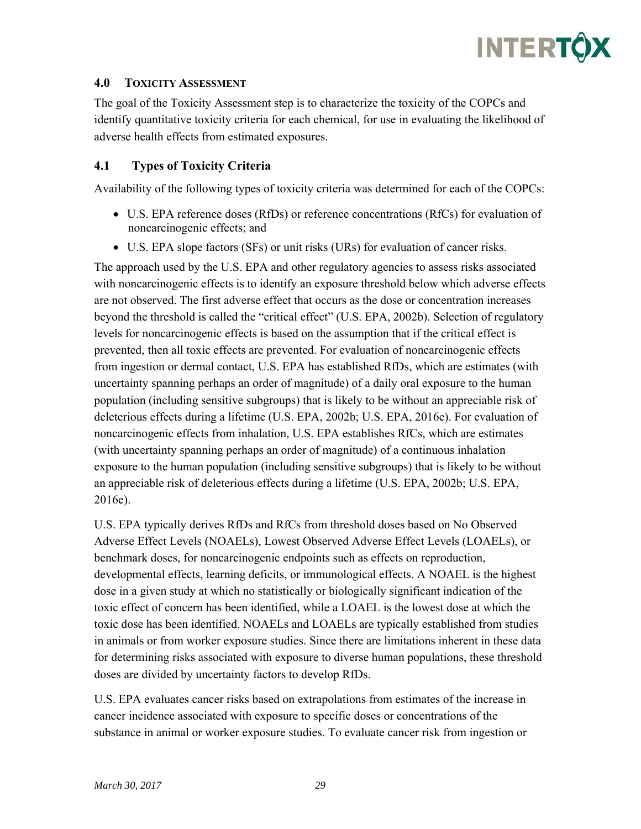

#### **4.0 TOXICITY ASSESSMENT**

The goal of the Toxicity Assessment step is to characterize the toxicity of the COPCs and identify quantitative toxicity criteria for each chemical, for use in evaluating the likelihood of adverse health effects from estimated exposures.

#### **4.1 Types of Toxicity Criteria**

Availability of the following types of toxicity criteria was determined for each of the COPCs:

- U.S. EPA reference doses (RfDs) or reference concentrations (RfCs) for evaluation of noncarcinogenic effects; and
- U.S. EPA slope factors (SFs) or unit risks (URs) for evaluation of cancer risks.

The approach used by the U.S. EPA and other regulatory agencies to assess risks associated with noncarcinogenic effects is to identify an exposure threshold below which adverse effects are not observed. The first adverse effect that occurs as the dose or concentration increases beyond the threshold is called the "critical effect" (U.S. EPA, 2002b). Selection of regulatory levels for noncarcinogenic effects is based on the assumption that if the critical effect is prevented, then all toxic effects are prevented. For evaluation of noncarcinogenic effects from ingestion or dermal contact, U.S. EPA has established RfDs, which are estimates (with uncertainty spanning perhaps an order of magnitude) of a daily oral exposure to the human population (including sensitive subgroups) that is likely to be without an appreciable risk of deleterious effects during a lifetime (U.S. EPA, 2002b; U.S. EPA, 2016e). For evaluation of noncarcinogenic effects from inhalation, U.S. EPA establishes RfCs, which are estimates (with uncertainty spanning perhaps an order of magnitude) of a continuous inhalation exposure to the human population (including sensitive subgroups) that is likely to be without an appreciable risk of deleterious effects during a lifetime (U.S. EPA, 2002b; U.S. EPA, 2016e).

U.S. EPA typically derives RfDs and RfCs from threshold doses based on No Observed Adverse Effect Levels (NOAELs), Lowest Observed Adverse Effect Levels (LOAELs), or benchmark doses, for noncarcinogenic endpoints such as effects on reproduction, developmental effects, learning deficits, or immunological effects. A NOAEL is the highest dose in a given study at which no statistically or biologically significant indication of the toxic effect of concern has been identified, while a LOAEL is the lowest dose at which the toxic dose has been identified. NOAELs and LOAELs are typically established from studies in animals or from worker exposure studies. Since there are limitations inherent in these data for determining risks associated with exposure to diverse human populations, these threshold doses are divided by uncertainty factors to develop RfDs.

U.S. EPA evaluates cancer risks based on extrapolations from estimates of the increase in cancer incidence associated with exposure to specific doses or concentrations of the substance in animal or worker exposure studies. To evaluate cancer risk from ingestion or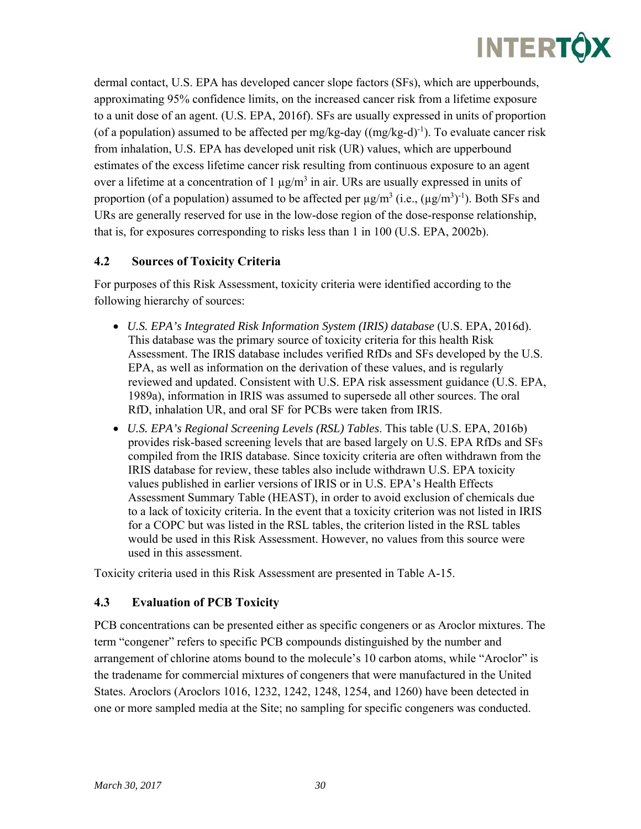

dermal contact, U.S. EPA has developed cancer slope factors (SFs), which are upperbounds, approximating 95% confidence limits, on the increased cancer risk from a lifetime exposure to a unit dose of an agent. (U.S. EPA, 2016f). SFs are usually expressed in units of proportion (of a population) assumed to be affected per mg/kg-day  $((mg/kg-d)^{-1})$ . To evaluate cancer risk from inhalation, U.S. EPA has developed unit risk (UR) values, which are upperbound estimates of the excess lifetime cancer risk resulting from continuous exposure to an agent over a lifetime at a concentration of 1  $\mu$ g/m<sup>3</sup> in air. URs are usually expressed in units of proportion (of a population) assumed to be affected per  $\mu$ g/m<sup>3</sup> (i.e.,  $(\mu$ g/m<sup>3</sup>)<sup>-1</sup>). Both SFs and URs are generally reserved for use in the low-dose region of the dose-response relationship, that is, for exposures corresponding to risks less than 1 in 100 (U.S. EPA, 2002b).

### **4.2 Sources of Toxicity Criteria**

For purposes of this Risk Assessment, toxicity criteria were identified according to the following hierarchy of sources:

- *U.S. EPA's Integrated Risk Information System (IRIS) database* (U.S. EPA, 2016d). This database was the primary source of toxicity criteria for this health Risk Assessment. The IRIS database includes verified RfDs and SFs developed by the U.S. EPA, as well as information on the derivation of these values, and is regularly reviewed and updated. Consistent with U.S. EPA risk assessment guidance (U.S. EPA, 1989a), information in IRIS was assumed to supersede all other sources. The oral RfD, inhalation UR, and oral SF for PCBs were taken from IRIS.
- *U.S. EPA's Regional Screening Levels (RSL) Tables*. This table (U.S. EPA, 2016b) provides risk-based screening levels that are based largely on U.S. EPA RfDs and SFs compiled from the IRIS database. Since toxicity criteria are often withdrawn from the IRIS database for review, these tables also include withdrawn U.S. EPA toxicity values published in earlier versions of IRIS or in U.S. EPA's Health Effects Assessment Summary Table (HEAST), in order to avoid exclusion of chemicals due to a lack of toxicity criteria. In the event that a toxicity criterion was not listed in IRIS for a COPC but was listed in the RSL tables, the criterion listed in the RSL tables would be used in this Risk Assessment. However, no values from this source were used in this assessment.

Toxicity criteria used in this Risk Assessment are presented in Table A-15.

#### **4.3 Evaluation of PCB Toxicity**

PCB concentrations can be presented either as specific congeners or as Aroclor mixtures. The term "congener" refers to specific PCB compounds distinguished by the number and arrangement of chlorine atoms bound to the molecule's 10 carbon atoms, while "Aroclor" is the tradename for commercial mixtures of congeners that were manufactured in the United States. Aroclors (Aroclors 1016, 1232, 1242, 1248, 1254, and 1260) have been detected in one or more sampled media at the Site; no sampling for specific congeners was conducted.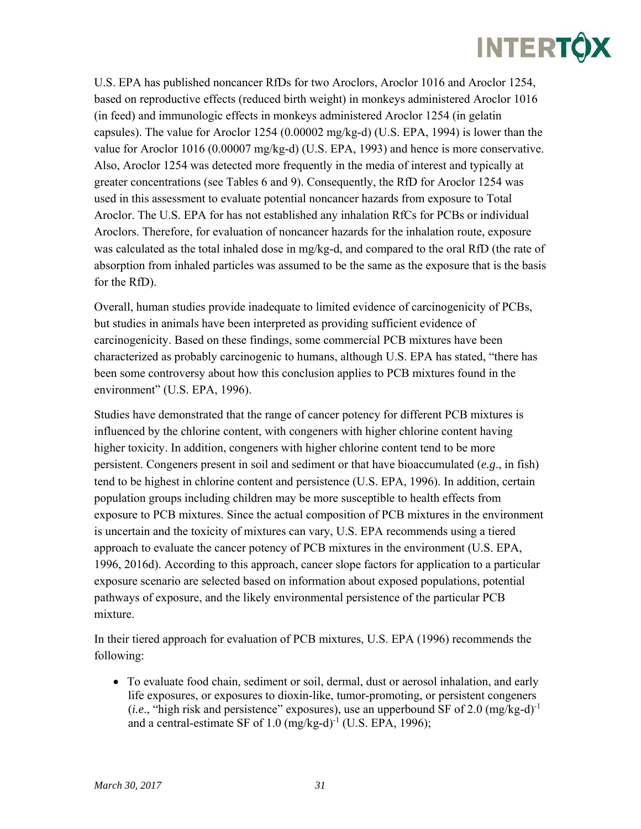U.S. EPA has published noncancer RfDs for two Aroclors, Aroclor 1016 and Aroclor 1254, based on reproductive effects (reduced birth weight) in monkeys administered Aroclor 1016 (in feed) and immunologic effects in monkeys administered Aroclor 1254 (in gelatin capsules). The value for Aroclor 1254 (0.00002 mg/kg-d) (U.S. EPA, 1994) is lower than the value for Aroclor 1016 (0.00007 mg/kg-d) (U.S. EPA, 1993) and hence is more conservative. Also, Aroclor 1254 was detected more frequently in the media of interest and typically at greater concentrations (see Tables 6 and 9). Consequently, the RfD for Aroclor 1254 was used in this assessment to evaluate potential noncancer hazards from exposure to Total Aroclor. The U.S. EPA for has not established any inhalation RfCs for PCBs or individual Aroclors. Therefore, for evaluation of noncancer hazards for the inhalation route, exposure was calculated as the total inhaled dose in mg/kg-d, and compared to the oral RfD (the rate of absorption from inhaled particles was assumed to be the same as the exposure that is the basis for the RfD).

Overall, human studies provide inadequate to limited evidence of carcinogenicity of PCBs, but studies in animals have been interpreted as providing sufficient evidence of carcinogenicity. Based on these findings, some commercial PCB mixtures have been characterized as probably carcinogenic to humans, although U.S. EPA has stated, "there has been some controversy about how this conclusion applies to PCB mixtures found in the environment" (U.S. EPA, 1996).

Studies have demonstrated that the range of cancer potency for different PCB mixtures is influenced by the chlorine content, with congeners with higher chlorine content having higher toxicity. In addition, congeners with higher chlorine content tend to be more persistent. Congeners present in soil and sediment or that have bioaccumulated (*e.g*., in fish) tend to be highest in chlorine content and persistence (U.S. EPA, 1996). In addition, certain population groups including children may be more susceptible to health effects from exposure to PCB mixtures. Since the actual composition of PCB mixtures in the environment is uncertain and the toxicity of mixtures can vary, U.S. EPA recommends using a tiered approach to evaluate the cancer potency of PCB mixtures in the environment (U.S. EPA, 1996, 2016d). According to this approach, cancer slope factors for application to a particular exposure scenario are selected based on information about exposed populations, potential pathways of exposure, and the likely environmental persistence of the particular PCB mixture.

In their tiered approach for evaluation of PCB mixtures, U.S. EPA (1996) recommends the following:

 To evaluate food chain, sediment or soil, dermal, dust or aerosol inhalation, and early life exposures, or exposures to dioxin-like, tumor-promoting, or persistent congeners (*i.e.*, "high risk and persistence" exposures), use an upperbound SF of 2.0 (mg/kg-d)<sup>-1</sup> and a central-estimate SF of  $1.0 \text{ (mg/kg-d)}^{-1}$  (U.S. EPA, 1996);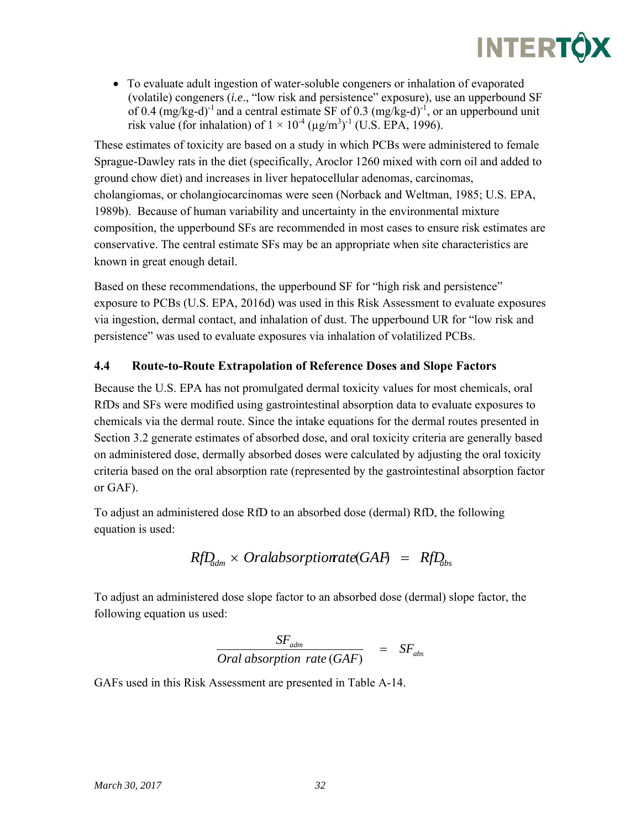To evaluate adult ingestion of water-soluble congeners or inhalation of evaporated (volatile) congeners (*i.e*., "low risk and persistence" exposure), use an upperbound SF of 0.4 (mg/kg-d)<sup>-1</sup> and a central estimate SF of 0.3 (mg/kg-d)<sup>-1</sup>, or an upperbound unit risk value (for inhalation) of  $1 \times 10^{-4}$  ( $\mu$ g/m<sup>3</sup>)<sup>-1</sup> (U.S. EPA, 1996).

These estimates of toxicity are based on a study in which PCBs were administered to female Sprague-Dawley rats in the diet (specifically, Aroclor 1260 mixed with corn oil and added to ground chow diet) and increases in liver hepatocellular adenomas, carcinomas, cholangiomas, or cholangiocarcinomas were seen (Norback and Weltman, 1985; U.S. EPA, 1989b). Because of human variability and uncertainty in the environmental mixture composition, the upperbound SFs are recommended in most cases to ensure risk estimates are conservative. The central estimate SFs may be an appropriate when site characteristics are known in great enough detail.

Based on these recommendations, the upperbound SF for "high risk and persistence" exposure to PCBs (U.S. EPA, 2016d) was used in this Risk Assessment to evaluate exposures via ingestion, dermal contact, and inhalation of dust. The upperbound UR for "low risk and persistence" was used to evaluate exposures via inhalation of volatilized PCBs.

## **4.4 Route-to-Route Extrapolation of Reference Doses and Slope Factors**

Because the U.S. EPA has not promulgated dermal toxicity values for most chemicals, oral RfDs and SFs were modified using gastrointestinal absorption data to evaluate exposures to chemicals via the dermal route. Since the intake equations for the dermal routes presented in Section 3.2 generate estimates of absorbed dose, and oral toxicity criteria are generally based on administered dose, dermally absorbed doses were calculated by adjusting the oral toxicity criteria based on the oral absorption rate (represented by the gastrointestinal absorption factor or GAF).

To adjust an administered dose RfD to an absorbed dose (dermal) RfD, the following equation is used:

$$
RfD_{\text{adm}} \times \text{Oralabsorptionate}(GAF) = RfD_{\text{abs}}
$$

To adjust an administered dose slope factor to an absorbed dose (dermal) slope factor, the following equation us used:

$$
\frac{SF_{\text{adm}}}{\text{Oral absorption rate (GAF)}} = SF_{\text{abs}}
$$

GAFs used in this Risk Assessment are presented in Table A-14.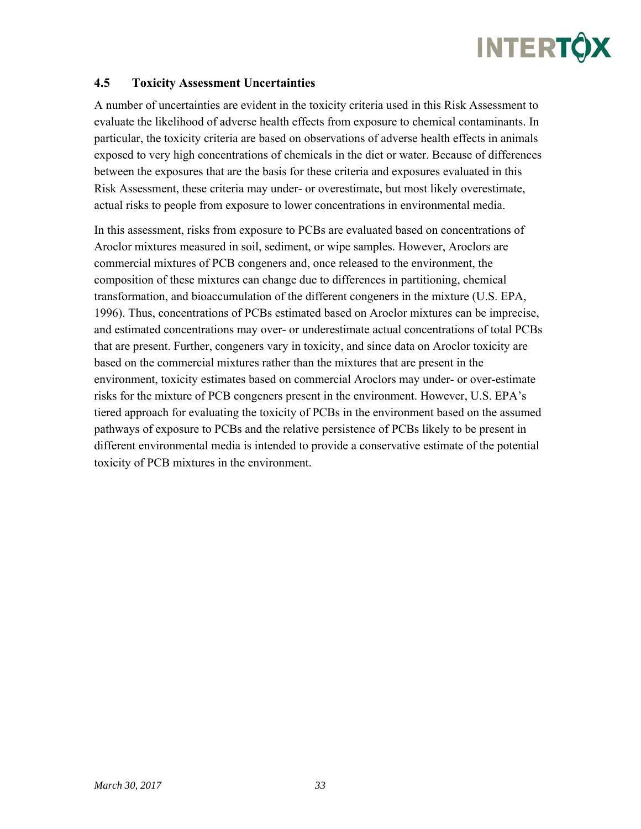#### **4.5 Toxicity Assessment Uncertainties**

A number of uncertainties are evident in the toxicity criteria used in this Risk Assessment to evaluate the likelihood of adverse health effects from exposure to chemical contaminants. In particular, the toxicity criteria are based on observations of adverse health effects in animals exposed to very high concentrations of chemicals in the diet or water. Because of differences between the exposures that are the basis for these criteria and exposures evaluated in this Risk Assessment, these criteria may under- or overestimate, but most likely overestimate, actual risks to people from exposure to lower concentrations in environmental media.

In this assessment, risks from exposure to PCBs are evaluated based on concentrations of Aroclor mixtures measured in soil, sediment, or wipe samples. However, Aroclors are commercial mixtures of PCB congeners and, once released to the environment, the composition of these mixtures can change due to differences in partitioning, chemical transformation, and bioaccumulation of the different congeners in the mixture (U.S. EPA, 1996). Thus, concentrations of PCBs estimated based on Aroclor mixtures can be imprecise, and estimated concentrations may over- or underestimate actual concentrations of total PCBs that are present. Further, congeners vary in toxicity, and since data on Aroclor toxicity are based on the commercial mixtures rather than the mixtures that are present in the environment, toxicity estimates based on commercial Aroclors may under- or over-estimate risks for the mixture of PCB congeners present in the environment. However, U.S. EPA's tiered approach for evaluating the toxicity of PCBs in the environment based on the assumed pathways of exposure to PCBs and the relative persistence of PCBs likely to be present in different environmental media is intended to provide a conservative estimate of the potential toxicity of PCB mixtures in the environment.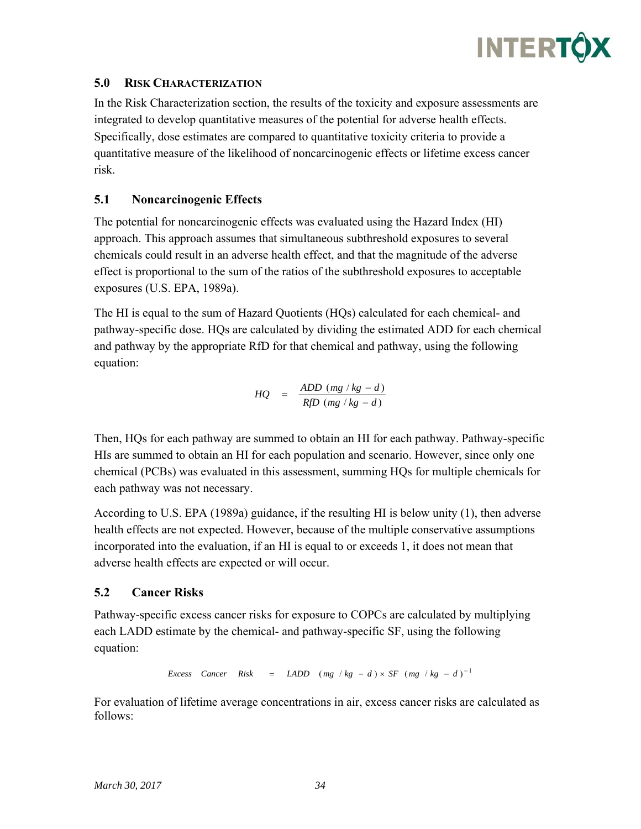

#### **5.0 RISK CHARACTERIZATION**

In the Risk Characterization section, the results of the toxicity and exposure assessments are integrated to develop quantitative measures of the potential for adverse health effects. Specifically, dose estimates are compared to quantitative toxicity criteria to provide a quantitative measure of the likelihood of noncarcinogenic effects or lifetime excess cancer risk.

#### **5.1 Noncarcinogenic Effects**

The potential for noncarcinogenic effects was evaluated using the Hazard Index (HI) approach. This approach assumes that simultaneous subthreshold exposures to several chemicals could result in an adverse health effect, and that the magnitude of the adverse effect is proportional to the sum of the ratios of the subthreshold exposures to acceptable exposures (U.S. EPA, 1989a).

The HI is equal to the sum of Hazard Quotients (HQs) calculated for each chemical- and pathway-specific dose. HQs are calculated by dividing the estimated ADD for each chemical and pathway by the appropriate RfD for that chemical and pathway, using the following equation:

$$
HQ = \frac{ADD (mg / kg - d)}{RfD (mg / kg - d)}
$$

Then, HQs for each pathway are summed to obtain an HI for each pathway. Pathway-specific HIs are summed to obtain an HI for each population and scenario. However, since only one chemical (PCBs) was evaluated in this assessment, summing HQs for multiple chemicals for each pathway was not necessary.

According to U.S. EPA (1989a) guidance, if the resulting HI is below unity (1), then adverse health effects are not expected. However, because of the multiple conservative assumptions incorporated into the evaluation, if an HI is equal to or exceeds 1, it does not mean that adverse health effects are expected or will occur.

#### **5.2 Cancer Risks**

Pathway-specific excess cancer risks for exposure to COPCs are calculated by multiplying each LADD estimate by the chemical- and pathway-specific SF, using the following equation:

 $Excess$   $Cancer$   $Risk$  =  $LADD$   $(mg / kg - d) \times SF$   $(mg / kg - d)^{-1}$ 

For evaluation of lifetime average concentrations in air, excess cancer risks are calculated as follows: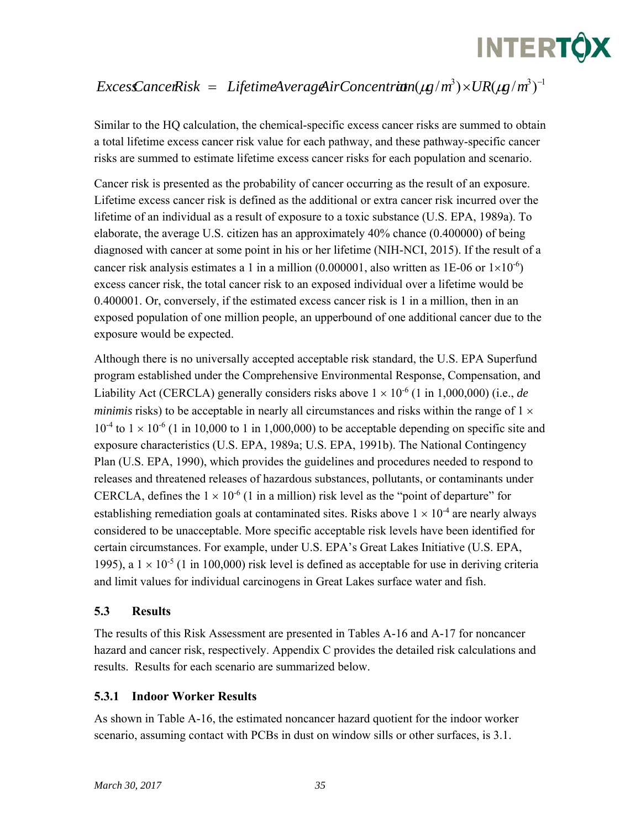

# $ExcessCancelRisk = Life timeAverageAirConcentrit (kg/m^3) \times UR(\mu g/m^3)^{-1}$

Similar to the HQ calculation, the chemical-specific excess cancer risks are summed to obtain a total lifetime excess cancer risk value for each pathway, and these pathway-specific cancer risks are summed to estimate lifetime excess cancer risks for each population and scenario.

Cancer risk is presented as the probability of cancer occurring as the result of an exposure. Lifetime excess cancer risk is defined as the additional or extra cancer risk incurred over the lifetime of an individual as a result of exposure to a toxic substance (U.S. EPA, 1989a). To elaborate, the average U.S. citizen has an approximately 40% chance (0.400000) of being diagnosed with cancer at some point in his or her lifetime (NIH-NCI, 2015). If the result of a cancer risk analysis estimates a 1 in a million  $(0.000001)$ , also written as 1E-06 or  $1\times10^{-6}$ ) excess cancer risk, the total cancer risk to an exposed individual over a lifetime would be 0.400001. Or, conversely, if the estimated excess cancer risk is 1 in a million, then in an exposed population of one million people, an upperbound of one additional cancer due to the exposure would be expected.

Although there is no universally accepted acceptable risk standard, the U.S. EPA Superfund program established under the Comprehensive Environmental Response, Compensation, and Liability Act (CERCLA) generally considers risks above  $1 \times 10^{-6}$  (1 in 1,000,000) (i.e., *de minimis* risks) to be acceptable in nearly all circumstances and risks within the range of  $1 \times$  $10^{-4}$  to  $1 \times 10^{-6}$  (1 in 10,000 to 1 in 1,000,000) to be acceptable depending on specific site and exposure characteristics (U.S. EPA, 1989a; U.S. EPA, 1991b). The National Contingency Plan (U.S. EPA, 1990), which provides the guidelines and procedures needed to respond to releases and threatened releases of hazardous substances, pollutants, or contaminants under CERCLA, defines the  $1 \times 10^{-6}$  (1 in a million) risk level as the "point of departure" for establishing remediation goals at contaminated sites. Risks above  $1 \times 10^{-4}$  are nearly always considered to be unacceptable. More specific acceptable risk levels have been identified for certain circumstances. For example, under U.S. EPA's Great Lakes Initiative (U.S. EPA, 1995), a  $1 \times 10^{-5}$  (1 in 100,000) risk level is defined as acceptable for use in deriving criteria and limit values for individual carcinogens in Great Lakes surface water and fish.

#### **5.3 Results**

The results of this Risk Assessment are presented in Tables A-16 and A-17 for noncancer hazard and cancer risk, respectively. Appendix C provides the detailed risk calculations and results. Results for each scenario are summarized below.

#### **5.3.1 Indoor Worker Results**

As shown in Table A-16, the estimated noncancer hazard quotient for the indoor worker scenario, assuming contact with PCBs in dust on window sills or other surfaces, is 3.1.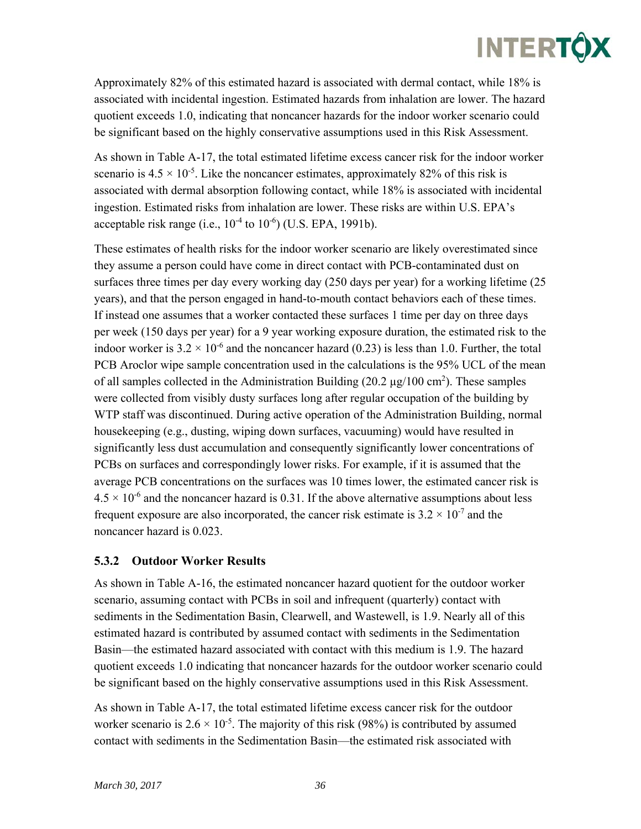Approximately 82% of this estimated hazard is associated with dermal contact, while 18% is associated with incidental ingestion. Estimated hazards from inhalation are lower. The hazard quotient exceeds 1.0, indicating that noncancer hazards for the indoor worker scenario could be significant based on the highly conservative assumptions used in this Risk Assessment.

As shown in Table A-17, the total estimated lifetime excess cancer risk for the indoor worker scenario is  $4.5 \times 10^{-5}$ . Like the noncancer estimates, approximately 82% of this risk is associated with dermal absorption following contact, while 18% is associated with incidental ingestion. Estimated risks from inhalation are lower. These risks are within U.S. EPA's acceptable risk range (i.e.,  $10^{-4}$  to  $10^{-6}$ ) (U.S. EPA, 1991b).

These estimates of health risks for the indoor worker scenario are likely overestimated since they assume a person could have come in direct contact with PCB-contaminated dust on surfaces three times per day every working day (250 days per year) for a working lifetime (25 years), and that the person engaged in hand-to-mouth contact behaviors each of these times. If instead one assumes that a worker contacted these surfaces 1 time per day on three days per week (150 days per year) for a 9 year working exposure duration, the estimated risk to the indoor worker is  $3.2 \times 10^{-6}$  and the noncancer hazard (0.23) is less than 1.0. Further, the total PCB Aroclor wipe sample concentration used in the calculations is the 95% UCL of the mean of all samples collected in the Administration Building  $(20.2 \mu g/100 \text{ cm}^2)$ . These samples were collected from visibly dusty surfaces long after regular occupation of the building by WTP staff was discontinued. During active operation of the Administration Building, normal housekeeping (e.g., dusting, wiping down surfaces, vacuuming) would have resulted in significantly less dust accumulation and consequently significantly lower concentrations of PCBs on surfaces and correspondingly lower risks. For example, if it is assumed that the average PCB concentrations on the surfaces was 10 times lower, the estimated cancer risk is  $4.5 \times 10^{-6}$  and the noncancer hazard is 0.31. If the above alternative assumptions about less frequent exposure are also incorporated, the cancer risk estimate is  $3.2 \times 10^{-7}$  and the noncancer hazard is 0.023.

## **5.3.2 Outdoor Worker Results**

As shown in Table A-16, the estimated noncancer hazard quotient for the outdoor worker scenario, assuming contact with PCBs in soil and infrequent (quarterly) contact with sediments in the Sedimentation Basin, Clearwell, and Wastewell, is 1.9. Nearly all of this estimated hazard is contributed by assumed contact with sediments in the Sedimentation Basin—the estimated hazard associated with contact with this medium is 1.9. The hazard quotient exceeds 1.0 indicating that noncancer hazards for the outdoor worker scenario could be significant based on the highly conservative assumptions used in this Risk Assessment.

As shown in Table A-17, the total estimated lifetime excess cancer risk for the outdoor worker scenario is  $2.6 \times 10^{-5}$ . The majority of this risk (98%) is contributed by assumed contact with sediments in the Sedimentation Basin—the estimated risk associated with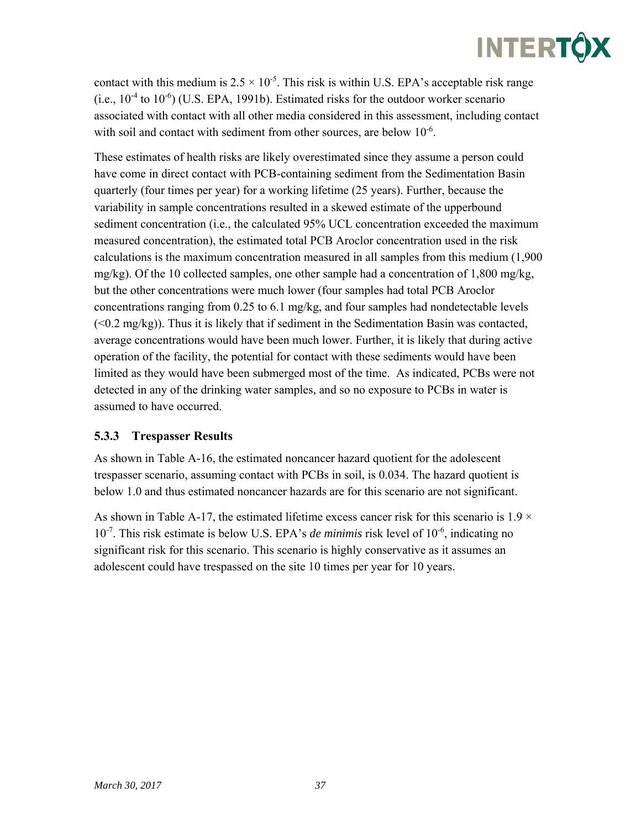contact with this medium is  $2.5 \times 10^{-5}$ . This risk is within U.S. EPA's acceptable risk range  $(i.e., 10<sup>-4</sup>$  to  $10<sup>-6</sup>$ ) (U.S. EPA, 1991b). Estimated risks for the outdoor worker scenario associated with contact with all other media considered in this assessment, including contact with soil and contact with sediment from other sources, are below 10<sup>-6</sup>.

These estimates of health risks are likely overestimated since they assume a person could have come in direct contact with PCB-containing sediment from the Sedimentation Basin quarterly (four times per year) for a working lifetime (25 years). Further, because the variability in sample concentrations resulted in a skewed estimate of the upperbound sediment concentration (i.e., the calculated 95% UCL concentration exceeded the maximum measured concentration), the estimated total PCB Aroclor concentration used in the risk calculations is the maximum concentration measured in all samples from this medium (1,900 mg/kg). Of the 10 collected samples, one other sample had a concentration of 1,800 mg/kg, but the other concentrations were much lower (four samples had total PCB Aroclor concentrations ranging from 0.25 to 6.1 mg/kg, and four samples had nondetectable levels  $( $0.2 \text{ mg/kg}$ )$ . Thus it is likely that if sediment in the Sedimentation Basin was contacted, average concentrations would have been much lower. Further, it is likely that during active operation of the facility, the potential for contact with these sediments would have been limited as they would have been submerged most of the time. As indicated, PCBs were not detected in any of the drinking water samples, and so no exposure to PCBs in water is assumed to have occurred.

### **5.3.3 Trespasser Results**

As shown in Table A-16, the estimated noncancer hazard quotient for the adolescent trespasser scenario, assuming contact with PCBs in soil, is 0.034. The hazard quotient is below 1.0 and thus estimated noncancer hazards are for this scenario are not significant.

As shown in Table A-17, the estimated lifetime excess cancer risk for this scenario is  $1.9 \times$ 10-7. This risk estimate is below U.S. EPA's *de minimis* risk level of 10-6, indicating no significant risk for this scenario. This scenario is highly conservative as it assumes an adolescent could have trespassed on the site 10 times per year for 10 years.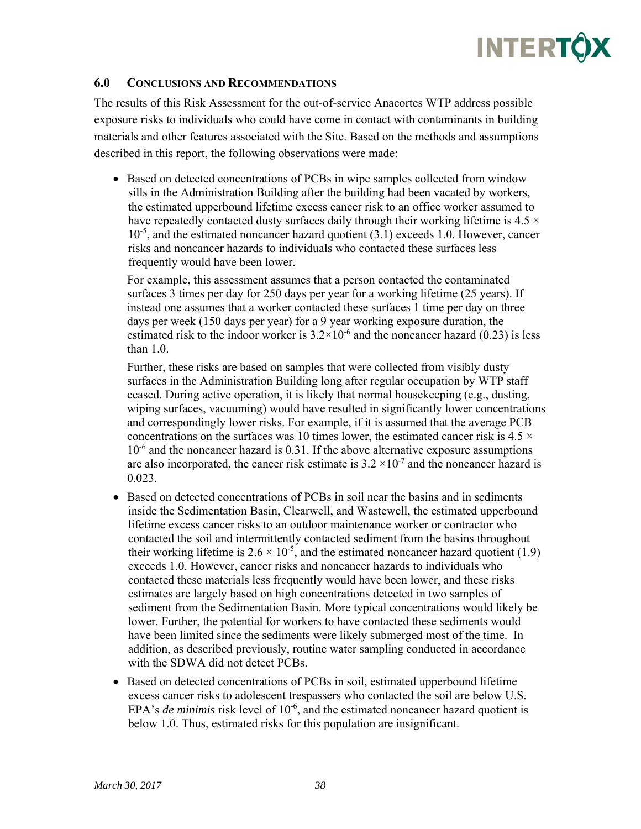#### **6.0 CONCLUSIONS AND RECOMMENDATIONS**

The results of this Risk Assessment for the out-of-service Anacortes WTP address possible exposure risks to individuals who could have come in contact with contaminants in building materials and other features associated with the Site. Based on the methods and assumptions described in this report, the following observations were made:

• Based on detected concentrations of PCBs in wipe samples collected from window sills in the Administration Building after the building had been vacated by workers, the estimated upperbound lifetime excess cancer risk to an office worker assumed to have repeatedly contacted dusty surfaces daily through their working lifetime is 4.5  $\times$  $10^{-5}$ , and the estimated noncancer hazard quotient (3.1) exceeds 1.0. However, cancer risks and noncancer hazards to individuals who contacted these surfaces less frequently would have been lower.

For example, this assessment assumes that a person contacted the contaminated surfaces 3 times per day for 250 days per year for a working lifetime (25 years). If instead one assumes that a worker contacted these surfaces 1 time per day on three days per week (150 days per year) for a 9 year working exposure duration, the estimated risk to the indoor worker is  $3.2 \times 10^{-6}$  and the noncancer hazard (0.23) is less than 1.0.

Further, these risks are based on samples that were collected from visibly dusty surfaces in the Administration Building long after regular occupation by WTP staff ceased. During active operation, it is likely that normal housekeeping (e.g., dusting, wiping surfaces, vacuuming) would have resulted in significantly lower concentrations and correspondingly lower risks. For example, if it is assumed that the average PCB concentrations on the surfaces was 10 times lower, the estimated cancer risk is  $4.5 \times$  $10^{-6}$  and the noncancer hazard is 0.31. If the above alternative exposure assumptions are also incorporated, the cancer risk estimate is  $3.2 \times 10^{-7}$  and the noncancer hazard is 0.023.

- Based on detected concentrations of PCBs in soil near the basins and in sediments inside the Sedimentation Basin, Clearwell, and Wastewell, the estimated upperbound lifetime excess cancer risks to an outdoor maintenance worker or contractor who contacted the soil and intermittently contacted sediment from the basins throughout their working lifetime is  $2.6 \times 10^{-5}$ , and the estimated noncancer hazard quotient (1.9) exceeds 1.0. However, cancer risks and noncancer hazards to individuals who contacted these materials less frequently would have been lower, and these risks estimates are largely based on high concentrations detected in two samples of sediment from the Sedimentation Basin. More typical concentrations would likely be lower. Further, the potential for workers to have contacted these sediments would have been limited since the sediments were likely submerged most of the time. In addition, as described previously, routine water sampling conducted in accordance with the SDWA did not detect PCBs.
- Based on detected concentrations of PCBs in soil, estimated upperbound lifetime excess cancer risks to adolescent trespassers who contacted the soil are below U.S. EPA's *de minimis* risk level of  $10^{-6}$ , and the estimated noncancer hazard quotient is below 1.0. Thus, estimated risks for this population are insignificant.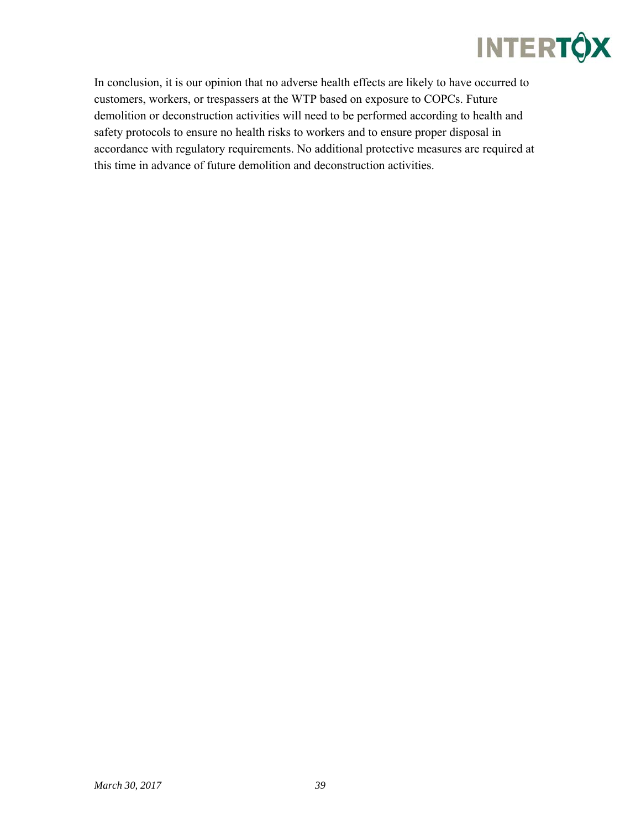In conclusion, it is our opinion that no adverse health effects are likely to have occurred to customers, workers, or trespassers at the WTP based on exposure to COPCs. Future demolition or deconstruction activities will need to be performed according to health and safety protocols to ensure no health risks to workers and to ensure proper disposal in accordance with regulatory requirements. No additional protective measures are required at this time in advance of future demolition and deconstruction activities.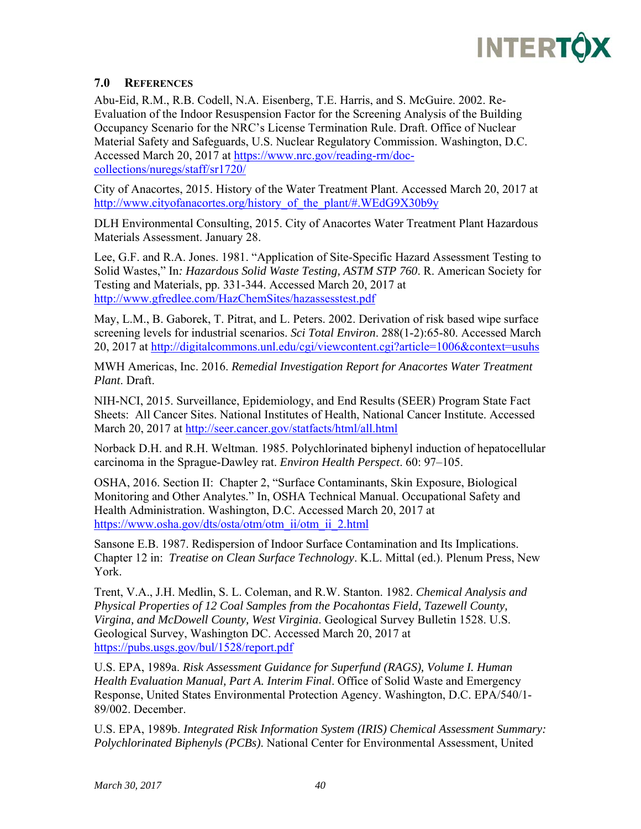

### **7.0 REFERENCES**

Abu-Eid, R.M., R.B. Codell, N.A. Eisenberg, T.E. Harris, and S. McGuire. 2002. Re-Evaluation of the Indoor Resuspension Factor for the Screening Analysis of the Building Occupancy Scenario for the NRC's License Termination Rule. Draft. Office of Nuclear Material Safety and Safeguards, U.S. Nuclear Regulatory Commission. Washington, D.C. Accessed March 20, 2017 at https://www.nrc.gov/reading-rm/doccollections/nuregs/staff/sr1720/

City of Anacortes, 2015. History of the Water Treatment Plant. Accessed March 20, 2017 at http://www.cityofanacortes.org/history\_of\_the\_plant/#.WEdG9X30b9y

DLH Environmental Consulting, 2015. City of Anacortes Water Treatment Plant Hazardous Materials Assessment. January 28.

Lee, G.F. and R.A. Jones. 1981. "Application of Site-Specific Hazard Assessment Testing to Solid Wastes," In*: Hazardous Solid Waste Testing, ASTM STP 760*. R. American Society for Testing and Materials, pp. 331-344. Accessed March 20, 2017 at http://www.gfredlee.com/HazChemSites/hazassesstest.pdf

May, L.M., B. Gaborek, T. Pitrat, and L. Peters. 2002. Derivation of risk based wipe surface screening levels for industrial scenarios. *Sci Total Environ*. 288(1-2):65-80. Accessed March 20, 2017 at http://digitalcommons.unl.edu/cgi/viewcontent.cgi?article=1006&context=usuhs

MWH Americas, Inc. 2016. *Remedial Investigation Report for Anacortes Water Treatment Plant*. Draft.

NIH-NCI, 2015. Surveillance, Epidemiology, and End Results (SEER) Program State Fact Sheets: All Cancer Sites. National Institutes of Health, National Cancer Institute. Accessed March 20, 2017 at http://seer.cancer.gov/statfacts/html/all.html

Norback D.H. and R.H. Weltman. 1985. Polychlorinated biphenyl induction of hepatocellular carcinoma in the Sprague-Dawley rat. *Environ Health Perspect*. 60: 97–105.

OSHA, 2016. Section II: Chapter 2, "Surface Contaminants, Skin Exposure, Biological Monitoring and Other Analytes." In, OSHA Technical Manual. Occupational Safety and Health Administration. Washington, D.C. Accessed March 20, 2017 at https://www.osha.gov/dts/osta/otm/otm\_ii/otm\_ii\_2.html

Sansone E.B. 1987. Redispersion of Indoor Surface Contamination and Its Implications. Chapter 12 in: *Treatise on Clean Surface Technology*. K.L. Mittal (ed.). Plenum Press, New York.

Trent, V.A., J.H. Medlin, S. L. Coleman, and R.W. Stanton. 1982. *Chemical Analysis and Physical Properties of 12 Coal Samples from the Pocahontas Field, Tazewell County, Virgina, and McDowell County, West Virginia*. Geological Survey Bulletin 1528. U.S. Geological Survey, Washington DC. Accessed March 20, 2017 at https://pubs.usgs.gov/bul/1528/report.pdf

U.S. EPA, 1989a. *Risk Assessment Guidance for Superfund (RAGS), Volume I. Human Health Evaluation Manual, Part A. Interim Final*. Office of Solid Waste and Emergency Response, United States Environmental Protection Agency. Washington, D.C. EPA/540/1- 89/002. December.

U.S. EPA, 1989b. *Integrated Risk Information System (IRIS) Chemical Assessment Summary: Polychlorinated Biphenyls (PCBs)*. National Center for Environmental Assessment, United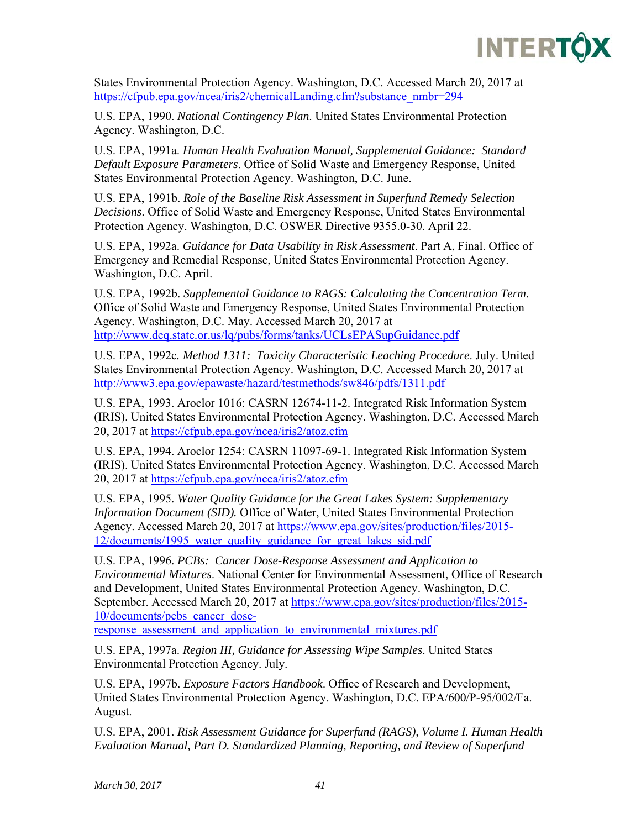

States Environmental Protection Agency. Washington, D.C. Accessed March 20, 2017 at https://cfpub.epa.gov/ncea/iris2/chemicalLanding.cfm?substance\_nmbr=294

U.S. EPA, 1990. *National Contingency Plan*. United States Environmental Protection Agency. Washington, D.C.

U.S. EPA, 1991a. *Human Health Evaluation Manual, Supplemental Guidance: Standard Default Exposure Parameters*. Office of Solid Waste and Emergency Response, United States Environmental Protection Agency. Washington, D.C. June.

U.S. EPA, 1991b. *Role of the Baseline Risk Assessment in Superfund Remedy Selection Decisions*. Office of Solid Waste and Emergency Response, United States Environmental Protection Agency. Washington, D.C. OSWER Directive 9355.0-30. April 22.

U.S. EPA, 1992a. *Guidance for Data Usability in Risk Assessment*. Part A, Final. Office of Emergency and Remedial Response, United States Environmental Protection Agency. Washington, D.C. April.

U.S. EPA, 1992b. *Supplemental Guidance to RAGS: Calculating the Concentration Term*. Office of Solid Waste and Emergency Response, United States Environmental Protection Agency. Washington, D.C. May. Accessed March 20, 2017 at http://www.deq.state.or.us/lq/pubs/forms/tanks/UCLsEPASupGuidance.pdf

U.S. EPA, 1992c*. Method 1311: Toxicity Characteristic Leaching Procedure*. July. United States Environmental Protection Agency. Washington, D.C. Accessed March 20, 2017 at http://www3.epa.gov/epawaste/hazard/testmethods/sw846/pdfs/1311.pdf

U.S. EPA, 1993. Aroclor 1016: CASRN 12674-11-2. Integrated Risk Information System (IRIS). United States Environmental Protection Agency. Washington, D.C. Accessed March 20, 2017 at https://cfpub.epa.gov/ncea/iris2/atoz.cfm

U.S. EPA, 1994. Aroclor 1254: CASRN 11097-69-1. Integrated Risk Information System (IRIS). United States Environmental Protection Agency. Washington, D.C. Accessed March 20, 2017 at https://cfpub.epa.gov/ncea/iris2/atoz.cfm

U.S. EPA, 1995. *Water Quality Guidance for the Great Lakes System: Supplementary Information Document (SID).* Office of Water, United States Environmental Protection Agency. Accessed March 20, 2017 at https://www.epa.gov/sites/production/files/2015- 12/documents/1995\_water\_quality\_guidance\_for\_great\_lakes\_sid.pdf

U.S. EPA, 1996. *PCBs: Cancer Dose-Response Assessment and Application to Environmental Mixtures*. National Center for Environmental Assessment, Office of Research and Development, United States Environmental Protection Agency. Washington, D.C. September. Accessed March 20, 2017 at https://www.epa.gov/sites/production/files/2015- 10/documents/pcbs\_cancer\_dose-

response assessment and application to environmental mixtures.pdf

U.S. EPA, 1997a. *Region III, Guidance for Assessing Wipe Samples*. United States Environmental Protection Agency. July.

U.S. EPA, 1997b. *Exposure Factors Handbook*. Office of Research and Development, United States Environmental Protection Agency. Washington, D.C. EPA/600/P-95/002/Fa. August.

U.S. EPA, 2001. *Risk Assessment Guidance for Superfund (RAGS), Volume I. Human Health Evaluation Manual, Part D. Standardized Planning, Reporting, and Review of Superfund*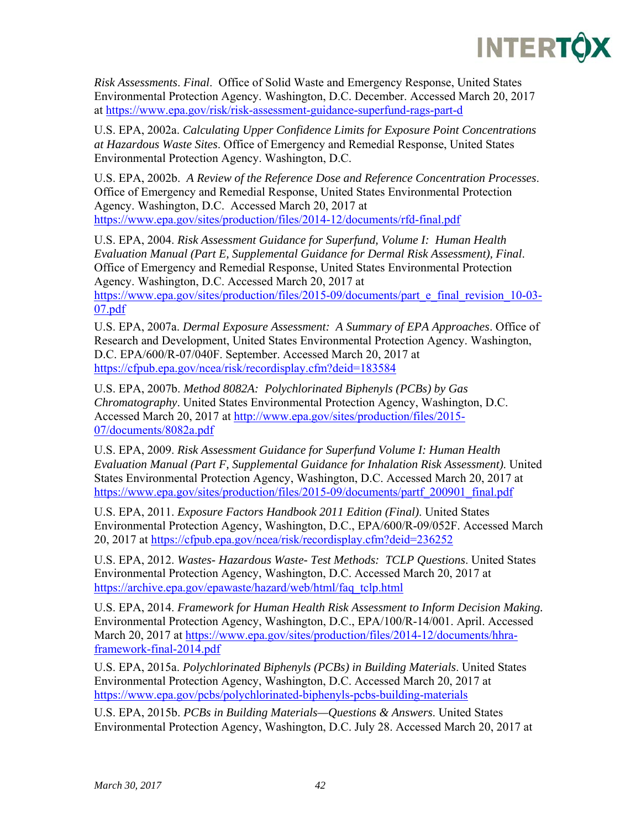

*Risk Assessments*. *Final*. Office of Solid Waste and Emergency Response, United States Environmental Protection Agency. Washington, D.C. December. Accessed March 20, 2017 at https://www.epa.gov/risk/risk-assessment-guidance-superfund-rags-part-d

U.S. EPA, 2002a. *Calculating Upper Confidence Limits for Exposure Point Concentrations at Hazardous Waste Sites*. Office of Emergency and Remedial Response, United States Environmental Protection Agency. Washington, D.C.

U.S. EPA, 2002b. *A Review of the Reference Dose and Reference Concentration Processes*. Office of Emergency and Remedial Response, United States Environmental Protection Agency. Washington, D.C. Accessed March 20, 2017 at https://www.epa.gov/sites/production/files/2014-12/documents/rfd-final.pdf

U.S. EPA, 2004. *Risk Assessment Guidance for Superfund, Volume I: Human Health Evaluation Manual (Part E, Supplemental Guidance for Dermal Risk Assessment), Final*. Office of Emergency and Remedial Response, United States Environmental Protection Agency. Washington, D.C. Accessed March 20, 2017 at

https://www.epa.gov/sites/production/files/2015-09/documents/part\_e\_final\_revision\_10-03-07.pdf

U.S. EPA, 2007a. *Dermal Exposure Assessment: A Summary of EPA Approaches*. Office of Research and Development, United States Environmental Protection Agency. Washington, D.C. EPA/600/R-07/040F. September. Accessed March 20, 2017 at https://cfpub.epa.gov/ncea/risk/recordisplay.cfm?deid=183584

U.S. EPA, 2007b. *Method 8082A: Polychlorinated Biphenyls (PCBs) by Gas Chromatography*. United States Environmental Protection Agency, Washington, D.C. Accessed March 20, 2017 at http://www.epa.gov/sites/production/files/2015- 07/documents/8082a.pdf

U.S. EPA, 2009. *Risk Assessment Guidance for Superfund Volume I: Human Health Evaluation Manual (Part F, Supplemental Guidance for Inhalation Risk Assessment)*. United States Environmental Protection Agency, Washington, D.C. Accessed March 20, 2017 at https://www.epa.gov/sites/production/files/2015-09/documents/partf\_200901\_final.pdf

U.S. EPA, 2011. *Exposure Factors Handbook 2011 Edition (Final)*. United States Environmental Protection Agency, Washington, D.C., EPA/600/R-09/052F. Accessed March 20, 2017 at https://cfpub.epa.gov/ncea/risk/recordisplay.cfm?deid=236252

U.S. EPA, 2012. *Wastes- Hazardous Waste- Test Methods: TCLP Questions*. United States Environmental Protection Agency, Washington, D.C. Accessed March 20, 2017 at https://archive.epa.gov/epawaste/hazard/web/html/faq\_tclp.html

U.S. EPA, 2014. *Framework for Human Health Risk Assessment to Inform Decision Making.*  Environmental Protection Agency, Washington, D.C., EPA/100/R-14/001. April. Accessed March 20, 2017 at https://www.epa.gov/sites/production/files/2014-12/documents/hhraframework-final-2014.pdf

U.S. EPA, 2015a. *Polychlorinated Biphenyls (PCBs) in Building Materials*. United States Environmental Protection Agency, Washington, D.C. Accessed March 20, 2017 at https://www.epa.gov/pcbs/polychlorinated-biphenyls-pcbs-building-materials

U.S. EPA, 2015b. *PCBs in Building Materials—Questions & Answers*. United States Environmental Protection Agency, Washington, D.C. July 28. Accessed March 20, 2017 at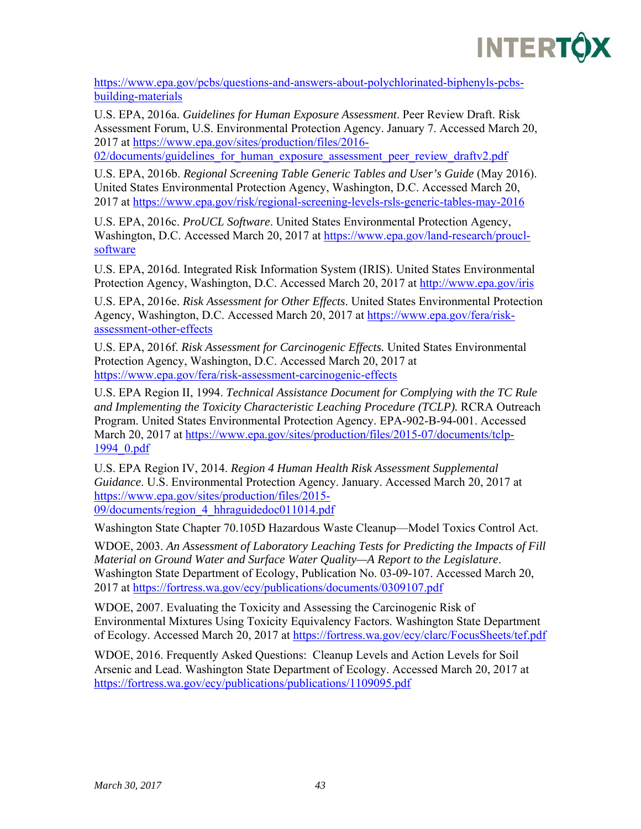

https://www.epa.gov/pcbs/questions-and-answers-about-polychlorinated-biphenyls-pcbsbuilding-materials

U.S. EPA, 2016a. *Guidelines for Human Exposure Assessment*. Peer Review Draft. Risk Assessment Forum, U.S. Environmental Protection Agency. January 7. Accessed March 20, 2017 at https://www.epa.gov/sites/production/files/2016-

02/documents/guidelines\_for\_human\_exposure\_assessment\_peer\_review\_draftv2.pdf

U.S. EPA, 2016b. *Regional Screening Table Generic Tables and User's Guide* (May 2016). United States Environmental Protection Agency, Washington, D.C. Accessed March 20, 2017 at https://www.epa.gov/risk/regional-screening-levels-rsls-generic-tables-may-2016

U.S. EPA, 2016c. *ProUCL Software*. United States Environmental Protection Agency, Washington, D.C. Accessed March 20, 2017 at https://www.epa.gov/land-research/prouclsoftware

U.S. EPA, 2016d. Integrated Risk Information System (IRIS). United States Environmental Protection Agency, Washington, D.C. Accessed March 20, 2017 at http://www.epa.gov/iris

U.S. EPA, 2016e. *Risk Assessment for Other Effects*. United States Environmental Protection Agency, Washington, D.C. Accessed March 20, 2017 at https://www.epa.gov/fera/riskassessment-other-effects

U.S. EPA, 2016f. *Risk Assessment for Carcinogenic Effects.* United States Environmental Protection Agency, Washington, D.C. Accessed March 20, 2017 at https://www.epa.gov/fera/risk-assessment-carcinogenic-effects

U.S. EPA Region II, 1994. *Technical Assistance Document for Complying with the TC Rule and Implementing the Toxicity Characteristic Leaching Procedure (TCLP).* RCRA Outreach Program. United States Environmental Protection Agency. EPA-902-B-94-001. Accessed March 20, 2017 at https://www.epa.gov/sites/production/files/2015-07/documents/tclp-1994\_0.pdf

U.S. EPA Region IV, 2014. *Region 4 Human Health Risk Assessment Supplemental Guidance*. U.S. Environmental Protection Agency. January. Accessed March 20, 2017 at https://www.epa.gov/sites/production/files/2015- 09/documents/region\_4\_hhraguidedoc011014.pdf

Washington State Chapter 70.105D Hazardous Waste Cleanup—Model Toxics Control Act.

WDOE, 2003. *An Assessment of Laboratory Leaching Tests for Predicting the Impacts of Fill Material on Ground Water and Surface Water Quality—A Report to the Legislature*. Washington State Department of Ecology, Publication No. 03-09-107. Accessed March 20, 2017 at https://fortress.wa.gov/ecy/publications/documents/0309107.pdf

WDOE, 2007. Evaluating the Toxicity and Assessing the Carcinogenic Risk of Environmental Mixtures Using Toxicity Equivalency Factors. Washington State Department of Ecology. Accessed March 20, 2017 at https://fortress.wa.gov/ecy/clarc/FocusSheets/tef.pdf

WDOE, 2016. Frequently Asked Questions: Cleanup Levels and Action Levels for Soil Arsenic and Lead. Washington State Department of Ecology. Accessed March 20, 2017 at https://fortress.wa.gov/ecy/publications/publications/1109095.pdf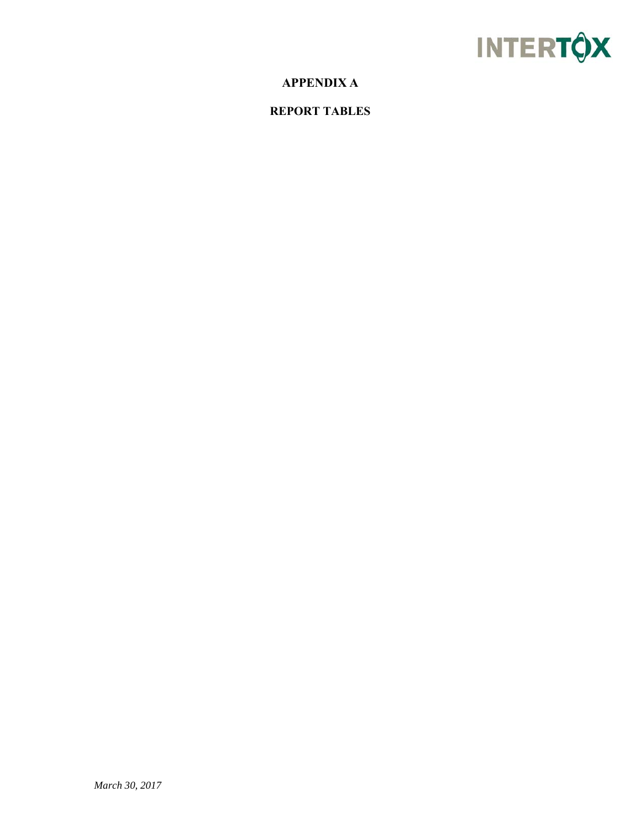

# **APPENDIX A**

## **REPORT TABLES**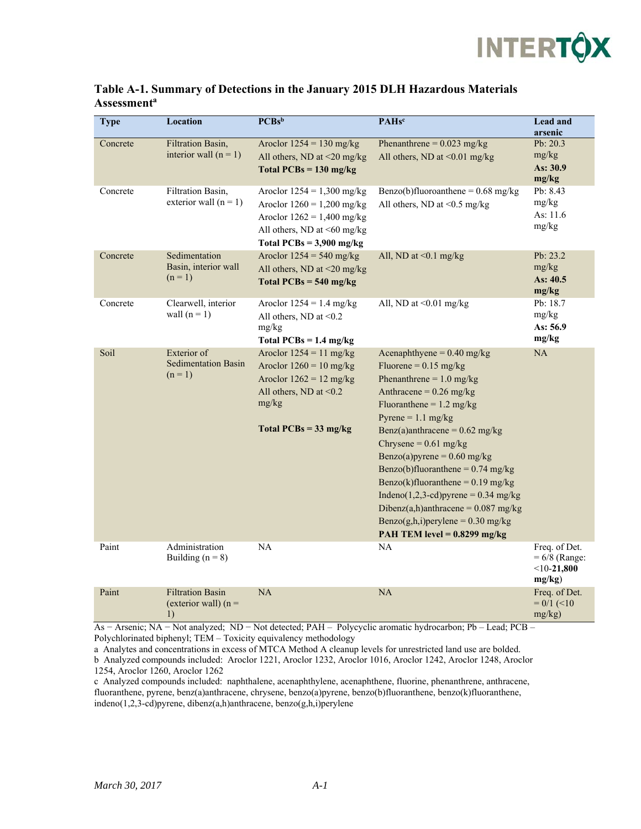

| <b>Type</b> | Location                                                | $PCBs^b$                                                                                                                                                  | <b>PAHsc</b>                                                                                                                                                                                                                                                                                                                                                                                                                                                                                                                | Lead and<br>arsenic                                         |
|-------------|---------------------------------------------------------|-----------------------------------------------------------------------------------------------------------------------------------------------------------|-----------------------------------------------------------------------------------------------------------------------------------------------------------------------------------------------------------------------------------------------------------------------------------------------------------------------------------------------------------------------------------------------------------------------------------------------------------------------------------------------------------------------------|-------------------------------------------------------------|
| Concrete    | <b>Filtration Basin,</b><br>interior wall $(n = 1)$     | Aroclor $1254 = 130$ mg/kg<br>All others, ND at <20 mg/kg<br>Total $PCBs = 130$ mg/kg                                                                     | Phenanthrene = $0.023$ mg/kg<br>All others, ND at <0.01 mg/kg                                                                                                                                                                                                                                                                                                                                                                                                                                                               | Pb: $20.3$<br>mg/kg<br>As: 30.9<br>mg/kg                    |
| Concrete    | Filtration Basin,<br>exterior wall $(n = 1)$            | Aroclor $1254 = 1,300$ mg/kg<br>Aroclor $1260 = 1,200$ mg/kg<br>Aroclor $1262 = 1,400$ mg/kg<br>All others, ND at <60 mg/kg<br>Total $PCBs = 3,900$ mg/kg | Benzo(b)fluoroanthene = $0.68$ mg/kg<br>All others, ND at <0.5 mg/kg                                                                                                                                                                                                                                                                                                                                                                                                                                                        | Pb: 8.43<br>mg/kg<br>As: 11.6<br>mg/kg                      |
| Concrete    | Sedimentation<br>Basin, interior wall<br>$(n = 1)$      | Aroclor $1254 = 540$ mg/kg<br>All others, ND at <20 mg/kg<br>Total $PCBs = 540$ mg/kg                                                                     | All, ND at $< 0.1$ mg/kg                                                                                                                                                                                                                                                                                                                                                                                                                                                                                                    | Pb: $23.2$<br>mg/kg<br>As: 40.5<br>mg/kg                    |
| Concrete    | Clearwell, interior<br>wall $(n = 1)$                   | Aroclor $1254 = 1.4$ mg/kg<br>All others, ND at $< 0.2$<br>mg/kg<br>Total $PCBs = 1.4$ mg/kg                                                              | All, ND at $\leq 0.01$ mg/kg                                                                                                                                                                                                                                                                                                                                                                                                                                                                                                | Pb: 18.7<br>mg/kg<br>As: $56.9$<br>mg/kg                    |
| Soil        | Exterior of<br><b>Sedimentation Basin</b><br>$(n = 1)$  | Aroclor $1254 = 11$ mg/kg<br>Aroclor $1260 = 10$ mg/kg<br>Aroclor $1262 = 12$ mg/kg<br>All others, ND at $\leq 0.2$<br>mg/kg<br>Total $PCBs = 33$ mg/kg   | Acenaphthyene = $0.40$ mg/kg<br>Fluorene = $0.15$ mg/kg<br>Phenanthrene = $1.0$ mg/kg<br>Anthracene = $0.26$ mg/kg<br>Fluoranthene = $1.2 \text{ mg/kg}$<br>Pyrene = $1.1$ mg/kg<br>Benz(a)anthracene = $0.62$ mg/kg<br>Chrysene = $0.61$ mg/kg<br>Benzo(a)pyrene = $0.60$ mg/kg<br>Benzo(b)fluoranthene = $0.74$ mg/kg<br>Benzo(k)fluoranthene = $0.19$ mg/kg<br>Indeno $(1,2,3$ -cd)pyrene = 0.34 mg/kg<br>Dibenz(a,h)anthracene = $0.087$ mg/kg<br>Benzo(g,h,i)perylene = $0.30$ mg/kg<br>PAH TEM level = $0.8299$ mg/kg | NA                                                          |
| Paint       | Administration<br>Building $(n = 8)$                    | NA                                                                                                                                                        | NA                                                                                                                                                                                                                                                                                                                                                                                                                                                                                                                          | Freq. of Det.<br>$= 6/8$ (Range:<br>$<$ 10-21,800<br>mg/kg) |
| Paint       | <b>Filtration Basin</b><br>(exterior wall) $(n =$<br>1) | <b>NA</b>                                                                                                                                                 | $\rm NA$                                                                                                                                                                                                                                                                                                                                                                                                                                                                                                                    | Freq. of Det.<br>$= 0/1$ (<10<br>$mg/kg$ )                  |

#### **Table A-1. Summary of Detections in the January 2015 DLH Hazardous Materials Assessmenta**

As − Arsenic; NA − Not analyzed; ND − Not detected; PAH – Polycyclic aromatic hydrocarbon; Pb – Lead; PCB – Polychlorinated biphenyl; TEM – Toxicity equivalency methodology

c Analyzed compounds included: naphthalene, acenaphthylene, acenaphthene, fluorine, phenanthrene, anthracene, fluoranthene, pyrene, benz(a)anthracene, chrysene, benzo(a)pyrene, benzo(b)fluoranthene, benzo(k)fluoranthene, indeno(1,2,3-cd)pyrene, dibenz(a,h)anthracene, benzo(g,h,i)perylene

a Analytes and concentrations in excess of MTCA Method A cleanup levels for unrestricted land use are bolded. b Analyzed compounds included: Aroclor 1221, Aroclor 1232, Aroclor 1016, Aroclor 1242, Aroclor 1248, Aroclor 1254, Aroclor 1260, Aroclor 1262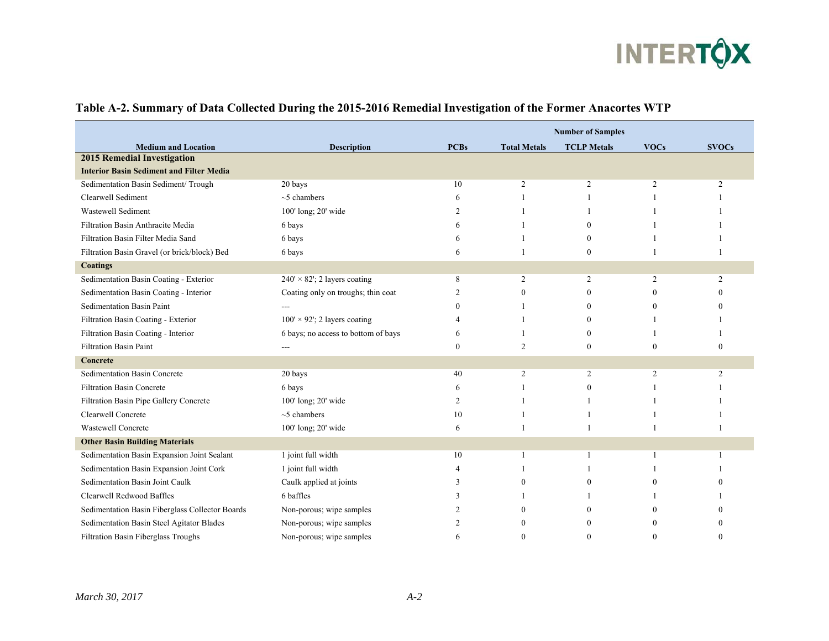

|                                                 |                                      | <b>Number of Samples</b> |                     |                    |             |              |  |  |
|-------------------------------------------------|--------------------------------------|--------------------------|---------------------|--------------------|-------------|--------------|--|--|
| <b>Medium and Location</b>                      | <b>Description</b>                   | <b>PCBs</b>              | <b>Total Metals</b> | <b>TCLP</b> Metals | <b>VOCs</b> | <b>SVOCs</b> |  |  |
| <b>2015 Remedial Investigation</b>              |                                      |                          |                     |                    |             |              |  |  |
| <b>Interior Basin Sediment and Filter Media</b> |                                      |                          |                     |                    |             |              |  |  |
| Sedimentation Basin Sediment/ Trough            | 20 bays                              | 10                       | 2                   | 2                  | 2           | 2            |  |  |
| Clearwell Sediment                              | $~5$ chambers                        | 6                        |                     |                    |             |              |  |  |
| Wastewell Sediment                              | 100' long; 20' wide                  | 2                        |                     |                    |             |              |  |  |
| Filtration Basin Anthracite Media               | 6 bays                               | 6                        |                     | $\Omega$           |             |              |  |  |
| Filtration Basin Filter Media Sand              | 6 bays                               | 6                        |                     |                    |             |              |  |  |
| Filtration Basin Gravel (or brick/block) Bed    | 6 bays                               | 6                        |                     | $\Omega$           |             |              |  |  |
| <b>Coatings</b>                                 |                                      |                          |                     |                    |             |              |  |  |
| Sedimentation Basin Coating - Exterior          | $240' \times 82'$ ; 2 layers coating | 8                        | $\overline{c}$      | 2                  | 2           | 2            |  |  |
| Sedimentation Basin Coating - Interior          | Coating only on troughs; thin coat   | $\mathcal{P}$            |                     | $\Omega$           |             |              |  |  |
| Sedimentation Basin Paint                       |                                      | $\Omega$                 |                     |                    | $\Omega$    |              |  |  |
| Filtration Basin Coating - Exterior             | $100' \times 92'$ ; 2 layers coating |                          |                     | $\Omega$           |             |              |  |  |
| Filtration Basin Coating - Interior             | 6 bays; no access to bottom of bays  | 6                        |                     | $\Omega$           |             |              |  |  |
| <b>Filtration Basin Paint</b>                   |                                      | $\mathbf{0}$             | 2                   | $\Omega$           | $\Omega$    | $\Omega$     |  |  |
| Concrete                                        |                                      |                          |                     |                    |             |              |  |  |
| Sedimentation Basin Concrete                    | 20 bays                              | 40                       | 2                   | 2                  | 2           | 2            |  |  |
| <b>Filtration Basin Concrete</b>                | 6 bays                               | 6                        |                     | $\Omega$           |             |              |  |  |
| Filtration Basin Pipe Gallery Concrete          | 100' long; 20' wide                  | $\overline{2}$           |                     |                    |             |              |  |  |
| Clearwell Concrete                              | $~5$ chambers                        | 10                       |                     |                    |             |              |  |  |
| Wastewell Concrete                              | 100' long; 20' wide                  | 6                        |                     |                    |             |              |  |  |
| <b>Other Basin Building Materials</b>           |                                      |                          |                     |                    |             |              |  |  |
| Sedimentation Basin Expansion Joint Sealant     | 1 joint full width                   | 10                       |                     |                    |             |              |  |  |
| Sedimentation Basin Expansion Joint Cork        | 1 joint full width                   |                          |                     |                    |             |              |  |  |
| Sedimentation Basin Joint Caulk                 | Caulk applied at joints              | $\mathcal{R}$            |                     |                    |             |              |  |  |
| Clearwell Redwood Baffles                       | 6 baffles                            | 3                        |                     |                    |             |              |  |  |
| Sedimentation Basin Fiberglass Collector Boards | Non-porous; wipe samples             |                          |                     |                    |             |              |  |  |
| Sedimentation Basin Steel Agitator Blades       | Non-porous; wipe samples             |                          |                     | $\Omega$           |             |              |  |  |
| Filtration Basin Fiberglass Troughs             | Non-porous; wipe samples             | 6                        |                     | $\Omega$           |             | $\Omega$     |  |  |

#### **Table A-2. Summary of Data Collected During the 2015-2016 Remedial Investigation of the Former Anacortes WTP**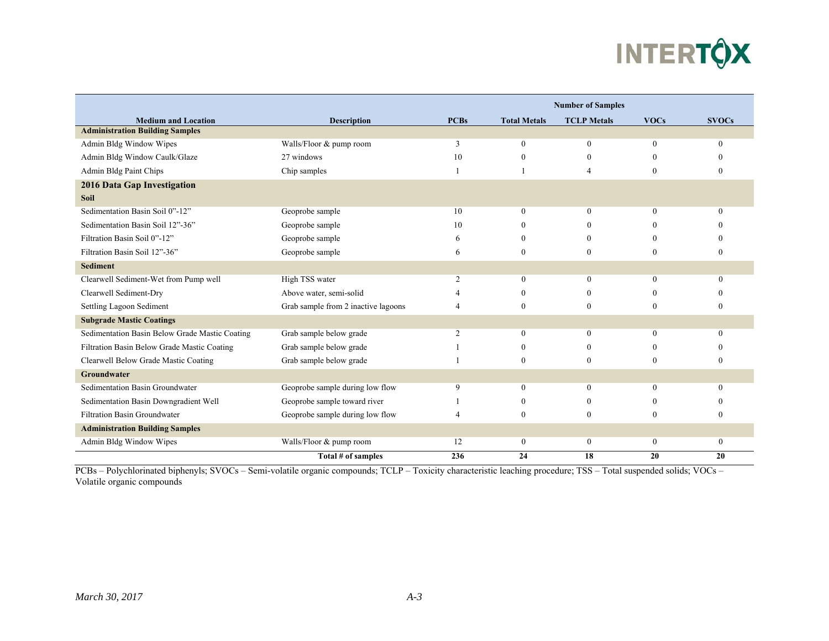

|                                                |                                     | <b>Number of Samples</b> |                     |                    |              |              |  |
|------------------------------------------------|-------------------------------------|--------------------------|---------------------|--------------------|--------------|--------------|--|
| <b>Medium and Location</b>                     | <b>Description</b>                  | <b>PCBs</b>              | <b>Total Metals</b> | <b>TCLP</b> Metals | <b>VOCs</b>  | <b>SVOCs</b> |  |
| <b>Administration Building Samples</b>         |                                     |                          |                     |                    |              |              |  |
| Admin Bldg Window Wipes                        | Walls/Floor & pump room             | 3                        | $\overline{0}$      | $\mathbf{0}$       | $\theta$     | $\Omega$     |  |
| Admin Bldg Window Caulk/Glaze                  | 27 windows                          | 10                       | $\mathbf{0}$        |                    | $\Omega$     |              |  |
| Admin Bldg Paint Chips                         | Chip samples                        |                          |                     | $\overline{4}$     | $\mathbf{0}$ |              |  |
| 2016 Data Gap Investigation                    |                                     |                          |                     |                    |              |              |  |
| <b>Soil</b>                                    |                                     |                          |                     |                    |              |              |  |
| Sedimentation Basin Soil 0"-12"                | Geoprobe sample                     | 10                       | $\mathbf{0}$        | $\theta$           | $\theta$     | $\Omega$     |  |
| Sedimentation Basin Soil 12"-36"               | Geoprobe sample                     | 10                       | $\theta$            |                    | $\Omega$     |              |  |
| Filtration Basin Soil 0"-12"                   | Geoprobe sample                     | 6                        | $\Omega$            | $^{(1)}$           | $\Omega$     |              |  |
| Filtration Basin Soil 12"-36"                  | Geoprobe sample                     | 6                        | $\theta$            | $\theta$           | $\Omega$     |              |  |
| <b>Sediment</b>                                |                                     |                          |                     |                    |              |              |  |
| Clearwell Sediment-Wet from Pump well          | High TSS water                      | 2                        | $\mathbf{0}$        | $\theta$           | $\Omega$     | $\Omega$     |  |
| Clearwell Sediment-Dry                         | Above water, semi-solid             |                          | $\theta$            |                    |              |              |  |
| Settling Lagoon Sediment                       | Grab sample from 2 inactive lagoons | $\boldsymbol{\varDelta}$ | $\theta$            | $\theta$           | $\Omega$     |              |  |
| <b>Subgrade Mastic Coatings</b>                |                                     |                          |                     |                    |              |              |  |
| Sedimentation Basin Below Grade Mastic Coating | Grab sample below grade             | $\overline{c}$           | $\theta$            | $\Omega$           | $\Omega$     |              |  |
| Filtration Basin Below Grade Mastic Coating    | Grab sample below grade             |                          | $\theta$            | $\Omega$           | $\Omega$     |              |  |
| Clearwell Below Grade Mastic Coating           | Grab sample below grade             |                          | $\theta$            | $\Omega$           | $\Omega$     |              |  |
| Groundwater                                    |                                     |                          |                     |                    |              |              |  |
| Sedimentation Basin Groundwater                | Geoprobe sample during low flow     | 9                        | $\mathbf{0}$        | $\theta$           | $\theta$     |              |  |
| Sedimentation Basin Downgradient Well          | Geoprobe sample toward river        |                          | $\mathbf{0}$        | $^{(1)}$           | $\Omega$     |              |  |
| <b>Filtration Basin Groundwater</b>            | Geoprobe sample during low flow     |                          | $\mathbf{0}$        | $\mathbf{0}$       | $\theta$     |              |  |
| <b>Administration Building Samples</b>         |                                     |                          |                     |                    |              |              |  |
| Admin Bldg Window Wipes                        | Walls/Floor & pump room             | 12                       | $\mathbf{0}$        | $\mathbf{0}$       | $\mathbf{0}$ | $\theta$     |  |
|                                                | Total # of samples                  | 236                      | 24                  | 18                 | 20           | 20           |  |

PCBs – Polychlorinated biphenyls; SVOCs – Semi-volatile organic compounds; TCLP – Toxicity characteristic leaching procedure; TSS – Total suspended solids; VOCs – Volatile organic compounds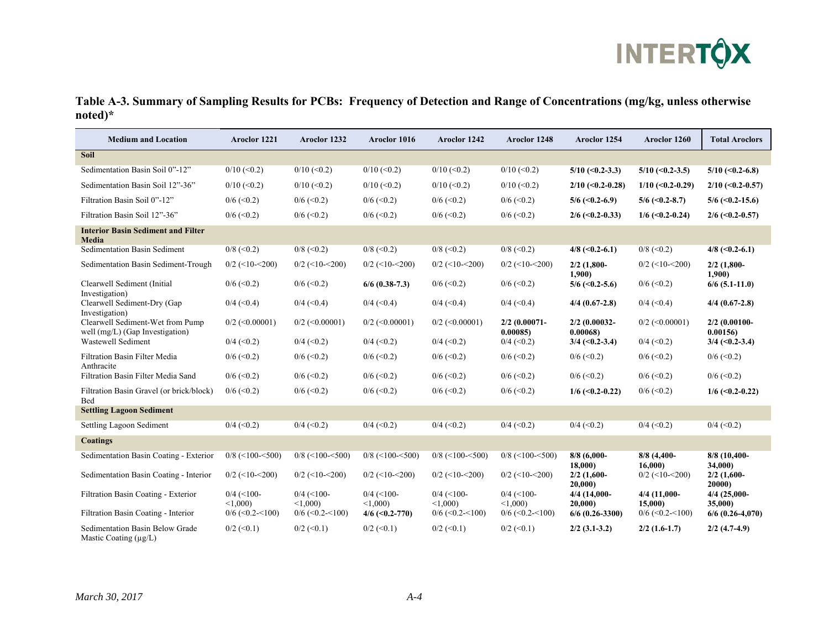

### **Table A-3. Summary of Sampling Results for PCBs: Frequency of Detection and Range of Concentrations (mg/kg, unless otherwise noted)\***

| <b>Medium and Location</b>                                          | Aroclor 1221            | Aroclor 1232            | Aroclor 1016            | Aroclor 1242            | Aroclor 1248             | Aroclor 1254               | Aroclor 1260              | <b>Total Aroclors</b>    |
|---------------------------------------------------------------------|-------------------------|-------------------------|-------------------------|-------------------------|--------------------------|----------------------------|---------------------------|--------------------------|
| Soil                                                                |                         |                         |                         |                         |                          |                            |                           |                          |
| Sedimentation Basin Soil 0"-12"                                     | $0/10$ (<0.2)           | $0/10 \le 0.2$          | $0/10$ (<0.2)           | $0/10$ (<0.2)           | $0/10$ (<0.2)            | $5/10$ (<0.2-3.3)          | $5/10$ (<0.2-3.5)         | $5/10$ (<0.2-6.8)        |
| Sedimentation Basin Soil 12"-36"                                    | $0/10 \le 0.2$          | $0/10 \le 0.2$          | $0/10$ (<0.2)           | $0/10$ (<0.2)           | $0/10 \le 0.2$           | $2/10$ (<0.2-0.28)         | $1/10$ (<0.2-0.29)        | $2/10$ (<0.2-0.57)       |
| Filtration Basin Soil 0"-12"                                        | $0/6 \approx 0.2$       | $0/6 \approx 0.2$       | $0/6$ (<0.2)            | $0/6 \approx 0.2$       | $0/6 \approx 0.2$        | $5/6$ (<0.2-6.9)           | $5/6$ (<0.2-8.7)          | $5/6$ (<0.2-15.6)        |
| Filtration Basin Soil 12"-36"                                       | $0/6 \approx 0.2$       | $0/6 \approx 0.2$       | $0/6$ (< 0.2)           | $0/6$ (<0.2)            | $0/6$ (<0.2)             | $2/6$ (<0.2-0.33)          | $1/6$ (<0.2-0.24)         | $2/6$ (<0.2-0.57)        |
| <b>Interior Basin Sediment and Filter</b><br>Media                  |                         |                         |                         |                         |                          |                            |                           |                          |
| Sedimentation Basin Sediment                                        | $0/8$ (< 0.2)           | $0/8$ (< 0.2)           | $0/8$ (< 0.2)           | $0/8$ (< 0.2)           | $0/8$ (< 0.2)            | $4/8$ (<0.2-6.1)           | $0/8$ (< 0.2)             | $4/8$ (<0.2-6.1)         |
| Sedimentation Basin Sediment-Trough                                 | $0/2$ (<10-<200)        | $0/2$ (<10-<200)        | $0/2$ (<10-<200)        | $0/2$ (<10-<200)        | $0/2$ (<10-<200)         | $2/2$ (1,800-<br>1,900     | $0/2$ (<10-<200)          | $2/2$ (1,800-<br>1,900   |
| Clearwell Sediment (Initial<br>Investigation)                       | $0/6$ (< 0.2)           | $0/6 \approx 0.2$       | $6/6$ (0.38-7.3)        | $0/6$ (<0.2)            | $0/6$ (<0.2)             | $5/6$ (<0.2-5.6)           | $0/6 \approx 0.2$         | $6/6$ (5.1-11.0)         |
| Clearwell Sediment-Dry (Gap<br>Investigation)                       | $0/4$ (<0.4)            | $0/4$ (<0.4)            | $0/4$ (<0.4)            | $0/4$ (<0.4)            | $0/4$ (<0.4)             | $4/4$ (0.67-2.8)           | $0/4$ (<0.4)              | $4/4$ (0.67-2.8)         |
| Clearwell Sediment-Wet from Pump<br>well (mg/L) (Gap Investigation) | $0/2$ (<0.00001)        | $0/2$ (<0.00001)        | $0/2$ (<0.00001)        | $0/2$ (<0.00001)        | 2/2 (0.00071-<br>0.00085 | $2/2$ (0.00032-<br>0.00068 | $0/2$ (<0.00001)          | 2/2 (0.00100-<br>0.00156 |
| Wastewell Sediment                                                  | $0/4$ (<0.2)            | $0/4$ (< 0.2)           | $0/4$ (<0.2)            | $0/4$ (<0.2)            | $0/4$ (< 0.2)            | $3/4$ (<0.2-3.4)           | $0/4$ (< 0.2)             | $3/4$ (<0.2-3.4)         |
| Filtration Basin Filter Media<br>Anthracite                         | $0/6$ (< 0.2)           | $0/6 \approx 0.2$       | $0/6 \approx 0.2$       | $0/6 \approx 0.2$       | $0/6 \approx 0.2$        | $0/6 \approx 0.2$          | $0/6 \approx 0.2$         | $0/6 \approx 0.2$        |
| Filtration Basin Filter Media Sand                                  | $0/6$ (<0.2)            | $0/6$ (< 0.2)           | $0/6$ (<0.2)            | $0/6$ (<0.2)            | $0/6$ (< 0.2)            | $0/6$ (<0.2)               | $0/6 \approx 0.2$         | $0/6 \approx 0.2$        |
| Filtration Basin Gravel (or brick/block)<br>Bed                     | $0/6$ (< 0.2)           | $0/6 \approx 0.2$       | $0/6$ (<0.2)            | $0/6$ (<0.2)            | $0/6 \approx 0.2$        | $1/6$ (<0.2-0.22)          | $0/6 \approx 0.2$         | $1/6$ (<0.2-0.22)        |
| <b>Settling Lagoon Sediment</b>                                     |                         |                         |                         |                         |                          |                            |                           |                          |
| Settling Lagoon Sediment                                            | $0/4$ (< 0.2)           | $0/4$ (< 0.2)           | $0/4$ (<0.2)            | $0/4$ (<0.2)            | $0/4$ (< 0.2)            | $0/4$ (< 0.2)              | $0/4$ (< 0.2)             | $0/4$ (<0.2)             |
| <b>Coatings</b>                                                     |                         |                         |                         |                         |                          |                            |                           |                          |
| Sedimentation Basin Coating - Exterior                              | $0/8$ (<100-<500)       | $0/8$ (<100-<500)       | $0/8$ (<100-<500)       | $0/8$ (<100-<500)       | $0/8$ (<100-<500)        | $8/8$ (6,000-<br>18,000)   | $8/8$ (4,400-<br>16,000   | 8/8 (10,400-<br>34,000)  |
| Sedimentation Basin Coating - Interior                              | $0/2$ (<10-<200)        | $0/2$ (<10-<200)        | $0/2$ (<10-<200)        | $0/2$ (<10-<200)        | $0/2$ (<10-<200)         | $2/2$ (1,600-<br>20,000    | $0/2$ (<10-<200)          | $2/2$ (1,600-<br>20000)  |
| Filtration Basin Coating - Exterior                                 | $0/4$ (<100-<br>< 1.000 | $0/4$ (<100-<br>< 1.000 | $0/4$ (<100-<br>< 1.000 | $0/4$ (<100-<br>< 1.000 | $0/4$ (<100-<br>< 1,000  | 4/4 (14,000-<br>20.000)    | $4/4$ (11,000-<br>15,000) | 4/4 (25,000-<br>35,000)  |
| Filtration Basin Coating - Interior                                 | $0/6$ (<0.2-<100)       | $0/6$ (<0.2-<100)       | $4/6$ (<0.2-770)        | $0/6$ (<0.2-<100)       | $0/6$ (<0.2-<100)        | $6/6$ (0.26-3300)          | $0/6$ (<0.2-<100)         | $6/6$ (0.26-4,070)       |
| Sedimentation Basin Below Grade<br>Mastic Coating (µg/L)            | $0/2$ (<0.1)            | $0/2$ (< 0.1)           | $0/2$ (<0.1)            | $0/2 \leq 0.1$          | $0/2 \leq C(0.1)$        | $2/2$ (3.1-3.2)            | $2/2$ (1.6-1.7)           | $2/2$ (4.7-4.9)          |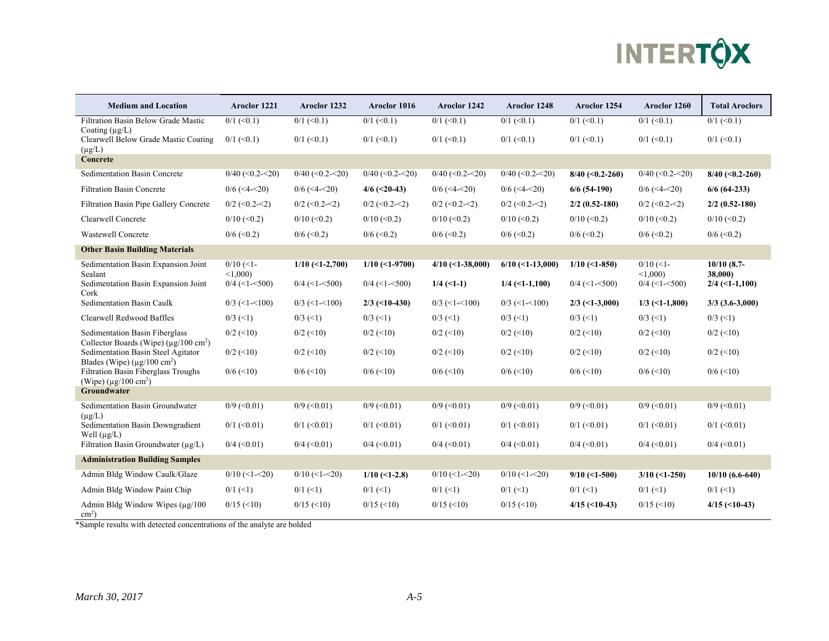

| <b>Medium and Location</b>                                                                | Aroclor 1221               | Aroclor 1232      | Aroclor 1016      | Aroclor 1242       | Aroclor 1248       | Aroclor 1254      | Aroclor 1260                  | <b>Total Aroclors</b>       |
|-------------------------------------------------------------------------------------------|----------------------------|-------------------|-------------------|--------------------|--------------------|-------------------|-------------------------------|-----------------------------|
| Filtration Basin Below Grade Mastic                                                       | $0/1$ (<0.1)               | $0/1$ (<0.1)      | $0/1$ (<0.1)      | $0/1$ (<0.1)       | $0/1$ (<0.1)       | $0/1$ (<0.1)      | $0/1$ (<0.1)                  | $0/1$ (<0.1)                |
| Coating $(\mu g/L)$<br>Clearwell Below Grade Mastic Coating<br>$(\mu g/L)$                | $0/1$ (<0.1)               | $0/1$ (<0.1)      | $0/1$ (<0.1)      | $0/1$ (<0.1)       | $0/1$ (<0.1)       | $0/1$ (<0.1)      | $0/1$ (<0.1)                  | $0/1$ (<0.1)                |
| Concrete                                                                                  |                            |                   |                   |                    |                    |                   |                               |                             |
| Sedimentation Basin Concrete                                                              | $0/40$ (<0.2-<20)          | $0/40$ (<0.2-<20) | $0/40$ (<0.2-<20) | $0/40$ (<0.2-<20)  | $0/40$ (<0.2-<20)  | $8/40$ (<0.2-260) | $0/40$ (<0.2-<20)             | $8/40$ (<0.2-260)           |
| <b>Filtration Basin Concrete</b>                                                          | $0/6$ (<4-<20)             | $0/6$ (<4-<20)    | $4/6$ (<20-43)    | $0/6$ (<4-<20)     | $0/6$ (<4-<20)     | $6/6(54-190)$     | $0/6$ (<4-<20)                | $6/6$ (64-233)              |
| Filtration Basin Pipe Gallery Concrete                                                    | $0/2$ (<0.2-<2)            | $0/2$ (<0.2-<2)   | $0/2$ (<0.2-<2)   | $0/2$ (<0.2-<2)    | $0/2$ (<0.2-<2)    | $2/2$ (0.52-180)  | $0/2$ (<0.2-<2)               | $2/2$ (0.52-180)            |
| Clearwell Concrete                                                                        | $0/10 \le 0.2$             | $0/10 \le 0.2$    | $0/10$ (<0.2)     | $0/10 \le 0.2$     | $0/10 \le 0.2$     | $0/10$ (<0.2)     | $0/10$ (<0.2)                 | $0/10$ (<0.2)               |
| <b>Wastewell Concrete</b>                                                                 | $0/6$ (<0.2)               | $0/6$ (<0.2)      | $0/6$ (< 0.2)     | $0/6 \approx 0.2$  | $0/6$ (<0.2)       | $0/6 \approx 0.2$ | $0/6 \approx 0.2$             | $0/6 \approx 0.2$           |
| <b>Other Basin Building Materials</b>                                                     |                            |                   |                   |                    |                    |                   |                               |                             |
| Sedimentation Basin Expansion Joint                                                       | $0/10$ (<1-                | $1/10$ (<1-2,700) | $1/10$ (<1-9700)  | $4/10$ (<1-38,000) | $6/10$ (<1-13,000) | $1/10$ (<1-850)   | $0/10$ (<1-                   | $10/10(8.7-$                |
| Sealant<br>Sedimentation Basin Expansion Joint<br>Cork                                    | < 1,000<br>$0/4$ (<1-<500) | $0/4$ (<1-<500)   | $0/4$ (<1-<500)   | $1/4$ (<1-1)       | $1/4$ (<1-1,100)   | $0/4$ (<1-<500)   | < 1,000<br>$0/4$ (<1- $500$ ) | 38,000)<br>$2/4$ (<1-1,100) |
| Sedimentation Basin Caulk                                                                 | $0/3$ (<1-<100)            | $0/3$ (<1-<100)   | $2/3$ (<10-430)   | $0/3$ (<1-<100)    | $0/3$ (<1-<100)    | $2/3$ (<1-3,000)  | $1/3$ (<1-1,800)              | $3/3$ (3.6-3,000)           |
| Clearwell Redwood Baffles                                                                 | $0/3$ (<1)                 | $0/3$ (<1)        | $0/3$ (<1)        | $0/3$ (<1)         | $0/3$ (<1)         | $0/3$ (<1)        | $0/3$ (<1)                    | $0/3$ (<1)                  |
| Sedimentation Basin Fiberglass<br>Collector Boards (Wipe) ( $\mu$ g/100 cm <sup>2</sup> ) | $0/2$ (<10)                | $0/2$ (<10)       | $0/2$ (<10)       | $0/2$ (<10)        | $0/2$ (<10)        | $0/2$ (<10)       | $0/2$ (<10)                   | $0/2$ (<10)                 |
| Sedimentation Basin Steel Agitator<br>Blades (Wipe) $(\mu$ g/100 cm <sup>2</sup> )        | $0/2$ (<10)                | $0/2$ (<10)       | $0/2$ (<10)       | $0/2$ (<10)        | $0/2$ (<10)        | $0/2$ (<10)       | $0/2$ (<10)                   | $0/2$ (<10)                 |
| Filtration Basin Fiberglass Troughs<br>(Wipe) ( $\mu$ g/100 cm <sup>2</sup> )             | $0/6$ (<10)                | $0/6$ (<10)       | $0/6 \approx 10$  | $0/6 \approx 10$   | $0/6$ (<10)        | $0/6$ (<10)       | $0/6 \approx 10$              | $0/6$ (<10)                 |
| Groundwater                                                                               |                            |                   |                   |                    |                    |                   |                               |                             |
| Sedimentation Basin Groundwater<br>$(\mu g/L)$                                            | $0/9$ (< 0.01)             | $0/9$ (< 0.01)    | $0/9$ (< 0.01)    | $0/9$ (< 0.01)     | $0/9$ (< 0.01)     | $0/9$ (< 0.01)    | $0/9$ (< 0.01)                | $0/9$ (< 0.01)              |
| Sedimentation Basin Downgradient<br>Well $(\mu g/L)$                                      | $0/1$ (<0.01)              | $0/1$ (<0.01)     | $0/1$ (<0.01)     | $0/1$ (<0.01)      | $0/1$ (<0.01)      | $0/1$ (<0.01)     | $0/1$ (<0.01)                 | $0/1$ (<0.01)               |
| Filtration Basin Groundwater $(\mu g/L)$                                                  | $0/4$ (<0.01)              | $0/4$ (<0.01)     | $0/4$ (< 0.01)    | $0/4$ (< 0.01)     | $0/4$ (< 0.01)     | $0/4$ (< 0.01)    | $0/4$ (<0.01)                 | $0/4$ (< 0.01)              |
| <b>Administration Building Samples</b>                                                    |                            |                   |                   |                    |                    |                   |                               |                             |
| Admin Bldg Window Caulk/Glaze                                                             | $0/10$ (<1-<20)            | $0/10$ (<1-<20)   | $1/10$ (<1-2.8)   | $0/10$ (<1-<20)    | $0/10$ (<1-<20)    | $9/10$ (<1-500)   | $3/10$ (<1-250)               | $10/10(6.6-640)$            |
| Admin Bldg Window Paint Chip                                                              | $0/1$ (<1)                 | $0/1$ (<1)        | $0/1$ (<1)        | $0/1$ (<1)         | $0/1$ (<1)         | $0/1$ (<1)        | $0/1$ (<1)                    | $0/1$ (<1)                  |
| Admin Bldg Window Wipes $(\mu g/100)$<br>$\text{cm}^2$ )                                  | $0/15$ (<10)               | $0/15 \approx 10$ | $0/15 \approx 10$ | $0/15 \approx (0)$ | $0/15 \approx (0)$ | $4/15$ (<10-43)   | $0/15 \approx 10$             | $4/15$ (<10-43)             |

\*Sample results with detected concentrations of the analyte are bolded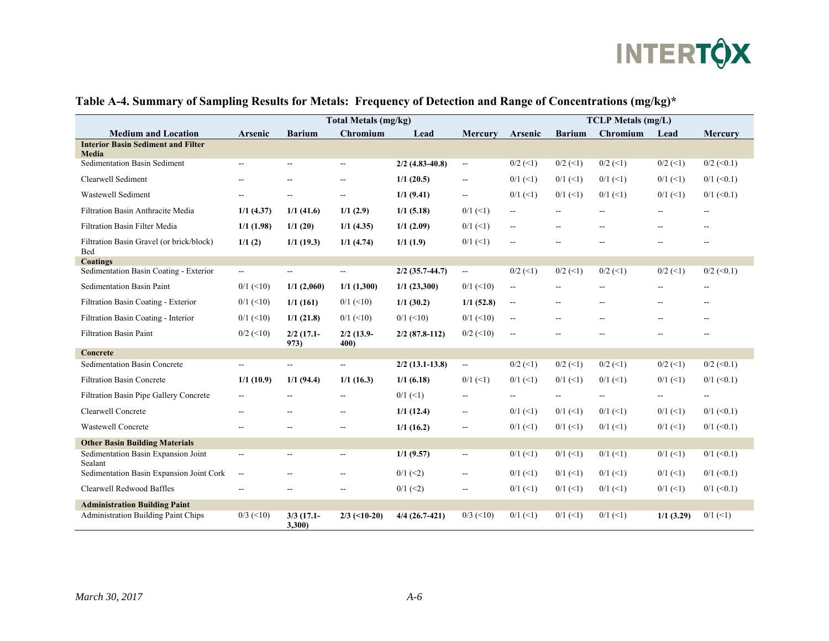

|                                                        | <b>Total Metals (mg/kg)</b> |                          |                          |                   |                          | <b>TCLP</b> Metals (mg/L)                     |                   |                          |                          |                          |
|--------------------------------------------------------|-----------------------------|--------------------------|--------------------------|-------------------|--------------------------|-----------------------------------------------|-------------------|--------------------------|--------------------------|--------------------------|
| <b>Medium and Location</b>                             | Arsenic                     | <b>Barium</b>            | Chromium                 | Lead              | Mercury                  | Arsenic                                       | <b>Barium</b>     | Chromium                 | Lead                     | <b>Mercury</b>           |
| <b>Interior Basin Sediment and Filter</b>              |                             |                          |                          |                   |                          |                                               |                   |                          |                          |                          |
| Media<br>Sedimentation Basin Sediment                  | $\overline{a}$              | $\mathbf{u}$             | $\overline{\phantom{a}}$ | $2/2$ (4.83-40.8) | $\overline{\phantom{a}}$ | $0/2$ (<1)                                    | $0/2$ (<1)        | $0/2$ (<1)               | $0/2$ (<1)               | $0/2$ (<0.1)             |
| Clearwell Sediment                                     | --                          | $\overline{\phantom{a}}$ | $\overline{\phantom{a}}$ | 1/1(20.5)         | $\overline{\phantom{a}}$ | $0/1$ (<1)                                    | $0/1$ (<1)        | $0/1$ (<1)               | $0/1$ (<1)               | $0/1$ (<0.1)             |
| Wastewell Sediment                                     | --                          | $\overline{\phantom{a}}$ | $\overline{\phantom{a}}$ | 1/1(9.41)         | $\overline{\phantom{a}}$ | $0/1$ (<1)                                    | $0/1$ (<1)        | $0/1$ (<1)               | $0/1$ (<1)               | $0/1$ (<0.1)             |
| Filtration Basin Anthracite Media                      | 1/1(4.37)                   | 1/1(41.6)                | 1/1(2.9)                 | 1/1(5.18)         | $0/1$ (<1)               | $- -$                                         | --                |                          | $- -$                    | $\overline{\phantom{a}}$ |
| Filtration Basin Filter Media                          | 1/1(1.98)                   | 1/1(20)                  | $1/1$ (4.35)             | 1/1(2.09)         | $0/1$ (<1)               | $-$                                           | --                | $-1$                     | --                       | $\sim$                   |
| Filtration Basin Gravel (or brick/block)<br><b>Bed</b> | 1/1(2)                      | $1/1$ (19.3)             | 1/1(4.74)                | 1/1(1.9)          | $0/1$ (<1)               | --                                            |                   |                          |                          |                          |
| <b>Coatings</b>                                        |                             |                          |                          |                   |                          |                                               |                   |                          |                          |                          |
| Sedimentation Basin Coating - Exterior                 | $\mathcal{L}_{\mathcal{F}}$ | $\overline{\phantom{a}}$ | $\sim$                   | $2/2$ (35.7-44.7) | $\sim$                   | $0/2$ (<1)                                    | $0/2$ (<1)        | $0/2$ (<1)               | $0/2$ (<1)               | $0/2$ (<0.1)             |
| Sedimentation Basin Paint                              | $0/1$ (<10)                 | 1/1(2,060)               | 1/1(1,300)               | 1/1(23,300)       | $0/1$ (<10)              | $\overline{\phantom{a}}$                      | $-$               |                          | $\overline{a}$           | $\overline{\phantom{a}}$ |
| Filtration Basin Coating - Exterior                    | $0/1$ (<10)                 | 1/1(161)                 | $0/1$ (<10)              | $1/1$ (30.2)      | 1/1(52.8)                | $\sim$                                        | $-$               | --                       | $\overline{\phantom{a}}$ | $\sim$                   |
| Filtration Basin Coating - Interior                    | $0/1$ (<10)                 | 1/1(21.8)                | $0/1$ (<10)              | $0/1$ (<10)       | $0/1$ (<10)              | $\mathord{\hspace{1pt}\text{--}\hspace{1pt}}$ | --                |                          | --                       | $-$                      |
| <b>Filtration Basin Paint</b>                          | $0/2$ (<10)                 | $2/2$ (17.1-<br>973)     | $2/2$ (13.9-<br>400)     | $2/2$ (87.8-112)  | $0/2$ (<10)              | $\overline{\phantom{a}}$                      |                   |                          |                          |                          |
| Concrete                                               |                             |                          |                          |                   |                          |                                               |                   |                          |                          |                          |
| <b>Sedimentation Basin Concrete</b>                    | $\overline{\phantom{a}}$    | $\overline{\phantom{a}}$ | $-$                      | $2/2$ (13.1-13.8) | $\sim$                   | $0/2$ (<1)                                    | $0/2$ (<1)        | $0/2$ (<1)               | $0/2$ (<1)               | $0/2 \leq 0.1$           |
| <b>Filtration Basin Concrete</b>                       | 1/1(10.9)                   | 1/1(94.4)                | 1/1(16.3)                | 1/1(6.18)         | $0/1$ (<1)               | $0/1$ (<1)                                    | $0/1$ (<1)        | $0/1$ (<1)               | $0/1$ (<1)               | $0/1$ (<0.1)             |
| Filtration Basin Pipe Gallery Concrete                 | --                          | $\overline{\phantom{a}}$ | $\overline{\phantom{a}}$ | $0/1$ (<1)        | $\overline{\phantom{m}}$ | $- -$                                         | $\qquad \qquad -$ | $\overline{\phantom{a}}$ | --                       | $\overline{\phantom{a}}$ |
| Clearwell Concrete                                     | $-$                         |                          | --                       | 1/1(12.4)         | $\overline{\phantom{m}}$ | $0/1$ (<1)                                    | $0/1$ (<1)        | $0/1$ (<1)               | $0/1$ (<1)               | $0/1$ (<0.1)             |
| <b>Wastewell Concrete</b>                              | --                          | $\overline{\phantom{a}}$ | --                       | 1/1(16.2)         | $\overline{\phantom{a}}$ | $0/1$ (<1)                                    | $0/1$ (<1)        | $0/1$ (<1)               | $0/1$ (<1)               | $0/1$ (<0.1)             |
| <b>Other Basin Building Materials</b>                  |                             |                          |                          |                   |                          |                                               |                   |                          |                          |                          |
| Sedimentation Basin Expansion Joint<br>Sealant         | $\overline{\phantom{a}}$    | $\overline{\phantom{a}}$ | $\overline{\phantom{a}}$ | 1/1(9.57)         | $\overline{\phantom{a}}$ | $0/1$ (<1)                                    | $0/1$ (<1)        | $0/1$ (<1)               | $0/1$ (<1)               | $0/1$ (<0.1)             |
| Sedimentation Basin Expansion Joint Cork               | $\overline{\phantom{a}}$    | $-$                      | --                       | $0/1$ (<2)        | $\overline{\phantom{a}}$ | $0/1$ (<1)                                    | $0/1$ (<1)        | $0/1$ (<1)               | $0/1$ (<1)               | $0/1$ (<0.1)             |
| Clearwell Redwood Baffles                              | $-$                         |                          |                          | $0/1$ (<2)        | --                       | $0/1$ (<1)                                    | $0/1$ (<1)        | $0/1$ (<1)               | $0/1$ (<1)               | $0/1$ (<0.1)             |
| <b>Administration Building Paint</b>                   |                             |                          |                          |                   |                          |                                               |                   |                          |                          |                          |
| <b>Administration Building Paint Chips</b>             | $0/3$ (<10)                 | $3/3$ (17.1-<br>3,300    | $2/3$ (<10-20)           | $4/4$ (26.7-421)  | $0/3$ (<10)              | $0/1$ (<1)                                    | $0/1$ (<1)        | $0/1$ (<1)               | $1/1$ (3.29)             | $0/1$ (<1)               |

## **Table A-4. Summary of Sampling Results for Metals: Frequency of Detection and Range of Concentrations (mg/kg)\***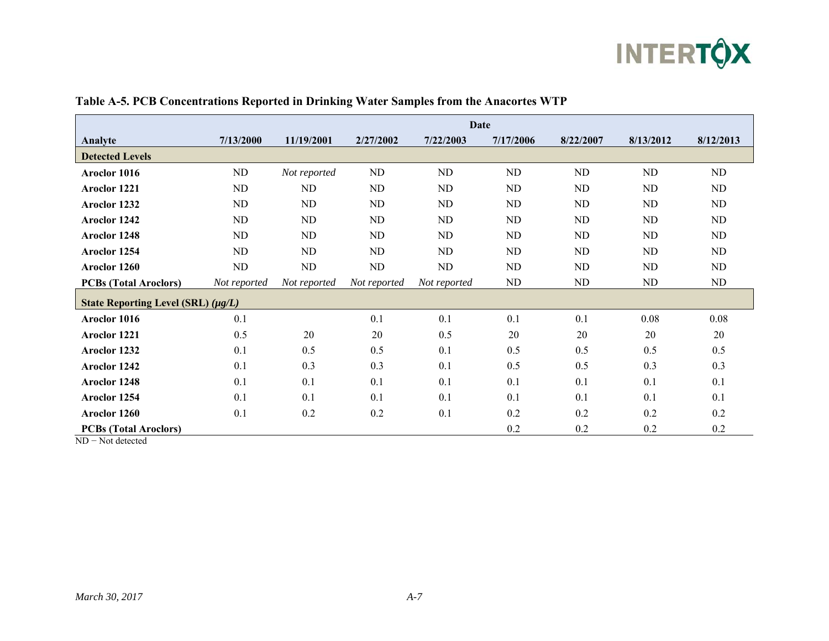

|                                         | Date         |              |              |              |           |           |           |           |  |  |
|-----------------------------------------|--------------|--------------|--------------|--------------|-----------|-----------|-----------|-----------|--|--|
| Analyte                                 | 7/13/2000    | 11/19/2001   | 2/27/2002    | 7/22/2003    | 7/17/2006 | 8/22/2007 | 8/13/2012 | 8/12/2013 |  |  |
| <b>Detected Levels</b>                  |              |              |              |              |           |           |           |           |  |  |
| Aroclor 1016                            | ND           | Not reported | ND           | ND           | ND        | ND        | ND        | ND        |  |  |
| Aroclor 1221                            | ND           | ND           | ND           | ND           | ND        | <b>ND</b> | <b>ND</b> | <b>ND</b> |  |  |
| Aroclor 1232                            | ND           | ND           | ND           | ND           | ND        | <b>ND</b> | ND        | <b>ND</b> |  |  |
| Aroclor 1242                            | ND           | ND           | ND           | ND           | ND        | ND        | ND        | ND        |  |  |
| Aroclor 1248                            | ND           | <b>ND</b>    | ND           | ND           | ND        | <b>ND</b> | ND        | ND        |  |  |
| Aroclor 1254                            | ND           | ND           | ND           | ND           | ND        | ND        | ND        | ND        |  |  |
| Aroclor 1260                            | ND           | <b>ND</b>    | ND           | ND           | ND        | <b>ND</b> | ND        | <b>ND</b> |  |  |
| <b>PCBs (Total Aroclors)</b>            | Not reported | Not reported | Not reported | Not reported | ND        | ND        | ND        | ND        |  |  |
| State Reporting Level (SRL) $(\mu g/L)$ |              |              |              |              |           |           |           |           |  |  |
| Aroclor 1016                            | 0.1          |              | 0.1          | 0.1          | 0.1       | 0.1       | 0.08      | 0.08      |  |  |
| Aroclor 1221                            | 0.5          | 20           | 20           | 0.5          | 20        | 20        | 20        | 20        |  |  |
| Aroclor 1232                            | 0.1          | 0.5          | 0.5          | 0.1          | 0.5       | 0.5       | 0.5       | 0.5       |  |  |
| Aroclor 1242                            | 0.1          | 0.3          | 0.3          | 0.1          | 0.5       | 0.5       | 0.3       | 0.3       |  |  |
| Aroclor 1248                            | 0.1          | 0.1          | 0.1          | 0.1          | 0.1       | 0.1       | 0.1       | 0.1       |  |  |
| Aroclor 1254                            | 0.1          | 0.1          | 0.1          | 0.1          | 0.1       | 0.1       | 0.1       | 0.1       |  |  |
| Aroclor 1260                            | 0.1          | 0.2          | 0.2          | 0.1          | 0.2       | 0.2       | 0.2       | 0.2       |  |  |
| <b>PCBs (Total Aroclors)</b>            |              |              |              |              | 0.2       | 0.2       | 0.2       | 0.2       |  |  |

ND − Not detected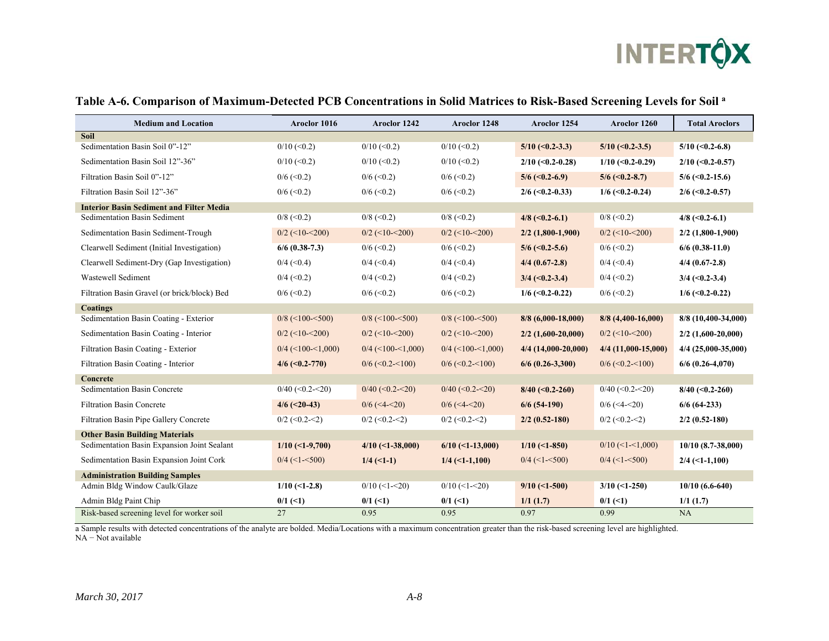

| <b>Medium and Location</b>                      | Aroclor 1016        | Aroclor 1242        | Aroclor 1248          | Aroclor 1254          | Aroclor 1260          | <b>Total Aroclors</b> |
|-------------------------------------------------|---------------------|---------------------|-----------------------|-----------------------|-----------------------|-----------------------|
| <b>Soil</b>                                     |                     |                     |                       |                       |                       |                       |
| Sedimentation Basin Soil 0"-12"                 | $0/10 \le 0.2$      | $0/10$ (<0.2)       | $0/10 \le 0.2$        | $5/10$ (<0.2-3.3)     | $5/10$ (<0.2-3.5)     | $5/10$ (<0.2-6.8)     |
| Sedimentation Basin Soil 12"-36"                | $0/10 \le 0.2$      | $0/10 \le 0.2$      | $0/10 \le 0.2$        | $2/10$ (<0.2-0.28)    | $1/10$ (<0.2-0.29)    | $2/10$ (<0.2-0.57)    |
| Filtration Basin Soil 0"-12"                    | $0/6$ (<0.2)        | $0/6$ (< 0.2)       | $0/6 \approx 0.2$     | $5/6$ (<0.2-6.9)      | $5/6$ (<0.2-8.7)      | $5/6$ (<0.2-15.6)     |
| Filtration Basin Soil 12"-36"                   | $0/6$ (<0.2)        | $0/6$ (<0.2)        | $0/6$ (< 0.2)         | $2/6$ (<0.2-0.33)     | $1/6$ (<0.2-0.24)     | $2/6$ (<0.2-0.57)     |
| <b>Interior Basin Sediment and Filter Media</b> |                     |                     |                       |                       |                       |                       |
| Sedimentation Basin Sediment                    | $0/8$ (< 0.2)       | $0/8$ (< 0.2)       | $0/8$ (< 0.2)         | $4/8$ (<0.2-6.1)      | $0/8$ (< 0.2)         | $4/8$ (<0.2-6.1)      |
| Sedimentation Basin Sediment-Trough             | $0/2$ (<10-<200)    | $0/2$ (<10-<200)    | $0/2$ (<10-<200)      | $2/2$ (1,800-1,900)   | $0/2$ (<10-<200)      | $2/2$ (1,800-1,900)   |
| Clearwell Sediment (Initial Investigation)      | $6/6$ (0.38-7.3)    | $0/6$ (< 0.2)       | $0/6$ (<0.2)          | $5/6$ (<0.2-5.6)      | $0/6 \approx 0.2$     | $6/6$ (0.38-11.0)     |
| Clearwell Sediment-Dry (Gap Investigation)      | $0/4$ (<0.4)        | $0/4 \approx (0.4)$ | $0/4$ (<0.4)          | $4/4$ (0.67-2.8)      | $0/4$ (<0.4)          | $4/4$ (0.67-2.8)      |
| Wastewell Sediment                              | $0/4$ (<0.2)        | $0/4$ (<0.2)        | $0/4 \approx (0.2)$   | $3/4$ (<0.2-3.4)      | $0/4$ (<0.2)          | $3/4$ (<0.2-3.4)      |
| Filtration Basin Gravel (or brick/block) Bed    | $0/6$ (< 0.2)       | $0/6 \approx 0.2$   | $0/6 \approx 0.2$     | $1/6$ (<0.2-0.22)     | $0/6 \approx 0.2$     | $1/6$ (<0.2-0.22)     |
| <b>Coatings</b>                                 |                     |                     |                       |                       |                       |                       |
| Sedimentation Basin Coating - Exterior          | $0/8$ (<100-<500)   | $0/8$ (<100-<500)   | $0/8$ (<100-<500)     | $8/8$ (6,000-18,000)  | $8/8$ (4,400-16,000)  | 8/8 (10,400-34,000)   |
| Sedimentation Basin Coating - Interior          | $0/2$ (<10-<200)    | $0/2$ (<10-<200)    | $0/2$ (<10-<200)      | $2/2$ (1,600-20,000)  | $0/2$ (<10-<200)      | $2/2$ (1,600-20,000)  |
| Filtration Basin Coating - Exterior             | $0/4$ (<100-<1,000) | $0/4$ (<100-<1,000) | $0/4$ (<100-<1,000)   | $4/4$ (14,000-20,000) | $4/4$ (11,000-15,000) | $4/4$ (25,000-35,000) |
| Filtration Basin Coating - Interior             | $4/6$ (<0.2-770)    | $0/6$ (<0.2 - <100) | $0/6$ (<0.2-<100)     | $6/6$ (0.26-3,300)    | $0/6$ (<0.2 - <100)   | $6/6$ (0.26-4,070)    |
| Concrete                                        |                     |                     |                       |                       |                       |                       |
| Sedimentation Basin Concrete                    | $0/40$ (<0.2-<20)   | $0/40$ (<0.2-<20)   | $0/40 \le 0.2 \le 20$ | $8/40$ (<0.2-260)     | $0/40$ (<0.2-<20)     | $8/40$ (<0.2-260)     |
| <b>Filtration Basin Concrete</b>                | $4/6$ (<20-43)      | $0/6$ (<4-<20)      | $0/6$ (<4-<20)        | $6/6$ (54-190)        | $0/6$ (<4-<20)        | $6/6$ (64-233)        |
| Filtration Basin Pipe Gallery Concrete          | $0/2$ (<0.2-<2)     | $0/2$ (<0.2-<2)     | $0/2$ (<0.2-<2)       | $2/2$ (0.52-180)      | $0/2$ (<0.2-<2)       | $2/2$ (0.52-180)      |
| <b>Other Basin Building Materials</b>           |                     |                     |                       |                       |                       |                       |
| Sedimentation Basin Expansion Joint Sealant     | $1/10$ (<1-9,700)   | $4/10$ (<1-38,000)  | $6/10$ (<1-13,000)    | $1/10$ (<1-850)       | $0/10$ (<1-<1,000)    | $10/10$ (8.7-38,000)  |
| Sedimentation Basin Expansion Joint Cork        | $0/4$ (<1- $500$ )  | $1/4$ (<1-1)        | $1/4$ (<1-1,100)      | $0/4$ (<1- $500$ )    | $0/4$ (<1- $500$ )    | $2/4$ (<1-1,100)      |
| <b>Administration Building Samples</b>          |                     |                     |                       |                       |                       |                       |
| Admin Bldg Window Caulk/Glaze                   | $1/10$ (<1-2.8)     | $0/10$ (<1-<20)     | $0/10$ (<1-<20)       | $9/10$ (<1-500)       | $3/10$ (<1-250)       | $10/10(6.6-640)$      |
| Admin Bldg Paint Chip                           | $0/1$ (<1)          | $0/1$ (<1)          | $0/1$ (<1)            | 1/1(1.7)              | $0/1$ (<1)            | 1/1(1.7)              |
| Risk-based screening level for worker soil      | 27                  | 0.95                | 0.95                  | 0.97                  | 0.99                  | NA                    |

#### **Table A-6. Comparison of Maximum-Detected PCB Concentrations in Solid Matrices to Risk-Based Screening Levels for Soil a**

a Sample results with detected concentrations of the analyte are bolded. Media/Locations with a maximum concentration greater than the risk-based screening level are highlighted.  $NA - Not available$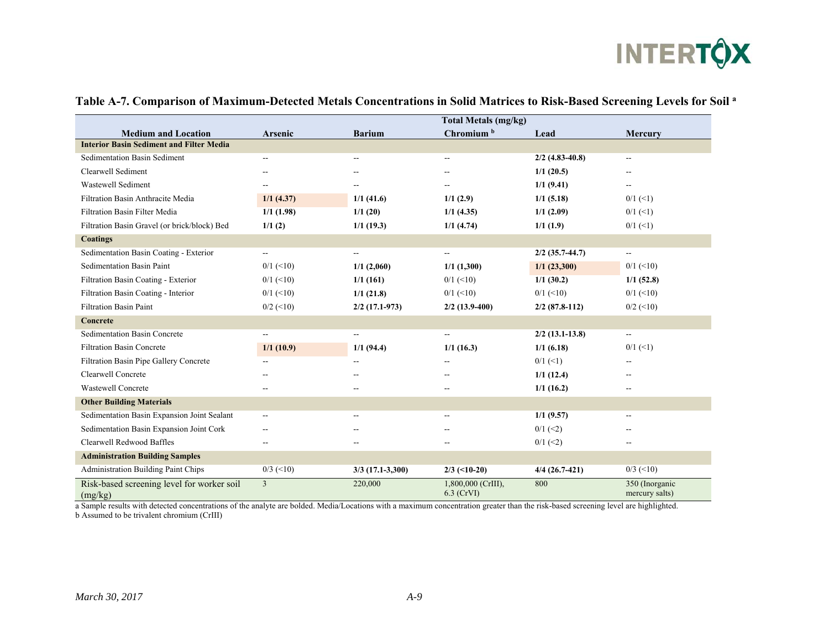

|                                                       |                          |                          | <b>Total Metals (mg/kg)</b>        |                   |                                  |
|-------------------------------------------------------|--------------------------|--------------------------|------------------------------------|-------------------|----------------------------------|
| <b>Medium and Location</b>                            | Arsenic                  | <b>Barium</b>            | Chromium <sup>b</sup>              | Lead              | Mercury                          |
| <b>Interior Basin Sediment and Filter Media</b>       |                          |                          |                                    |                   |                                  |
| Sedimentation Basin Sediment                          | $\overline{\phantom{0}}$ | $\overline{\phantom{a}}$ | $\overline{\phantom{a}}$           | $2/2$ (4.83-40.8) | $\overline{\phantom{a}}$         |
| Clearwell Sediment                                    | --                       |                          | $-$                                | 1/1(20.5)         | $-$                              |
| Wastewell Sediment                                    | --                       |                          |                                    | 1/1(9.41)         | $\overline{\phantom{m}}$         |
| Filtration Basin Anthracite Media                     | 1/1(4.37)                | 1/1(41.6)                | 1/1(2.9)                           | 1/1(5.18)         | $0/1$ (<1)                       |
| Filtration Basin Filter Media                         | $1/1$ (1.98)             | 1/1(20)                  | $1/1$ (4.35)                       | 1/1(2.09)         | $0/1$ (<1)                       |
| Filtration Basin Gravel (or brick/block) Bed          | 1/1(2)                   | $1/1$ (19.3)             | 1/1(4.74)                          | 1/1(1.9)          | $0/1$ (<1)                       |
| <b>Coatings</b>                                       |                          |                          |                                    |                   |                                  |
| Sedimentation Basin Coating - Exterior                | --                       | $\overline{\phantom{a}}$ | $\overline{\phantom{a}}$           | $2/2$ (35.7-44.7) | $\overline{a}$                   |
| <b>Sedimentation Basin Paint</b>                      | $0/1$ (<10)              | 1/1(2,060)               | 1/1(1,300)                         | 1/1(23,300)       | $0/1$ (<10)                      |
| Filtration Basin Coating - Exterior                   | $0/1$ (<10)              | 1/1(161)                 | $0/1$ (<10)                        | $1/1$ (30.2)      | 1/1(52.8)                        |
| Filtration Basin Coating - Interior                   | $0/1$ (<10)              | 1/1(21.8)                | $0/1$ (<10)                        | $0/1$ (<10)       | $0/1$ (<10)                      |
| <b>Filtration Basin Paint</b>                         | $0/2$ (<10)              | $2/2$ (17.1-973)         | $2/2$ (13.9-400)                   | $2/2$ (87.8-112)  | $0/2$ (<10)                      |
| Concrete                                              |                          |                          |                                    |                   |                                  |
| Sedimentation Basin Concrete                          |                          |                          | $\overline{\phantom{a}}$           | $2/2$ (13.1-13.8) | $\overline{\phantom{a}}$         |
| <b>Filtration Basin Concrete</b>                      | 1/1(10.9)                | 1/1(94.4)                | 1/1(16.3)                          | 1/1(6.18)         | $0/1$ (<1)                       |
| Filtration Basin Pipe Gallery Concrete                |                          |                          |                                    | $0/1$ (<1)        | --                               |
| Clearwell Concrete                                    |                          |                          | $-$                                | 1/1(12.4)         | --                               |
| <b>Wastewell Concrete</b>                             | --                       | $-$                      | $\sim$                             | 1/1(16.2)         | --                               |
| <b>Other Building Materials</b>                       |                          |                          |                                    |                   |                                  |
| Sedimentation Basin Expansion Joint Sealant           | --                       | --                       | --                                 | 1/1(9.57)         | --                               |
| Sedimentation Basin Expansion Joint Cork              |                          |                          |                                    | $0/1$ (<2)        |                                  |
| Clearwell Redwood Baffles                             | --                       | $-$                      | $\overline{\phantom{m}}$           | $0/1$ (<2)        | --                               |
| <b>Administration Building Samples</b>                |                          |                          |                                    |                   |                                  |
| Administration Building Paint Chips                   | $0/3$ (<10)              | $3/3$ (17.1-3,300)       | $2/3$ (<10-20)                     | $4/4$ (26.7-421)  | $0/3$ (<10)                      |
| Risk-based screening level for worker soil<br>(mg/kg) | $\overline{3}$           | 220,000                  | 1,800,000 (CrIII),<br>$6.3$ (CrVI) | 800               | 350 (Inorganic<br>mercury salts) |

#### **Table A-7. Comparison of Maximum-Detected Metals Concentrations in Solid Matrices to Risk-Based Screening Levels for Soil a**

a Sample results with detected concentrations of the analyte are bolded. Media/Locations with a maximum concentration greater than the risk-based screening level are highlighted. b Assumed to be trivalent chromium (CrIII)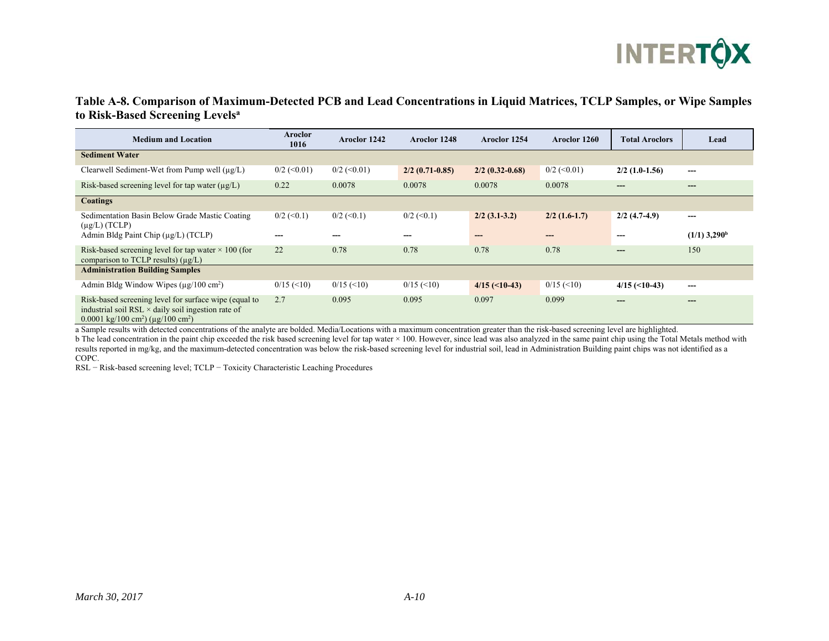

### **Table A-8. Comparison of Maximum-Detected PCB and Lead Concentrations in Liquid Matrices, TCLP Samples, or Wipe Samples to Risk-Based Screening Levelsa**

| <b>Medium and Location</b>                                                                                                                                                                   | Aroclor<br>1016     | Aroclor 1242        | Aroclor 1248        | Aroclor 1254      | Aroclor 1260      | <b>Total Aroclors</b> | Lead                       |
|----------------------------------------------------------------------------------------------------------------------------------------------------------------------------------------------|---------------------|---------------------|---------------------|-------------------|-------------------|-----------------------|----------------------------|
| <b>Sediment Water</b>                                                                                                                                                                        |                     |                     |                     |                   |                   |                       |                            |
| Clearwell Sediment-Wet from Pump well $(\mu g/L)$                                                                                                                                            | $0/2$ (<0.01)       | $0/2$ (<0.01)       | $2/2$ (0.71-0.85)   | $2/2$ (0.32-0.68) | $0/2$ (< 0.01)    | $2/2$ (1.0-1.56)      | ---                        |
| Risk-based screening level for tap water (µg/L)                                                                                                                                              | 0.22                | 0.0078              | 0.0078              | 0.0078            | 0.0078            | ---                   | $---$                      |
| <b>Coatings</b>                                                                                                                                                                              |                     |                     |                     |                   |                   |                       |                            |
| Sedimentation Basin Below Grade Mastic Coating<br>$(\mu g/L)$ (TCLP)                                                                                                                         | $0/2 \approx (0.1)$ | $0/2 \approx (0.1)$ | $0/2 \approx (0.1)$ | $2/2$ (3.1-3.2)   | $2/2$ (1.6-1.7)   | $2/2$ (4.7-4.9)       | $---$                      |
| Admin Bldg Paint Chip $(\mu g/L)$ (TCLP)                                                                                                                                                     |                     |                     |                     |                   | ---               |                       | $(1/1)$ 3,290 <sup>b</sup> |
| Risk-based screening level for tap water $\times$ 100 (for<br>comparison to TCLP results) $(\mu g/L)$                                                                                        | 22                  | 0.78                | 0.78                | 0.78              | 0.78              | ---                   | 150                        |
| <b>Administration Building Samples</b>                                                                                                                                                       |                     |                     |                     |                   |                   |                       |                            |
| Admin Bldg Window Wipes $(\mu$ g/100 cm <sup>2</sup> )                                                                                                                                       | $0/15 \approx 10$   | $0/15 \approx 10$   | $0/15 \approx 10$   | $4/15$ (<10-43)   | $0/15 \approx 10$ | $4/15$ (<10-43)       | ---                        |
| Risk-based screening level for surface wipe (equal to<br>industrial soil RSL $\times$ daily soil ingestion rate of<br>$0.0001 \text{ kg}/100 \text{ cm}^2$ ) ( $\mu$ g/100 cm <sup>2</sup> ) | 2.7                 | 0.095               | 0.095               | 0.097             | 0.099             |                       | $---$                      |

a Sample results with detected concentrations of the analyte are bolded. Media/Locations with a maximum concentration greater than the risk-based screening level are highlighted.

b The lead concentration in the paint chip exceeded the risk based screening level for tap water × 100. However, since lead was also analyzed in the same paint chip using the Total Metals method with results reported in mg/kg, and the maximum-detected concentration was below the risk-based screening level for industrial soil, lead in Administration Building paint chips was not identified as a COPC.

RSL − Risk-based screening level; TCLP − Toxicity Characteristic Leaching Procedures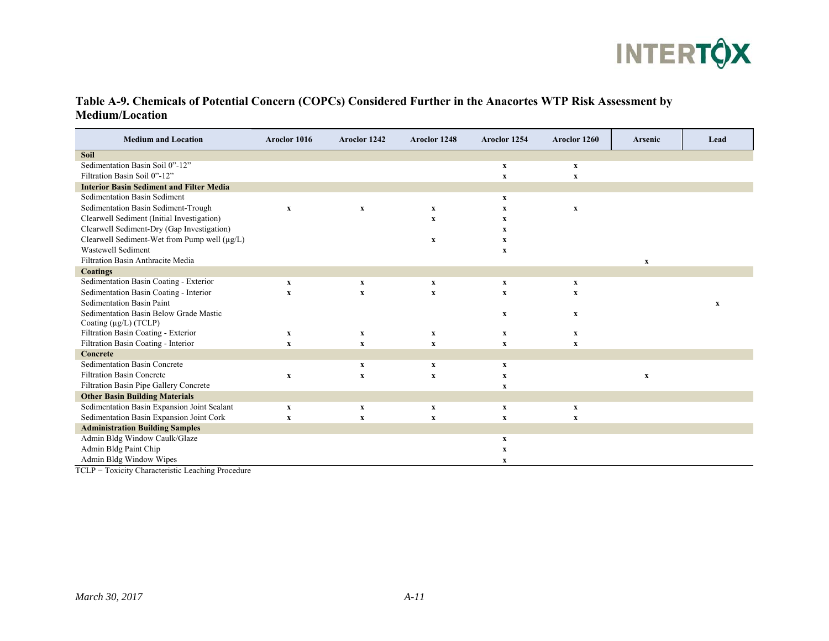

#### **Table A-9. Chemicals of Potential Concern (COPCs) Considered Further in the Anacortes WTP Risk Assessment by Medium/Location**

| <b>Medium and Location</b>                        | Aroclor 1016              | Aroclor 1242              | Aroclor 1248              | Aroclor 1254              | Aroclor 1260              | <b>Arsenic</b>            | Lead         |
|---------------------------------------------------|---------------------------|---------------------------|---------------------------|---------------------------|---------------------------|---------------------------|--------------|
| <b>Soil</b>                                       |                           |                           |                           |                           |                           |                           |              |
| Sedimentation Basin Soil 0"-12"                   |                           |                           |                           | $\mathbf X$               | $\boldsymbol{\mathrm{X}}$ |                           |              |
| Filtration Basin Soil 0"-12"                      |                           |                           |                           | $\mathbf X$               | $\boldsymbol{\mathrm{X}}$ |                           |              |
| <b>Interior Basin Sediment and Filter Media</b>   |                           |                           |                           |                           |                           |                           |              |
| Sedimentation Basin Sediment                      |                           |                           |                           | $\mathbf x$               |                           |                           |              |
| Sedimentation Basin Sediment-Trough               | $\mathbf X$               | $\mathbf x$               | $\mathbf x$               | x                         | $\boldsymbol{\mathrm{X}}$ |                           |              |
| Clearwell Sediment (Initial Investigation)        |                           |                           | $\mathbf X$               | $\mathbf X$               |                           |                           |              |
| Clearwell Sediment-Dry (Gap Investigation)        |                           |                           |                           | $\mathbf X$               |                           |                           |              |
| Clearwell Sediment-Wet from Pump well $(\mu g/L)$ |                           |                           | $\boldsymbol{\mathrm{X}}$ | x                         |                           |                           |              |
| Wastewell Sediment                                |                           |                           |                           | $\mathbf X$               |                           |                           |              |
| Filtration Basin Anthracite Media                 |                           |                           |                           |                           |                           | $\mathbf x$               |              |
| Coatings                                          |                           |                           |                           |                           |                           |                           |              |
| Sedimentation Basin Coating - Exterior            | $\mathbf x$               | $\boldsymbol{\mathrm{X}}$ | $\boldsymbol{\mathrm{X}}$ | $\mathbf X$               | $\boldsymbol{\mathrm{X}}$ |                           |              |
| Sedimentation Basin Coating - Interior            | $\mathbf X$               | $\mathbf X$               | $\mathbf x$               | $\mathbf X$               | x                         |                           |              |
| Sedimentation Basin Paint                         |                           |                           |                           |                           |                           |                           | $\mathbf{x}$ |
| Sedimentation Basin Below Grade Mastic            |                           |                           |                           | $\mathbf X$               | $\mathbf X$               |                           |              |
| Coating $(\mu g/L)$ (TCLP)                        |                           |                           |                           |                           |                           |                           |              |
| Filtration Basin Coating - Exterior               | $\mathbf x$               | $\mathbf{x}$              | $\mathbf{x}$              | $\mathbf X$               | $\boldsymbol{\mathrm{X}}$ |                           |              |
| Filtration Basin Coating - Interior               | $\boldsymbol{\mathrm{X}}$ | $\mathbf X$               | $\mathbf X$               | $\mathbf X$               | $\boldsymbol{\mathrm{X}}$ |                           |              |
| Concrete                                          |                           |                           |                           |                           |                           |                           |              |
| Sedimentation Basin Concrete                      |                           | $\mathbf{x}$              | $\mathbf x$               | $\mathbf X$               |                           |                           |              |
| <b>Filtration Basin Concrete</b>                  | $\boldsymbol{\mathrm{X}}$ | $\mathbf X$               | $\boldsymbol{\mathrm{X}}$ | $\mathbf X$               |                           | $\boldsymbol{\mathrm{X}}$ |              |
| Filtration Basin Pipe Gallery Concrete            |                           |                           |                           | $\mathbf x$               |                           |                           |              |
| <b>Other Basin Building Materials</b>             |                           |                           |                           |                           |                           |                           |              |
| Sedimentation Basin Expansion Joint Sealant       | $\mathbf X$               | $\boldsymbol{\mathrm{X}}$ | $\boldsymbol{\mathrm{X}}$ | $\boldsymbol{\mathrm{X}}$ | $\boldsymbol{\mathrm{X}}$ |                           |              |
| Sedimentation Basin Expansion Joint Cork          | $\mathbf X$               | $\mathbf X$               | $\mathbf X$               | $\mathbf X$               | $\mathbf x$               |                           |              |
| <b>Administration Building Samples</b>            |                           |                           |                           |                           |                           |                           |              |
| Admin Bldg Window Caulk/Glaze                     |                           |                           |                           | $\mathbf X$               |                           |                           |              |
| Admin Bldg Paint Chip                             |                           |                           |                           | x                         |                           |                           |              |
| Admin Bldg Window Wipes                           |                           |                           |                           | $\mathbf x$               |                           |                           |              |

TCLP − Toxicity Characteristic Leaching Procedure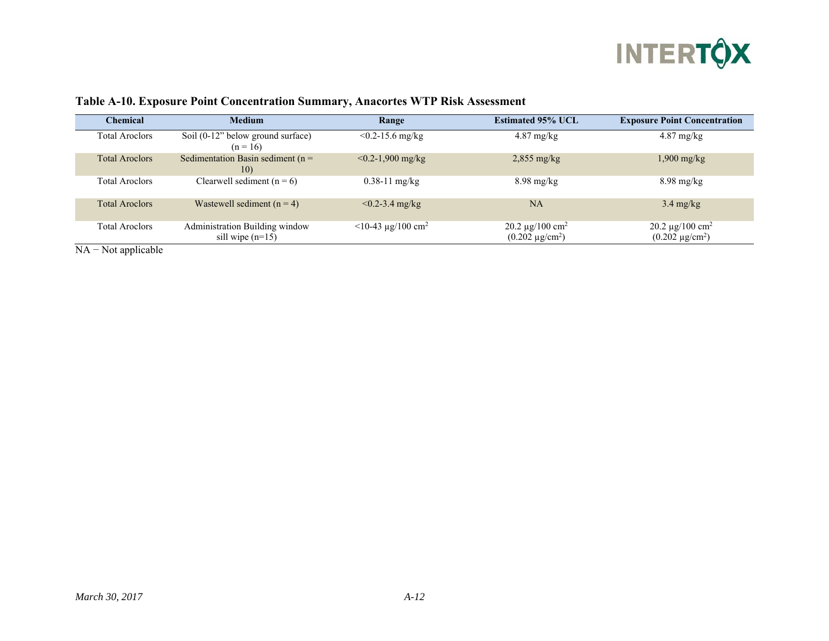

| Chemical              | <b>Medium</b>                                        | Range                            | <b>Estimated 95% UCL</b>                                 | <b>Exposure Point Concentration</b>                      |
|-----------------------|------------------------------------------------------|----------------------------------|----------------------------------------------------------|----------------------------------------------------------|
| <b>Total Aroclors</b> | Soil $(0-12)$ below ground surface)<br>$(n = 16)$    | $< 0.2 - 15.6$ mg/kg             | $4.87 \text{ mg/kg}$                                     | $4.87$ mg/kg                                             |
| <b>Total Aroclors</b> | Sedimentation Basin sediment ( $n =$<br>10)          | $< 0.2 - 1,900$ mg/kg            | $2,855$ mg/kg                                            | $1,900$ mg/kg                                            |
| <b>Total Aroclors</b> | Clearwell sediment $(n = 6)$                         | $0.38 - 11$ mg/kg                | $8.98 \text{ mg/kg}$                                     | $8.98$ mg/kg                                             |
| <b>Total Aroclors</b> | Wastewell sediment $(n = 4)$                         | $< 0.2 - 3.4$ mg/kg              | NA                                                       | $3.4 \text{ mg/kg}$                                      |
| <b>Total Aroclors</b> | Administration Building window<br>sill wipe $(n=15)$ | $<$ 10-43 µg/100 cm <sup>2</sup> | 20.2 $\mu$ g/100 cm <sup>2</sup><br>$(0.202 \mu g/cm^2)$ | 20.2 $\mu$ g/100 cm <sup>2</sup><br>$(0.202 \mu g/cm^2)$ |

#### **Table A-10. Exposure Point Concentration Summary, Anacortes WTP Risk Assessment**

NA – Not applicable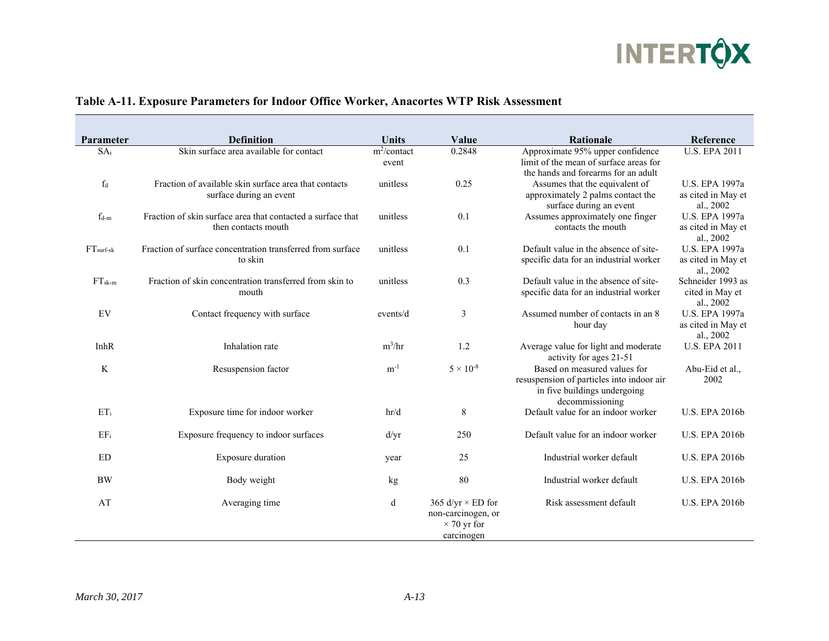

| Parameter       | <b>Definition</b>                                                                  | <b>Units</b>                       | Value                                                                              | Rationale                                                                                                                    | Reference                                                |
|-----------------|------------------------------------------------------------------------------------|------------------------------------|------------------------------------------------------------------------------------|------------------------------------------------------------------------------------------------------------------------------|----------------------------------------------------------|
| SA <sub>i</sub> | Skin surface area available for contact                                            | $\overline{m^2}$ /contact<br>event | 0.2848                                                                             | Approximate 95% upper confidence<br>limit of the mean of surface areas for<br>the hands and forearms for an adult            | <b>U.S. EPA 2011</b>                                     |
| $f_d$           | Fraction of available skin surface area that contacts<br>surface during an event   | unitless                           | 0.25                                                                               | Assumes that the equivalent of<br>approximately 2 palms contact the<br>surface during an event                               | U.S. EPA 1997a<br>as cited in May et<br>al., 2002        |
| $f_{d-m}$       | Fraction of skin surface area that contacted a surface that<br>then contacts mouth | unitless                           | 0.1                                                                                | Assumes approximately one finger<br>contacts the mouth                                                                       | U.S. EPA 1997a<br>as cited in May et<br>al., 2002        |
| $FTsurf-sk$     | Fraction of surface concentration transferred from surface<br>to skin              | unitless                           | 0.1                                                                                | Default value in the absence of site-<br>specific data for an industrial worker                                              | <b>U.S. EPA 1997a</b><br>as cited in May et<br>al., 2002 |
| $FT_{sk-m}$     | Fraction of skin concentration transferred from skin to<br>mouth                   | unitless                           | 0.3                                                                                | Default value in the absence of site-<br>specific data for an industrial worker                                              | Schneider 1993 as<br>cited in May et<br>al., 2002        |
| EV              | Contact frequency with surface                                                     | events/d                           | 3                                                                                  | Assumed number of contacts in an 8<br>hour day                                                                               | U.S. EPA 1997a<br>as cited in May et<br>al., 2002        |
| InhR            | Inhalation rate                                                                    | $m^3/hr$                           | 1.2                                                                                | Average value for light and moderate<br>activity for ages 21-51                                                              | <b>U.S. EPA 2011</b>                                     |
| K               | Resuspension factor                                                                | $m^{-1}$                           | $5 \times 10^{-8}$                                                                 | Based on measured values for<br>resuspension of particles into indoor air<br>in five buildings undergoing<br>decommissioning | Abu-Eid et al.,<br>2002                                  |
| $ET_i$          | Exposure time for indoor worker                                                    | hr/d                               | 8                                                                                  | Default value for an indoor worker                                                                                           | <b>U.S. EPA 2016b</b>                                    |
| EFi             | Exposure frequency to indoor surfaces                                              | d/yr                               | 250                                                                                | Default value for an indoor worker                                                                                           | <b>U.S. EPA 2016b</b>                                    |
| <b>ED</b>       | Exposure duration                                                                  | year                               | 25                                                                                 | Industrial worker default                                                                                                    | <b>U.S. EPA 2016b</b>                                    |
| <b>BW</b>       | Body weight                                                                        | kg                                 | 80                                                                                 | Industrial worker default                                                                                                    | <b>U.S. EPA 2016b</b>                                    |
| AT              | Averaging time                                                                     | d                                  | 365 d/yr $\times$ ED for<br>non-carcinogen, or<br>$\times$ 70 yr for<br>carcinogen | Risk assessment default                                                                                                      | <b>U.S. EPA 2016b</b>                                    |

## **Table A-11. Exposure Parameters for Indoor Office Worker, Anacortes WTP Risk Assessment**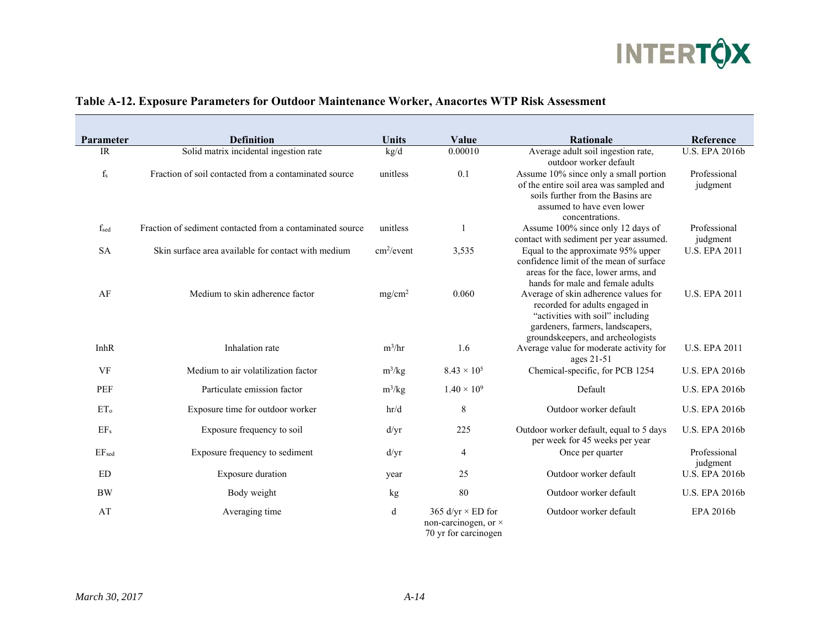

| Parameter               | <b>Definition</b>                                         | <b>Units</b>           | Value                                                                    | <b>Rationale</b>                                                                                                                                                                    | Reference                |
|-------------------------|-----------------------------------------------------------|------------------------|--------------------------------------------------------------------------|-------------------------------------------------------------------------------------------------------------------------------------------------------------------------------------|--------------------------|
| <b>IR</b>               | Solid matrix incidental ingestion rate                    | kg/d                   | 0.00010                                                                  | Average adult soil ingestion rate,<br>outdoor worker default                                                                                                                        | <b>U.S. EPA 2016b</b>    |
| $\mathbf{f}_\mathrm{s}$ | Fraction of soil contacted from a contaminated source     | unitless               | 0.1                                                                      | Assume 10% since only a small portion<br>of the entire soil area was sampled and<br>soils further from the Basins are<br>assumed to have even lower<br>concentrations.              | Professional<br>judgment |
| $f_{sed}$               | Fraction of sediment contacted from a contaminated source | unitless               |                                                                          | Assume 100% since only 12 days of<br>contact with sediment per year assumed.                                                                                                        | Professional<br>judgment |
| <b>SA</b>               | Skin surface area available for contact with medium       | cm <sup>2</sup> /event | 3,535                                                                    | Equal to the approximate 95% upper<br>confidence limit of the mean of surface<br>areas for the face, lower arms, and<br>hands for male and female adults                            | <b>U.S. EPA 2011</b>     |
| AF                      | Medium to skin adherence factor                           | mg/cm <sup>2</sup>     | 0.060                                                                    | Average of skin adherence values for<br>recorded for adults engaged in<br>"activities with soil" including<br>gardeners, farmers, landscapers,<br>groundskeepers, and archeologists | <b>U.S. EPA 2011</b>     |
| <b>InhR</b>             | Inhalation rate                                           | $m^3/hr$               | 1.6                                                                      | Average value for moderate activity for<br>ages 21-51                                                                                                                               | <b>U.S. EPA 2011</b>     |
| VF                      | Medium to air volatilization factor                       | $m^3/kg$               | $8.43 \times 10^{5}$                                                     | Chemical-specific, for PCB 1254                                                                                                                                                     | <b>U.S. EPA 2016b</b>    |
| <b>PEF</b>              | Particulate emission factor                               | $m^3/kg$               | $1.40 \times 10^{9}$                                                     | Default                                                                                                                                                                             | <b>U.S. EPA 2016b</b>    |
| ET <sub>o</sub>         | Exposure time for outdoor worker                          | hr/d                   | $\,$ $\,$                                                                | Outdoor worker default                                                                                                                                                              | <b>U.S. EPA 2016b</b>    |
| EF <sub>s</sub>         | Exposure frequency to soil                                | d/yr                   | 225                                                                      | Outdoor worker default, equal to 5 days<br>per week for 45 weeks per year                                                                                                           | <b>U.S. EPA 2016b</b>    |
| EF <sub>sed</sub>       | Exposure frequency to sediment                            | d/yr                   | 4                                                                        | Once per quarter                                                                                                                                                                    | Professional<br>judgment |
| ED                      | Exposure duration                                         | year                   | 25                                                                       | Outdoor worker default                                                                                                                                                              | <b>U.S. EPA 2016b</b>    |
| <b>BW</b>               | Body weight                                               | kg                     | 80                                                                       | Outdoor worker default                                                                                                                                                              | <b>U.S. EPA 2016b</b>    |
| AT                      | Averaging time                                            | d                      | 365 d/yr $\times$ ED for<br>non-carcinogen, or ×<br>70 yr for carcinogen | Outdoor worker default                                                                                                                                                              | EPA 2016b                |

## **Table A-12. Exposure Parameters for Outdoor Maintenance Worker, Anacortes WTP Risk Assessment**

 $\mathcal{L}$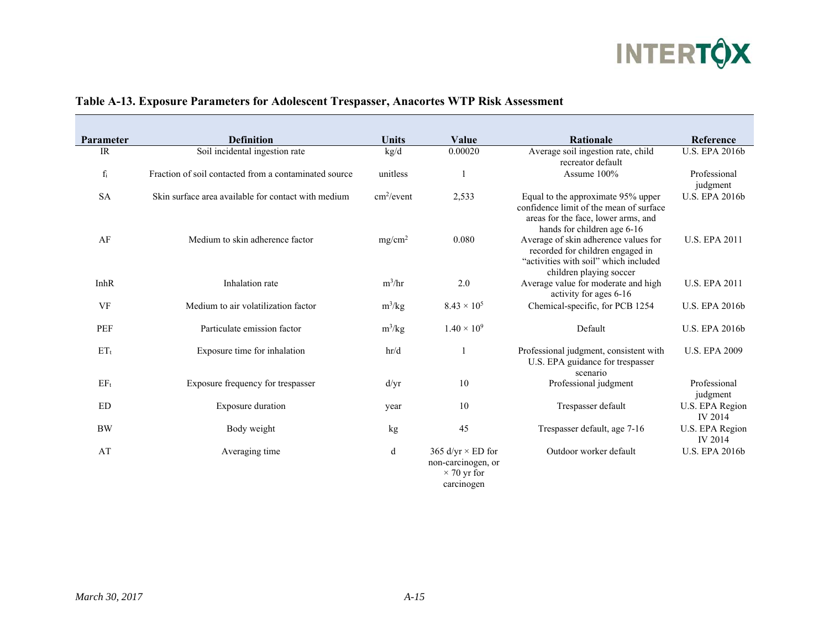

| <b>Parameter</b> | <b>Definition</b>                                     | <b>Units</b>           | Value                                                                | <b>Rationale</b>                                                                                                                                    | Reference                         |
|------------------|-------------------------------------------------------|------------------------|----------------------------------------------------------------------|-----------------------------------------------------------------------------------------------------------------------------------------------------|-----------------------------------|
| IR               | Soil incidental ingestion rate                        | kg/d                   | 0.00020                                                              | Average soil ingestion rate, child<br>recreator default                                                                                             | <b>U.S. EPA 2016b</b>             |
| $f_i$            | Fraction of soil contacted from a contaminated source | unitless               |                                                                      | Assume 100%                                                                                                                                         | Professional<br>judgment          |
| <b>SA</b>        | Skin surface area available for contact with medium   | cm <sup>2</sup> /event | 2,533                                                                | Equal to the approximate 95% upper<br>confidence limit of the mean of surface<br>areas for the face, lower arms, and<br>hands for children age 6-16 | <b>U.S. EPA 2016b</b>             |
| AF               | Medium to skin adherence factor                       | mg/cm <sup>2</sup>     | 0.080                                                                | Average of skin adherence values for<br>recorded for children engaged in<br>"activities with soil" which included<br>children playing soccer        | <b>U.S. EPA 2011</b>              |
| InhR             | Inhalation rate                                       | $m^3/hr$               | 2.0                                                                  | Average value for moderate and high<br>activity for ages 6-16                                                                                       | <b>U.S. EPA 2011</b>              |
| VF               | Medium to air volatilization factor                   | $m^3/kg$               | $8.43 \times 10^{5}$                                                 | Chemical-specific, for PCB 1254                                                                                                                     | <b>U.S. EPA 2016b</b>             |
| <b>PEF</b>       | Particulate emission factor                           | $m^3/kg$               | $1.40 \times 10^{9}$                                                 | Default                                                                                                                                             | <b>U.S. EPA 2016b</b>             |
| $ET_t$           | Exposure time for inhalation                          | hr/d                   |                                                                      | Professional judgment, consistent with<br>U.S. EPA guidance for trespasser<br>scenario                                                              | <b>U.S. EPA 2009</b>              |
| $EF_t$           | Exposure frequency for trespasser                     | d/yr                   | 10                                                                   | Professional judgment                                                                                                                               | Professional<br>judgment          |
| <b>ED</b>        | Exposure duration                                     | year                   | 10                                                                   | Trespasser default                                                                                                                                  | U.S. EPA Region<br><b>IV 2014</b> |
| <b>BW</b>        | Body weight                                           | kg                     | 45                                                                   | Trespasser default, age 7-16                                                                                                                        | U.S. EPA Region<br><b>IV 2014</b> |
| AT               | Averaging time                                        | d                      | 365 d/yr $\times$ ED for<br>non-carcinogen, or<br>$\times$ 70 yr for | Outdoor worker default                                                                                                                              | <b>U.S. EPA 2016b</b>             |

## **Table A-13. Exposure Parameters for Adolescent Trespasser, Anacortes WTP Risk Assessment**

 $\overline{\phantom{a}}$ 

carcinogen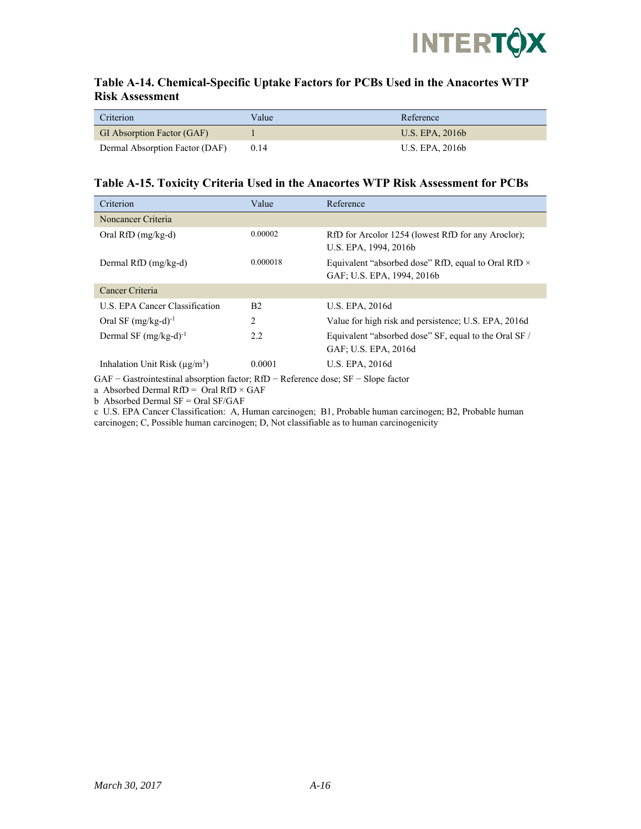

### **Table A-14. Chemical-Specific Uptake Factors for PCBs Used in the Anacortes WTP Risk Assessment**

| Criterion                      | Value | Reference       |
|--------------------------------|-------|-----------------|
| GI Absorption Factor (GAF)     |       | U.S. EPA. 2016b |
| Dermal Absorption Factor (DAF) | 0.14  | U.S. EPA. 2016b |

#### **Table A-15. Toxicity Criteria Used in the Anacortes WTP Risk Assessment for PCBs**

| Criterion                                | Value          | Reference                                                                                |
|------------------------------------------|----------------|------------------------------------------------------------------------------------------|
| Noncancer Criteria                       |                |                                                                                          |
| Oral RfD $(mg/kg-d)$                     | 0.00002        | RfD for Arcolor 1254 (lowest RfD for any Aroclor);<br>U.S. EPA, 1994, 2016b              |
| Dermal RfD (mg/kg-d)                     | 0.000018       | Equivalent "absorbed dose" RfD, equal to Oral RfD $\times$<br>GAF: U.S. EPA, 1994, 2016b |
| Cancer Criteria                          |                |                                                                                          |
| U.S. EPA Cancer Classification           | B <sub>2</sub> | <b>U.S. EPA, 2016d</b>                                                                   |
| Oral SF $(mg/kg-d)^{-1}$                 | 2              | Value for high risk and persistence; U.S. EPA, 2016d                                     |
| Dermal SF $(mg/kg-d)^{-1}$               | 2.2            | Equivalent "absorbed dose" SF, equal to the Oral SF /<br>GAF: U.S. EPA, 2016d            |
| Inhalation Unit Risk $(\mu \varrho/m^3)$ | 0.0001         | <b>U.S. EPA, 2016d</b>                                                                   |

GAF − Gastrointestinal absorption factor; RfD − Reference dose; SF − Slope factor

a Absorbed Dermal RfD = Oral RfD  $\times$  GAF

b Absorbed Dermal SF = Oral SF/GAF

c U.S. EPA Cancer Classification: A, Human carcinogen; B1, Probable human carcinogen; B2, Probable human carcinogen; C, Possible human carcinogen; D, Not classifiable as to human carcinogenicity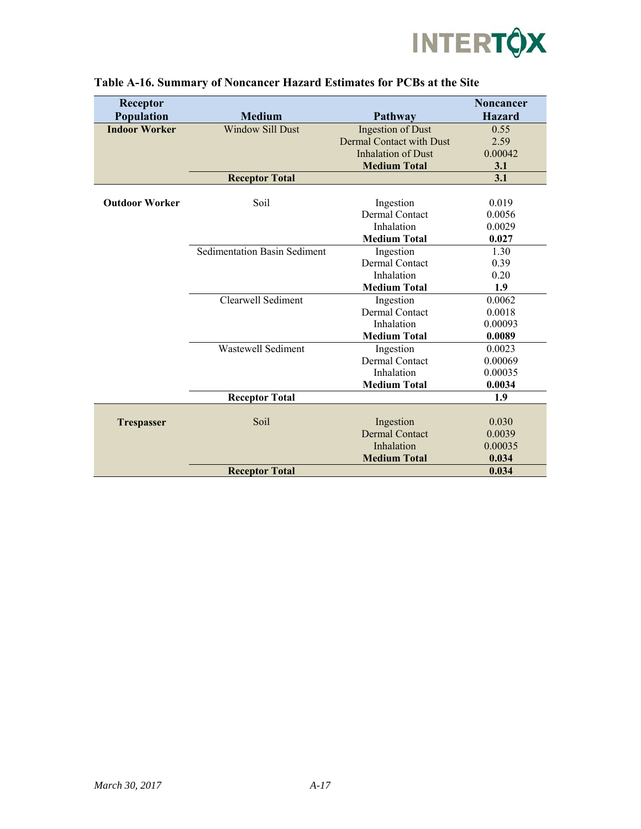

| Receptor<br>Population | <b>Medium</b>                       | Pathway                         | <b>Noncancer</b><br><b>Hazard</b> |
|------------------------|-------------------------------------|---------------------------------|-----------------------------------|
| <b>Indoor Worker</b>   | <b>Window Sill Dust</b>             | <b>Ingestion of Dust</b>        | 0.55                              |
|                        |                                     | <b>Dermal Contact with Dust</b> | 2.59                              |
|                        |                                     | <b>Inhalation of Dust</b>       | 0.00042                           |
|                        |                                     | <b>Medium Total</b>             | 3.1                               |
|                        | <b>Receptor Total</b>               |                                 | 3.1                               |
|                        |                                     |                                 |                                   |
| <b>Outdoor Worker</b>  | Soil                                | Ingestion                       | 0.019                             |
|                        |                                     | <b>Dermal Contact</b>           | 0.0056                            |
|                        |                                     | Inhalation                      | 0.0029                            |
|                        |                                     | <b>Medium Total</b>             | 0.027                             |
|                        | <b>Sedimentation Basin Sediment</b> | Ingestion                       | 1.30                              |
|                        |                                     | <b>Dermal Contact</b>           | 0.39                              |
|                        |                                     | Inhalation                      | 0.20                              |
|                        |                                     | <b>Medium Total</b>             | 1.9                               |
|                        | Clearwell Sediment                  | Ingestion                       | 0.0062                            |
|                        |                                     | <b>Dermal Contact</b>           | 0.0018                            |
|                        |                                     | Inhalation                      | 0.00093                           |
|                        |                                     | <b>Medium Total</b>             | 0.0089                            |
|                        | <b>Wastewell Sediment</b>           | Ingestion                       | 0.0023                            |
|                        |                                     | <b>Dermal Contact</b>           | 0.00069                           |
|                        |                                     | Inhalation                      | 0.00035                           |
|                        |                                     | <b>Medium Total</b>             | 0.0034                            |
|                        | <b>Receptor Total</b>               |                                 | 1.9                               |
|                        |                                     |                                 |                                   |
| <b>Trespasser</b>      | Soil                                | Ingestion                       | 0.030                             |
|                        |                                     | <b>Dermal Contact</b>           | 0.0039                            |
|                        |                                     | Inhalation                      | 0.00035                           |
|                        |                                     | <b>Medium Total</b>             | 0.034                             |
|                        | <b>Receptor Total</b>               |                                 | 0.034                             |

## **Table A-16. Summary of Noncancer Hazard Estimates for PCBs at the Site**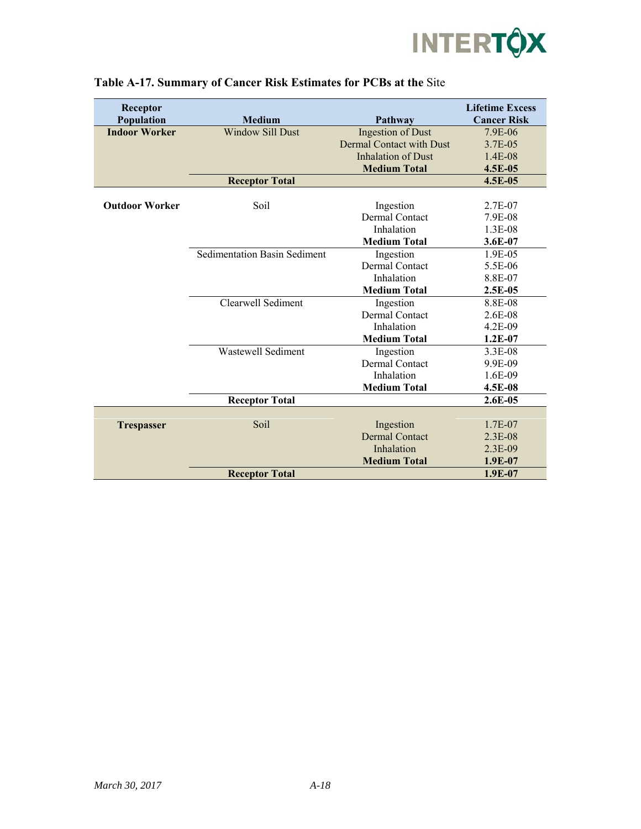

| Receptor              |                                     |                                 | <b>Lifetime Excess</b> |
|-----------------------|-------------------------------------|---------------------------------|------------------------|
| Population            | <b>Medium</b>                       | Pathway                         | <b>Cancer Risk</b>     |
| <b>Indoor Worker</b>  | <b>Window Sill Dust</b>             | <b>Ingestion of Dust</b>        | 7.9E-06                |
|                       |                                     | <b>Dermal Contact with Dust</b> | 3.7E-05                |
|                       |                                     | <b>Inhalation of Dust</b>       | $1.4E-08$              |
|                       |                                     | <b>Medium Total</b>             | 4.5E-05                |
|                       | <b>Receptor Total</b>               |                                 | $4.5E-05$              |
|                       |                                     |                                 |                        |
| <b>Outdoor Worker</b> | Soil                                | Ingestion                       | 2.7E-07                |
|                       |                                     | <b>Dermal Contact</b>           | 7.9E-08                |
|                       |                                     | Inhalation                      | 1.3E-08                |
|                       |                                     | <b>Medium Total</b>             | $3.6E-07$              |
|                       | <b>Sedimentation Basin Sediment</b> | Ingestion                       | 1.9E-05                |
|                       |                                     | <b>Dermal Contact</b>           | 5.5E-06                |
|                       |                                     | Inhalation                      | 8.8E-07                |
|                       |                                     | <b>Medium Total</b>             | $2.5E-0.5$             |
|                       | Clearwell Sediment                  | Ingestion                       | 8.8E-08                |
|                       |                                     | <b>Dermal Contact</b>           | 2.6E-08                |
|                       |                                     | Inhalation                      | $4.2E - 09$            |
|                       |                                     | <b>Medium Total</b>             | $1.2E-07$              |
|                       | <b>Wastewell Sediment</b>           | Ingestion                       | 3.3E-08                |
|                       |                                     | <b>Dermal Contact</b>           | 9.9E-09                |
|                       |                                     | Inhalation                      | 1.6E-09                |
|                       |                                     | <b>Medium Total</b>             | 4.5E-08                |
|                       | <b>Receptor Total</b>               |                                 | $2.6E-0.5$             |
|                       |                                     |                                 |                        |
| <b>Trespasser</b>     | Soil                                | Ingestion                       | 1.7E-07                |
|                       |                                     | <b>Dermal Contact</b>           | $2.3E-08$              |
|                       |                                     | Inhalation                      | $2.3E-09$              |
|                       |                                     | <b>Medium Total</b>             | 1.9E-07                |
|                       | <b>Receptor Total</b>               |                                 | $1.9E-07$              |

## **Table A-17. Summary of Cancer Risk Estimates for PCBs at the** Site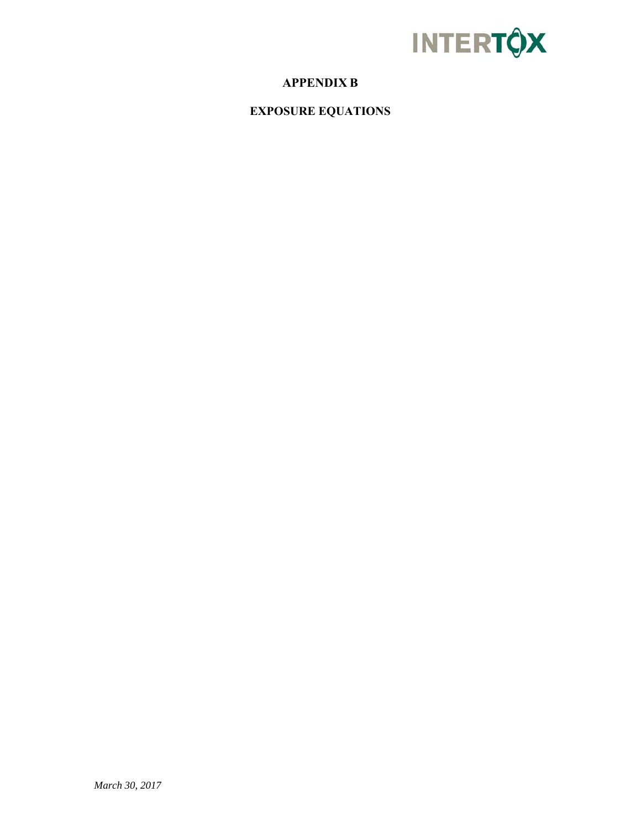

# **APPENDIX B**

**EXPOSURE EQUATIONS**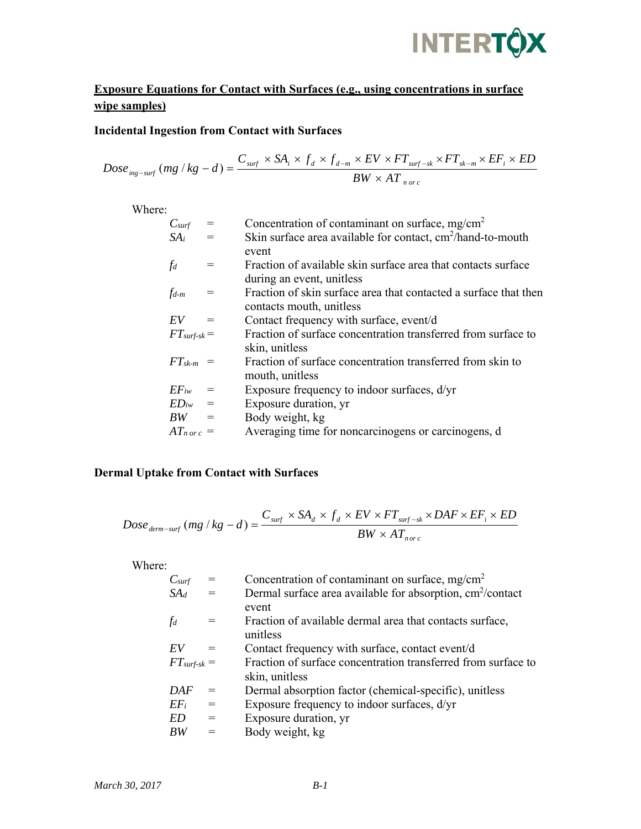# **INTERTOX**

# **Exposure Equations for Contact with Surfaces (e.g., using concentrations in surface wipe samples)**

## **Incidental Ingestion from Contact with Surfaces**

$$
Dose_{\text{ing-surf}}(\text{mg} \mid \text{kg} - d) = \frac{C_{\text{surf}} \times SA_i \times f_d \times f_{d-m} \times EV \times FT_{\text{surf-sk}} \times FT_{\text{sk-m}} \times EF_i \times ED}{BW \times AT_{\text{norc}}}
$$

Where:

| $C_{\text{surf}}$        | Concentration of contaminant on surface, mg/cm <sup>2</sup>      |
|--------------------------|------------------------------------------------------------------|
| $SA_i$                   | Skin surface area available for contact, $cm2/hand-to-month$     |
|                          | event                                                            |
| $\int d$                 | Fraction of available skin surface area that contacts surface    |
|                          | during an event, unitless                                        |
| $f_{d-m}$                | Fraction of skin surface area that contacted a surface that then |
|                          | contacts mouth, unitless                                         |
| EV                       | Contact frequency with surface, event/d                          |
| $FT_{surf-sk} =$         | Fraction of surface concentration transferred from surface to    |
|                          | skin, unitless                                                   |
| $FT_{sk-m}$ =            | Fraction of surface concentration transferred from skin to       |
|                          | mouth, unitless                                                  |
| $EF_{iw}$                | Exposure frequency to indoor surfaces, $d/yr$                    |
| $ED_{iw}$                | Exposure duration, yr                                            |
| $BW =$                   | Body weight, kg                                                  |
| $AT_{n \text{ or } c}$ = | Averaging time for noncarcinogens or carcinogens, d              |
|                          |                                                                  |

## **Dermal Uptake from Contact with Surfaces**

$$
Dose_{\text{derm-surf}}(mg / kg - d) = \frac{C_{\text{surf}} \times SA_d \times f_d \times EV \times FT_{\text{surf-sk}} \times DAF \times EF_i \times ED}{BW \times AT_{\text{norc}}}
$$

Where:

| $C_{\text{surf}}$ |     | Concentration of contaminant on surface, $mg/cm^2$                     |
|-------------------|-----|------------------------------------------------------------------------|
| $S\!A_d$          | $=$ | Dermal surface area available for absorption, cm <sup>2</sup> /contact |
|                   |     | event                                                                  |
| $\int d$          |     | Fraction of available dermal area that contacts surface,               |
|                   |     | unitless                                                               |
| EV                |     | Contact frequency with surface, contact event/d                        |
| $FT_{surf-sk} =$  |     | Fraction of surface concentration transferred from surface to          |
|                   |     | skin, unitless                                                         |
| DAF               |     | Dermal absorption factor (chemical-specific), unitless                 |
| $EF_i$            | $=$ | Exposure frequency to indoor surfaces, d/yr                            |
| ED                | $=$ | Exposure duration, yr                                                  |
| BW                |     | Body weight, kg                                                        |
|                   |     |                                                                        |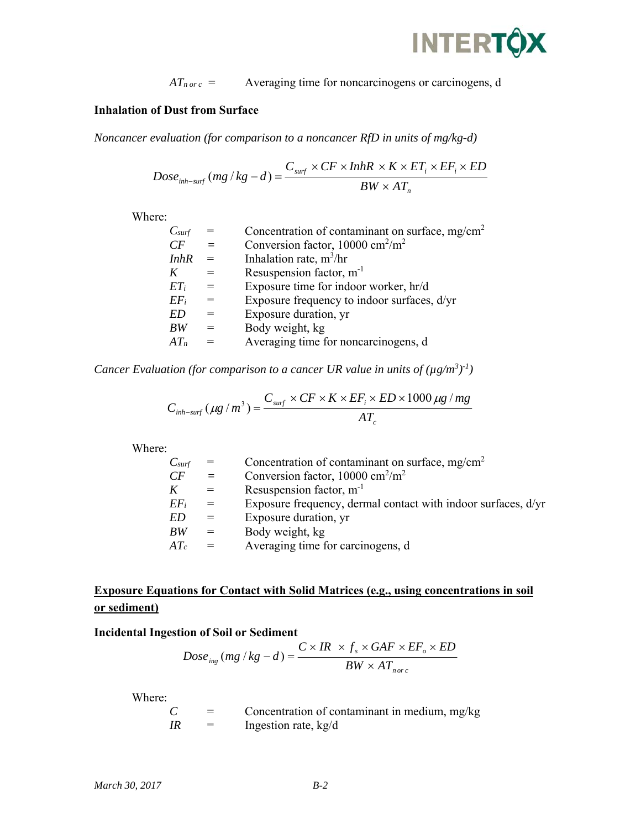

 $AT_{n \text{ or } c}$  = Averaging time for noncarcinogens or carcinogens, d

## **Inhalation of Dust from Surface**

*Noncancer evaluation (for comparison to a noncancer RfD in units of mg/kg-d)* 

$$
Dose_{inh-surf}(mg/kg - d) = \frac{C_{surf} \times CF \times InhR \times K \times ET_i \times EF_i \times ED}{BW \times AT_n}
$$

Where:

| $C_{\text{surf}}$ |     | Concentration of contaminant on surface, mg/cm <sup>2</sup> |
|-------------------|-----|-------------------------------------------------------------|
| CF                | $=$ | Conversion factor, $10000 \text{ cm}^2/\text{m}^2$          |
| <i>InhR</i>       |     | Inhalation rate, $m^3/hr$                                   |
| K                 | $=$ | Resuspension factor, $m^{-1}$                               |
| $ET_i$            |     | Exposure time for indoor worker, hr/d                       |
| $EF_i$            | $=$ | Exposure frequency to indoor surfaces, d/yr                 |
| ED                |     | Exposure duration, yr                                       |
| BW                |     | Body weight, kg                                             |
| $AT_n$            |     | Averaging time for noncarcinogens, d                        |
|                   |     |                                                             |

*Cancer Evaluation (for comparison to a cancer UR value in units of*  $(\mu g/m^3)^{-1}$ *)* 

$$
C_{inh-surf}(\mu g/m^3) = \frac{C_{surf} \times CF \times K \times EF_i \times ED \times 1000 \mu g/mg}{AT_c}
$$

Where:

| wnere: |                   |     |                                                               |
|--------|-------------------|-----|---------------------------------------------------------------|
|        | $C_{\text{surf}}$ |     | Concentration of contaminant on surface, $mg/cm^2$            |
|        | CF                |     | Conversion factor, $10000 \text{ cm}^2/\text{m}^2$            |
|        |                   | $=$ | Resuspension factor, $m^{-1}$                                 |
|        | $EF_i$            | $=$ | Exposure frequency, dermal contact with indoor surfaces, d/yr |
|        | ED                |     | Exposure duration, yr                                         |
|        | <b>BW</b>         |     | Body weight, kg                                               |
|        | $AT_c$            |     | Averaging time for carcinogens, d                             |
|        |                   |     |                                                               |

# **Exposure Equations for Contact with Solid Matrices (e.g., using concentrations in soil or sediment)**

## **Incidental Ingestion of Soil or Sediment**

$$
Dose_{ing} (mg/kg - d) = \frac{C \times IR \times f_s \times GAF \times EF_o \times ED}{BW \times AT_{n \circ rc}
$$

Where:

 $C =$  Concentration of contaminant in medium, mg/kg *IR* = Ingestion rate, kg/d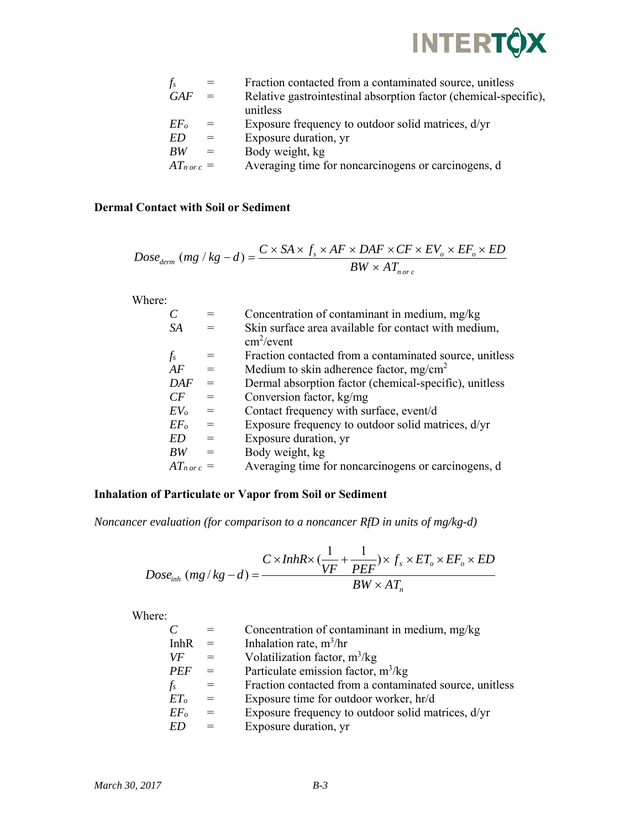

| $f_s$           |     | Fraction contacted from a contaminated source, unitless          |
|-----------------|-----|------------------------------------------------------------------|
| GAF             | $=$ | Relative gastrointestinal absorption factor (chemical-specific), |
|                 |     | unitless                                                         |
| EF <sub>o</sub> | $=$ | Exposure frequency to outdoor solid matrices, d/yr               |
| ED              | $=$ | Exposure duration, yr                                            |
| BW              | $=$ | Body weight, kg                                                  |
| $AT_{norc} =$   |     | Averaging time for noncarcinogens or carcinogens, d              |

## **Dermal Contact with Soil or Sediment**

$$
Dose_{\text{derm}} \ (mg / kg - d) = \frac{C \times SA \times f_s \times AF \times DAF \times CF \times EV_o \times EF_o \times ED}{BW \times AT_{\text{nor } c}}
$$

Where:

|                 |     | Concentration of contaminant in medium, mg/kg           |
|-----------------|-----|---------------------------------------------------------|
| SA              |     | Skin surface area available for contact with medium,    |
|                 |     | $cm^2$ /event                                           |
| $f_s$           |     | Fraction contacted from a contaminated source, unitless |
| AF              |     | Medium to skin adherence factor, mg/cm <sup>2</sup>     |
| <b>DAF</b>      |     | Dermal absorption factor (chemical-specific), unitless  |
| CF              |     | Conversion factor, kg/mg                                |
| $EV_o$          |     | Contact frequency with surface, event/d                 |
| EF <sub>o</sub> | $=$ | Exposure frequency to outdoor solid matrices, d/yr      |
| <i>ED</i>       |     | Exposure duration, yr                                   |
| BW              |     | Body weight, kg                                         |
| $AT_{norc} =$   |     | Averaging time for noncarcinogens or carcinogens, d     |
|                 |     |                                                         |

## **Inhalation of Particulate or Vapor from Soil or Sediment**

*Noncancer evaluation (for comparison to a noncancer RfD in units of mg/kg-d)* 

$$
Dose_{inh}(mg/kg - d) = \frac{C \times InhR \times (\frac{1}{VF} + \frac{1}{PEF}) \times f_s \times ET_o \times EF_o \times ED}{BW \times AT_n}
$$

Where:

|                 |     | Concentration of contaminant in medium, mg/kg           |
|-----------------|-----|---------------------------------------------------------|
| <b>InhR</b>     |     | Inhalation rate, $m^3/hr$                               |
| VF              | $=$ | Volatilization factor, $m^3/kg$                         |
| <b>PEF</b>      |     | Particulate emission factor, $m^3/kg$                   |
| $f_s$           | $=$ | Fraction contacted from a contaminated source, unitless |
| ET <sub>o</sub> | $=$ | Exposure time for outdoor worker, hr/d                  |
| $EF_{o}$        | $=$ | Exposure frequency to outdoor solid matrices, d/yr      |
| ED              |     | Exposure duration, yr                                   |
|                 |     |                                                         |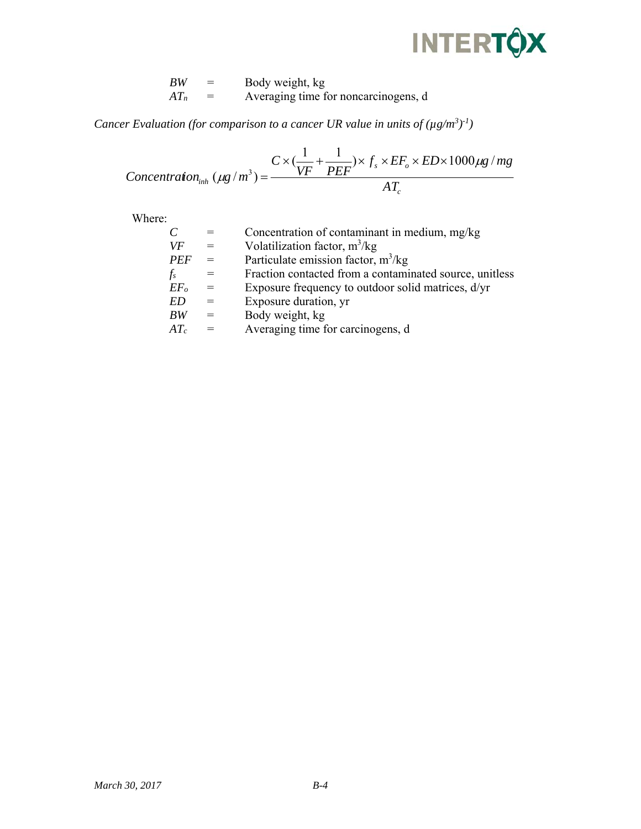# **INTERTÔX**

| ВW     | $=$ | Body weight, kg                      |
|--------|-----|--------------------------------------|
| $AT_n$ | $=$ | Averaging time for noncarcinogens, d |

*Cancer Evaluation (for comparison to a cancer UR value in units of*  $(\mu g/m^3)^{-1}$ *)* 

$$
Concentration_{inh} (\mu g/m^3) = \frac{C \times (\frac{1}{VF} + \frac{1}{PEF}) \times f_s \times EF_o \times ED \times 1000 \mu g/mg}{AT_c}
$$

Where:

|                 |     | Concentration of contaminant in medium, mg/kg           |
|-----------------|-----|---------------------------------------------------------|
| VF              | $=$ | Volatilization factor, $m^3/kg$                         |
| <b>PEF</b>      | $=$ | Particulate emission factor, $m^3/kg$                   |
| $f_s$           | $=$ | Fraction contacted from a contaminated source, unitless |
| EF <sub>o</sub> | $=$ | Exposure frequency to outdoor solid matrices, d/yr      |
| ED              |     | Exposure duration, yr                                   |
| BW              | $=$ | Body weight, kg                                         |
| $AT_c$          | $=$ | Averaging time for carcinogens, d                       |
|                 |     |                                                         |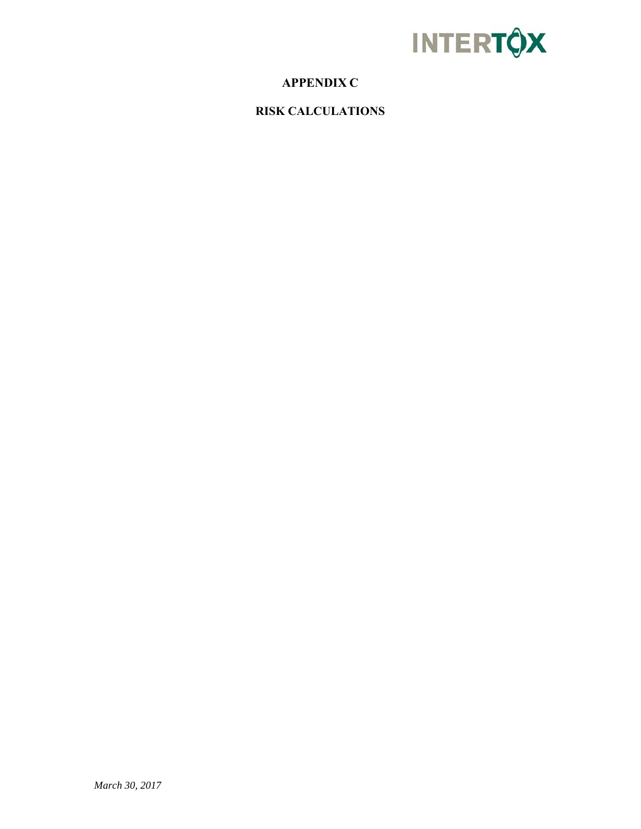

# **APPENDIX C**

**RISK CALCULATIONS**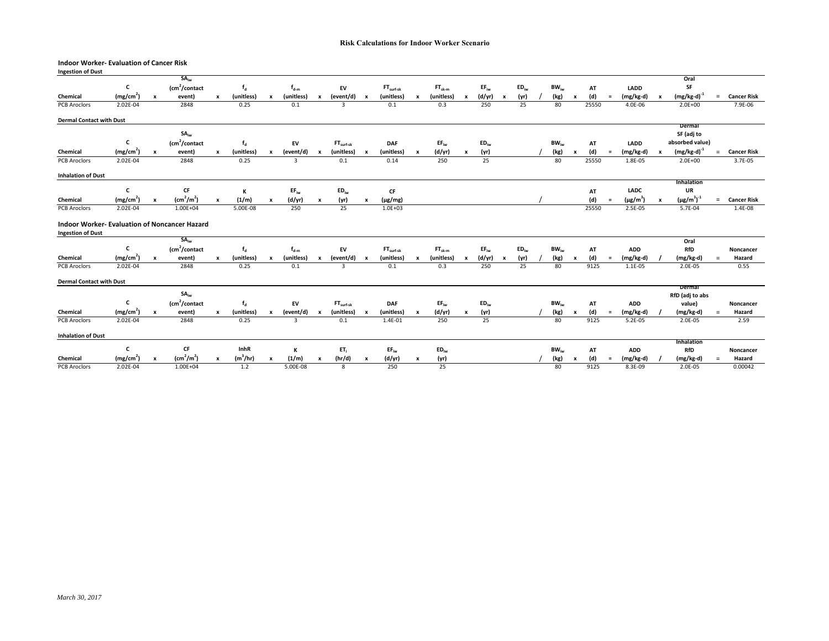#### **Indoor Worker‐ Evaluation of Cancer Risk**

| <b>Ingestion of Dust</b>                             |                                   |                           |                               |              |                   |                           |               |                           |                |                           |                             |                  |             |                           |           |   |           |                |                           |              |          |                          |                           |                               |          |                               |
|------------------------------------------------------|-----------------------------------|---------------------------|-------------------------------|--------------|-------------------|---------------------------|---------------|---------------------------|----------------|---------------------------|-----------------------------|------------------|-------------|---------------------------|-----------|---|-----------|----------------|---------------------------|--------------|----------|--------------------------|---------------------------|-------------------------------|----------|-------------------------------|
|                                                      |                                   |                           | $SA_{iw}$                     |              |                   |                           |               |                           |                |                           |                             |                  |             |                           |           |   |           |                |                           |              |          |                          |                           | Oral                          |          |                               |
|                                                      | c                                 |                           | $\text{cm}^2$ /contact        |              | $f_d$             |                           | $f_{d-m}$     |                           | EV             |                           | $FTsurf-sk$                 |                  | $FT_{sk-m}$ |                           | $EF_{iw}$ |   | $ED_{iw}$ | $BW_{iw}$      |                           | AT           |          | LADD                     |                           | SF                            |          |                               |
| Chemical                                             | (mg/cm <sup>2</sup> )             |                           | event)                        | $\mathbf{x}$ | (unitless)        |                           | (unitless)    | $\boldsymbol{x}$          | (event/d)      | $\boldsymbol{\mathsf{x}}$ | (unitless)                  | $\boldsymbol{x}$ | (unitless)  | $\mathbf{x}$              | (d/yr)    | x | (yr)      | (kg)           | $\boldsymbol{\mathsf{x}}$ | (d)          | $\equiv$ | (mg/kg-d)                |                           | $(mg/kg-d)^{-1}$              | $\equiv$ | <b>Cancer Risk</b>            |
| PCB Aroclors                                         | 2.02E-04                          |                           | 2848                          |              | 0.25              |                           | 0.1           |                           | $\overline{3}$ |                           | 0.1                         |                  | 0.3         |                           | 250       |   | 25        | 80             |                           | 25550        |          | 4.0E-06                  |                           | $2.0E + 00$                   |          | 7.9E-06                       |
| <b>Dermal Contact with Dust</b>                      |                                   |                           |                               |              |                   |                           |               |                           |                |                           |                             |                  |             |                           |           |   |           |                |                           |              |          |                          |                           |                               |          |                               |
|                                                      |                                   |                           |                               |              |                   |                           |               |                           |                |                           |                             |                  |             |                           |           |   |           |                |                           |              |          |                          |                           | Dermal                        |          |                               |
|                                                      |                                   |                           | $SA_{iw}$                     |              |                   |                           |               |                           |                |                           |                             |                  |             |                           |           |   |           |                |                           |              |          |                          |                           | SF (adj to                    |          |                               |
|                                                      | c                                 |                           | $\text{Lm}^2$ /contact        |              | $f_d$             |                           | EV            |                           | $FTsurf-sk$    |                           | <b>DAF</b>                  |                  | $EF_{iw}$   |                           | $ED_{iw}$ |   |           | $BW_{iw}$      |                           | AT           |          | LADD                     |                           | absorbed value)               |          |                               |
| Chemical                                             | (mg/cm <sup>2</sup> )             |                           | event)                        | $\mathbf{x}$ | (unitless)        |                           | (event/d)     | $\boldsymbol{x}$          | (unitless)     |                           | (unitless)                  |                  | (d/yr)      | $\boldsymbol{\mathsf{x}}$ | (yr)      |   |           | (kg)           | $\boldsymbol{\mathsf{x}}$ | (d)          | $\equiv$ | (mg/kg-d)                | $\mathbf{x}$              | $(mg/kg-d)^{-1}$              | $=$      | <b>Cancer Risk</b>            |
| PCB Aroclors                                         | 2.02E-04                          |                           | 2848                          |              | 0.25              |                           | 3             |                           | 0.1            |                           | 0.14                        |                  | 250         |                           | 25        |   |           | 80             |                           | 25550        |          | 1.8E-05                  |                           | $2.0E + 00$                   |          | 3.7E-05                       |
| <b>Inhalation of Dust</b>                            |                                   |                           |                               |              |                   |                           |               |                           |                |                           |                             |                  |             |                           |           |   |           |                |                           |              |          |                          |                           |                               |          |                               |
|                                                      | c                                 |                           | CF                            |              |                   |                           |               |                           |                |                           |                             |                  |             |                           |           |   |           |                |                           |              |          | <b>LADC</b>              |                           | Inhalation<br>UR              |          |                               |
|                                                      |                                   |                           | $\text{(cm}^2/\text{m}^2)$    |              | К                 |                           | $EF_{iw}$     |                           | $ED_{iw}$      |                           | CF                          |                  |             |                           |           |   |           |                |                           | AT           |          |                          |                           |                               |          |                               |
| Chemical<br>PCB Aroclors                             | (mg/cm <sup>2</sup> )<br>2.02E-04 | $\boldsymbol{\mathsf{x}}$ | $1.00E + 04$                  | $\mathbf{x}$ | (1/m)<br>5.00E-08 | $\boldsymbol{\mathsf{x}}$ | (d/yr)<br>250 | $\boldsymbol{\mathsf{x}}$ | (yr)<br>25     | $\boldsymbol{\mathsf{x}}$ | $(\mu g/mg)$<br>$1.0E + 03$ |                  |             |                           |           |   |           |                |                           | (d)<br>25550 | $=$      | $(\mu g/m^3)$<br>2.5E-05 | $\boldsymbol{\mathsf{x}}$ | $(\mu g/m^3)^{-1}$<br>5.7E-04 | $=$      | <b>Cancer Risk</b><br>1.4E-08 |
| <b>Indoor Worker- Evaluation of Noncancer Hazard</b> |                                   |                           |                               |              |                   |                           |               |                           |                |                           |                             |                  |             |                           |           |   |           |                |                           |              |          |                          |                           |                               |          |                               |
| <b>Ingestion of Dust</b>                             |                                   |                           |                               |              |                   |                           |               |                           |                |                           |                             |                  |             |                           |           |   |           |                |                           |              |          |                          |                           |                               |          |                               |
|                                                      |                                   |                           | $SA_{iw}$                     |              |                   |                           |               |                           |                |                           |                             |                  |             |                           |           |   |           |                |                           |              |          |                          |                           | Oral                          |          |                               |
|                                                      | c                                 |                           | $\text{Lcm}^2/\text{contact}$ |              | $f_d$             |                           | $f_{d-m}$     |                           | EV             |                           | $FT_{surf-sk}$              |                  | $FT_{sk-m}$ |                           | $EF_{iw}$ |   | $ED_{iw}$ | $BW_{iw}$      |                           | AT           |          | <b>ADD</b>               |                           | RfD                           |          | Noncancer                     |
| Chemical                                             | (mg/cm <sup>2</sup> )             | $\boldsymbol{\mathsf{x}}$ | event)                        | $\mathbf{x}$ | (unitless)        |                           | (unitless)    | $\boldsymbol{x}$          | (event/d)      |                           | (unitless)                  |                  | (unitless)  | $\boldsymbol{\mathsf{x}}$ | (d/yr)    | x | (yr)      | (kg)           | $\boldsymbol{\mathsf{x}}$ | (d)          | $=$      | $(mg/kg-d)$              |                           | $(mg/kg-d)$                   | $=$      | Hazard                        |
| PCB Aroclors                                         | 2.02E-04                          |                           | 2848                          |              | 0.25              |                           | 0.1           |                           | 3              |                           | 0.1                         |                  | 0.3         |                           | 250       |   | 25        | 80             |                           | 9125         |          | 1.1E-05                  |                           | 2.0E-05                       |          | 0.55                          |
| <b>Dermal Contact with Dust</b>                      |                                   |                           |                               |              |                   |                           |               |                           |                |                           |                             |                  |             |                           |           |   |           |                |                           |              |          |                          |                           |                               |          |                               |
|                                                      |                                   |                           | $SA_{iw}$                     |              |                   |                           |               |                           |                |                           |                             |                  |             |                           |           |   |           |                |                           |              |          |                          |                           | Dermal<br>RfD (adj to abs     |          |                               |
|                                                      | c                                 |                           | $\text{Lm}^2$ /contact        |              | $f_d$             |                           | EV            |                           | $FTsurf-sk$    |                           | <b>DAF</b>                  |                  | $EF_{iw}$   |                           | $ED_{iw}$ |   |           | $BW_{i\omega}$ |                           | AT           |          | <b>ADD</b>               |                           | value)                        |          | Noncancer                     |
| Chemical                                             | (mg/cm <sup>2</sup> )             |                           | event)                        | $\mathbf{x}$ | (unitless)        | $\mathbf{x}$              | (event/d)     | $\boldsymbol{x}$          | (unitless)     |                           | (unitless)                  | $\boldsymbol{x}$ | (d/yr)      | $\pmb{\mathsf{x}}$        | (yr)      |   |           | (kg)           |                           | (d)          | $\equiv$ | $(mg/kg-d)$              |                           | (mg/kg-d)                     | $=$      | Hazard                        |
| <b>PCB Aroclors</b>                                  | 2.02E-04                          |                           | 2848                          |              | 0.25              |                           | 3             |                           | 0.1            |                           | 1.4E-01                     |                  | 250         |                           | 25        |   |           | 80             |                           | 9125         |          | $5.2E-05$                |                           | 2.0E-05                       |          | 2.59                          |
| <b>Inhalation of Dust</b>                            |                                   |                           |                               |              |                   |                           |               |                           |                |                           |                             |                  |             |                           |           |   |           |                |                           |              |          |                          |                           |                               |          |                               |
|                                                      |                                   |                           |                               |              |                   |                           |               |                           |                |                           |                             |                  |             |                           |           |   |           |                |                           |              |          |                          |                           | <b>Inhalation</b>             |          |                               |
|                                                      | c                                 |                           | CF                            |              | InhR              |                           | к             |                           | $ET_i$         |                           | $EF_{iw}$                   |                  | $ED_{iw}$   |                           |           |   |           | $BW_{iw}$      |                           | AT           |          | <b>ADD</b>               |                           | RfD                           |          | Noncancer                     |
| Chemical                                             | (mg/cm <sup>2</sup> )             |                           | $\text{(cm}^2/\text{m}^2)$    | $\mathbf{x}$ | $(m^3/hr)$        |                           | (1/m)         | $\boldsymbol{x}$          | (hr/d)         | $\boldsymbol{\mathsf{x}}$ | (d/yr)                      |                  | (yr)        |                           |           |   |           | (kg)           | $\pmb{\times}$            | (d)          | $\equiv$ | (mg/kg-d)                |                           | (mg/kg-d)                     |          | Hazard                        |
| <b>PCB Aroclors</b>                                  | $2.02E - 04$                      |                           | $1.00E + 04$                  |              | 1.2               |                           | 5.00E-08      |                           | 8              |                           | 250                         |                  | 25          |                           |           |   |           | 80             |                           | 9125         |          | 8.3E-09                  |                           | $2.0E-05$                     |          | 0.00042                       |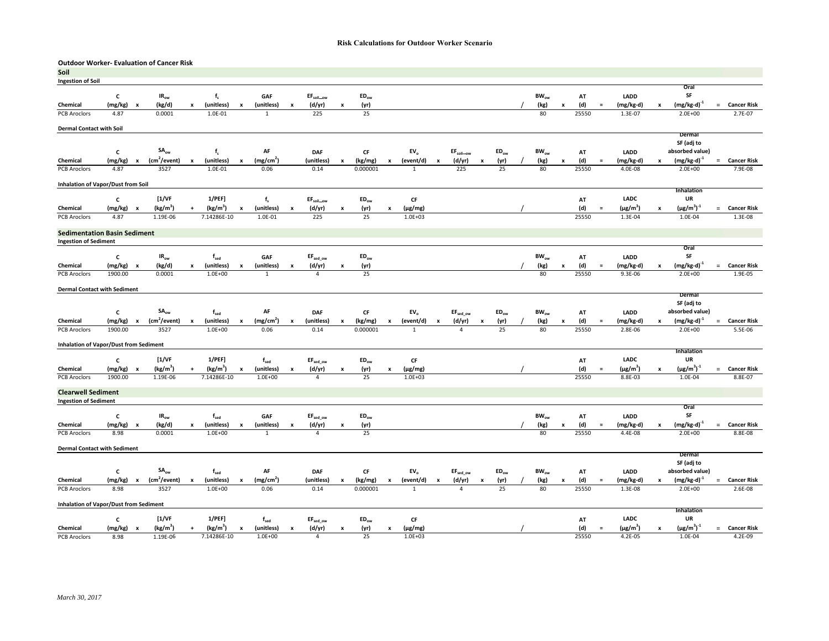#### **Outdoor Worker‐ Evaluation of Cancer Risk**

| Soil                                          |                 |                           |                           |                    |                                     |                           |                       |                           |                              |                           |               |                           |                             |                           |                       |   |           |                  |                    |              |          |                            |                           |                               |          |                               |
|-----------------------------------------------|-----------------|---------------------------|---------------------------|--------------------|-------------------------------------|---------------------------|-----------------------|---------------------------|------------------------------|---------------------------|---------------|---------------------------|-----------------------------|---------------------------|-----------------------|---|-----------|------------------|--------------------|--------------|----------|----------------------------|---------------------------|-------------------------------|----------|-------------------------------|
| <b>Ingestion of Soil</b>                      |                 |                           |                           |                    |                                     |                           |                       |                           |                              |                           |               |                           |                             |                           |                       |   |           |                  |                    |              |          |                            |                           |                               |          |                               |
|                                               |                 |                           |                           |                    |                                     |                           |                       |                           |                              |                           |               |                           |                             |                           |                       |   |           |                  |                    |              |          |                            |                           | Oral                          |          |                               |
|                                               | C               |                           | IR <sub>ow</sub>          |                    | $f_{s}$                             |                           | GAF                   |                           | EF <sub>soil_ow</sub>        |                           | $ED_{ow}$     |                           |                             |                           |                       |   |           | $BW_{ow}$        |                    | AT           |          | LADD                       |                           | SF                            |          |                               |
| Chemical                                      | (mg/kg)         | $\boldsymbol{\mathsf{x}}$ | (kg/d)                    | $\pmb{\mathsf{x}}$ | (unitless)                          | $\pmb{\mathsf{x}}$        | (unitless)            | $\pmb{\times}$            | (d/yr)                       | $\boldsymbol{\mathsf{x}}$ | (yr)          |                           |                             |                           |                       |   |           | (kg)             | $\pmb{\mathsf{x}}$ | (d)          | $\equiv$ | (mg/kg-d)                  |                           | $(mg/kg-d)^{-1}$              | $=$      | <b>Cancer Risk</b>            |
| <b>PCB Aroclors</b>                           | 4.87            |                           | 0.0001                    |                    | 1.0E-01                             |                           | $\mathbf{1}$          |                           | 225                          |                           | 25            |                           |                             |                           |                       |   |           | 80               |                    | 25550        |          | 1.3E-07                    |                           | $2.0E + 00$                   |          | $2.7E-07$                     |
| <b>Dermal Contact with Soil</b>               |                 |                           |                           |                    |                                     |                           |                       |                           |                              |                           |               |                           |                             |                           |                       |   |           |                  |                    |              |          |                            |                           |                               |          |                               |
|                                               |                 |                           |                           |                    |                                     |                           |                       |                           |                              |                           |               |                           |                             |                           |                       |   |           |                  |                    |              |          |                            |                           | Dermal                        |          |                               |
|                                               |                 |                           |                           |                    |                                     |                           |                       |                           |                              |                           |               |                           |                             |                           |                       |   |           |                  |                    |              |          |                            |                           | SF (adj to                    |          |                               |
|                                               | $\mathbf c$     |                           | $SA_{ow}$                 |                    | $f_s$                               |                           | AF                    |                           | <b>DAF</b>                   |                           | $\mathsf{CF}$ |                           | EV <sub>o</sub>             |                           | EF <sub>soil_ow</sub> |   | $ED_{ow}$ | $BW_{ow}$        |                    | AT           |          | LADD                       |                           | absorbed value)               |          |                               |
| Chemical                                      | (mg/kg)         | $\boldsymbol{\mathsf{x}}$ | (cm <sup>2</sup> /event)  | $\mathbf{x}$       | (unitless)                          | $\boldsymbol{\mathsf{x}}$ | (mg/cm <sup>2</sup> ) |                           | (unitless)                   |                           | (kg/mg)       | $\pmb{\mathsf{x}}$        | (event/d)                   | $\boldsymbol{\mathsf{x}}$ | (d/yr)                | x | (yr)      | (kg)             | $\pmb{\mathsf{x}}$ | (d)          | $\equiv$ | (mg/kg-d)                  | $\mathbf{x}$              | $(mg/kg-d)^{-1}$              | $=$      | <b>Cancer Risk</b>            |
| <b>PCB Aroclors</b>                           | 4.87            |                           | 3527                      |                    | 1.0E-01                             |                           | 0.06                  |                           | 0.14                         |                           | 0.000001      |                           | $\mathbf{1}$                |                           | 225                   |   | 25        | 80               |                    | 25550        |          | 4.0E-08                    |                           | $2.0E + 00$                   |          | 7.9E-08                       |
|                                               |                 |                           |                           |                    |                                     |                           |                       |                           |                              |                           |               |                           |                             |                           |                       |   |           |                  |                    |              |          |                            |                           |                               |          |                               |
| Inhalation of Vapor/Dust from Soil            |                 |                           |                           |                    |                                     |                           |                       |                           |                              |                           |               |                           |                             |                           |                       |   |           |                  |                    |              |          |                            |                           | Inhalation                    |          |                               |
|                                               | $\mathbf c$     |                           | [1/VF]                    |                    | 1/PEF                               |                           | $f_s$                 |                           | EF <sub>soil_ow</sub>        |                           | $ED_{ow}$     |                           |                             |                           |                       |   |           |                  |                    |              |          | <b>LADC</b>                |                           | UR                            |          |                               |
|                                               |                 |                           | $(kg/m^3)$                |                    |                                     |                           |                       |                           |                              |                           |               |                           | CF                          |                           |                       |   |           |                  |                    | AT           | $\equiv$ |                            |                           |                               |          |                               |
| Chemical<br><b>PCB Aroclors</b>               | (mg/kg)<br>4.87 | $\boldsymbol{\mathsf{x}}$ | 1.19E-06                  |                    | (kg/m <sup>3</sup> )<br>7.14286E-10 | x                         | (unitless)<br>1.0E-01 | x                         | (d/yr)<br>225                | X                         | (yr)<br>25    | x                         | $(\mu g/mg)$<br>$1.0E + 03$ |                           |                       |   |           |                  |                    | (d)<br>25550 |          | $(\mu g/m^3)$<br>$1.3E-04$ |                           | $(\mu g/m^3)^{-1}$<br>1.0E-04 | $=$      | <b>Cancer Risk</b><br>1.3E-08 |
|                                               |                 |                           |                           |                    |                                     |                           |                       |                           |                              |                           |               |                           |                             |                           |                       |   |           |                  |                    |              |          |                            |                           |                               |          |                               |
| <b>Sedimentation Basin Sediment</b>           |                 |                           |                           |                    |                                     |                           |                       |                           |                              |                           |               |                           |                             |                           |                       |   |           |                  |                    |              |          |                            |                           |                               |          |                               |
| <b>Ingestion of Sediment</b>                  |                 |                           |                           |                    |                                     |                           |                       |                           |                              |                           |               |                           |                             |                           |                       |   |           |                  |                    |              |          |                            |                           |                               |          |                               |
|                                               |                 |                           |                           |                    |                                     |                           |                       |                           |                              |                           |               |                           |                             |                           |                       |   |           |                  |                    |              |          |                            |                           | Oral                          |          |                               |
|                                               | $\mathsf{c}$    |                           | $IR_{ow}$                 |                    | $f_{\rm sed}$                       |                           | GAF                   |                           | $\text{EF}_\text{sed\_ow}$   |                           | $ED_{ow}$     |                           |                             |                           |                       |   |           | $BW_{ow}$        |                    | AT           |          | LADD                       |                           | SF                            |          |                               |
| Chemical                                      | (mg/kg)         | $\boldsymbol{\mathsf{x}}$ | (kg/d)                    | x                  | (unitless)                          | $\pmb{\mathsf{x}}$        | (unitless)            | x                         | (d/yr)                       | x                         | (yr)          |                           |                             |                           |                       |   |           | (kg)             | $\pmb{\mathsf{x}}$ | (d)          | $\equiv$ | (mg/kg-d)                  | x                         | (mg/kg-d)                     | $\equiv$ | <b>Cancer Risk</b>            |
| PCB Aroclors                                  | 1900.00         |                           | 0.0001                    |                    | $1.0E + 00$                         |                           | $\mathbf{1}$          |                           | $\overline{4}$               |                           | 25            |                           |                             |                           |                       |   |           | 80               |                    | 25550        |          | 9.3E-06                    |                           | $2.0E + 00$                   |          | 1.9E-05                       |
|                                               |                 |                           |                           |                    |                                     |                           |                       |                           |                              |                           |               |                           |                             |                           |                       |   |           |                  |                    |              |          |                            |                           |                               |          |                               |
| <b>Dermal Contact with Sediment</b>           |                 |                           |                           |                    |                                     |                           |                       |                           |                              |                           |               |                           |                             |                           |                       |   |           |                  |                    |              |          |                            |                           | Dermal                        |          |                               |
|                                               |                 |                           |                           |                    |                                     |                           |                       |                           |                              |                           |               |                           |                             |                           |                       |   |           |                  |                    |              |          |                            |                           | SF (adj to                    |          |                               |
|                                               | $\mathbf{c}$    |                           | $\mathsf{SA}_\mathsf{ow}$ |                    | $f_{\text{sed}}$                    |                           | AF                    |                           | <b>DAF</b>                   |                           | $\mathsf{CF}$ |                           | EV <sub>o</sub>             |                           | EF <sub>sed ow</sub>  |   | $ED_{ow}$ | $BW_{ow}$        |                    | AT           |          | LADD                       |                           | absorbed value)               |          |                               |
| Chemical                                      | (mg/kg)         | $\pmb{\mathsf{x}}$        | (cm <sup>2</sup> /event)  |                    | (unitless)                          | $\pmb{\mathsf{x}}$        | (mg/cm <sup>2</sup> ) | $\boldsymbol{\mathsf{x}}$ | (unitless)                   |                           | (kg/mg)       | $\pmb{\times}$            | (event/d)                   |                           | (d/yr)                | x | (yr)      | (kg)             | $\boldsymbol{x}$   | (d)          | $\equiv$ | (mg/kg-d)                  | $\boldsymbol{\mathsf{x}}$ | $(mg/kg-d)^{-1}$              | $=$      | <b>Cancer Risk</b>            |
| <b>PCB Aroclors</b>                           | 1900.00         |                           | 3527                      |                    | $1.0E + 00$                         |                           | 0.06                  |                           | 0.14                         |                           | 0.000001      |                           | $\mathbf{1}$                |                           | $\overline{a}$        |   | 25        | 80               |                    | 25550        |          | 2.8E-06                    |                           | $2.0E + 00$                   |          | $5.5E-06$                     |
|                                               |                 |                           |                           |                    |                                     |                           |                       |                           |                              |                           |               |                           |                             |                           |                       |   |           |                  |                    |              |          |                            |                           |                               |          |                               |
| <b>Inhalation of Vapor/Dust from Sediment</b> |                 |                           |                           |                    |                                     |                           |                       |                           |                              |                           |               |                           |                             |                           |                       |   |           |                  |                    |              |          |                            |                           |                               |          |                               |
|                                               |                 |                           |                           |                    |                                     |                           |                       |                           |                              |                           |               |                           |                             |                           |                       |   |           |                  |                    |              |          |                            |                           | Inhalation                    |          |                               |
|                                               | $\mathsf{c}\,$  |                           | $[1/\mathrm{VF}]$         |                    | 1/PEF]                              |                           | $f_{\rm sed}$         |                           | $\text{EF}_{\text{sed\_ow}}$ |                           | $ED_{ow}$     |                           | CF                          |                           |                       |   |           |                  |                    | AT           |          | <b>LADC</b>                |                           | UR                            |          |                               |
| Chemical                                      | (mg/kg)         | $\boldsymbol{\mathsf{x}}$ | (kg/m <sup>3</sup> )      | $\ddotmark$        | (kg/m <sup>3</sup> )                | $\pmb{\mathsf{x}}$        | (unitless)            | $\pmb{\times}$            | (d/yr)                       | $\boldsymbol{\mathsf{x}}$ | (yr)          | $\pmb{\times}$            | $(\mu g/mg)$                |                           |                       |   |           |                  |                    | (d)          | $\equiv$ | $(\mu g/m^3)$              | $\boldsymbol{\mathsf{x}}$ | $(\mu g/m^3)^{-1}$            | $=$      | <b>Cancer Risk</b>            |
| <b>PCB Aroclors</b>                           | 1900.00         |                           | 1.19E-06                  |                    | 7.14286E-10                         |                           | $1.0E + 00$           |                           | $\overline{4}$               |                           | 25            |                           | $1.0E + 03$                 |                           |                       |   |           |                  |                    | 25550        |          | 8.8E-03                    |                           | 1.0E-04                       |          | 8.8E-07                       |
| <b>Clearwell Sediment</b>                     |                 |                           |                           |                    |                                     |                           |                       |                           |                              |                           |               |                           |                             |                           |                       |   |           |                  |                    |              |          |                            |                           |                               |          |                               |
| <b>Ingestion of Sediment</b>                  |                 |                           |                           |                    |                                     |                           |                       |                           |                              |                           |               |                           |                             |                           |                       |   |           |                  |                    |              |          |                            |                           |                               |          |                               |
|                                               |                 |                           |                           |                    |                                     |                           |                       |                           |                              |                           |               |                           |                             |                           |                       |   |           |                  |                    |              |          |                            |                           | Oral                          |          |                               |
|                                               | $\mathsf{c}$    |                           | $IR_{ow}$                 |                    | $f_{\rm sed}$                       |                           | GAF                   |                           | $\text{EF}_{\text{sed\_ow}}$ |                           | $ED_{ow}$     |                           |                             |                           |                       |   |           | $BW_{\text{ow}}$ |                    | AT           |          | LADD                       |                           | SF                            |          |                               |
| Chemical                                      | (mg/kg)         | $\boldsymbol{\mathsf{x}}$ | (kg/d)                    | x                  | (unitless)                          | x                         | (unitless)            | $\boldsymbol{\mathsf{x}}$ | (d/yr)                       | $\boldsymbol{\mathsf{x}}$ | (yr)          |                           |                             |                           |                       |   |           | (kg)             | x                  | (d)          | $\equiv$ | (mg/kg-d)                  |                           | $(mg/kg-d)$                   | $=$      | <b>Cancer Risk</b>            |
| <b>PCB</b> Aroclors                           | 8.98            |                           | 0.0001                    |                    | $1.0E + 00$                         |                           | $\mathbf{1}$          |                           | $\overline{4}$               |                           | 25            |                           |                             |                           |                       |   |           | 80               |                    | 25550        |          | $4.4E - 08$                |                           | $2.0E + 00$                   |          | 8.8E-08                       |
|                                               |                 |                           |                           |                    |                                     |                           |                       |                           |                              |                           |               |                           |                             |                           |                       |   |           |                  |                    |              |          |                            |                           |                               |          |                               |
| <b>Dermal Contact with Sediment</b>           |                 |                           |                           |                    |                                     |                           |                       |                           |                              |                           |               |                           |                             |                           |                       |   |           |                  |                    |              |          |                            |                           | Dermal                        |          |                               |
|                                               |                 |                           |                           |                    |                                     |                           |                       |                           |                              |                           |               |                           |                             |                           |                       |   |           |                  |                    |              |          |                            |                           | SF (adj to                    |          |                               |
|                                               | c               |                           | $\mathsf{SA}_\mathsf{ow}$ |                    | $f_{\text{sed}}$                    |                           | AF                    |                           | <b>DAF</b>                   |                           | $\mathsf{CF}$ |                           | EV <sub>o</sub>             |                           | EF <sub>sed ow</sub>  |   | $ED_{ow}$ | $BW_{ow}$        |                    | AT           |          | LADD                       |                           | absorbed value)               |          |                               |
| Chemical                                      | (mg/kg)         | $\boldsymbol{\mathsf{x}}$ | (cm <sup>2</sup> /event)  | $\mathbf{x}$       | (unitless)                          | $\pmb{\mathsf{x}}$        | (mg/cm <sup>2</sup> ) |                           | (unitless)                   | $\boldsymbol{\mathsf{x}}$ | (kg/mg)       | $\boldsymbol{\mathsf{x}}$ | (event/d)                   | $\pmb{\times}$            | (d/yr)                | x | (yr)      | (kg)             | $\pmb{\times}$     | (d)          | $\equiv$ | (mg/kg-d)                  | $\boldsymbol{\mathsf{x}}$ | $(mg/kg-d)^{-1}$              | $\equiv$ | <b>Cancer Risk</b>            |
| <b>PCB Aroclors</b>                           | 8.98            |                           | 3527                      |                    | $1.0E + 00$                         |                           | 0.06                  |                           | 0.14                         |                           | 0.000001      |                           | $\mathbf{1}$                |                           | $\Delta$              |   | 25        | 80               |                    | 25550        |          | 1.3E-08                    |                           | $2.0E + 00$                   |          | 2.6E-08                       |
|                                               |                 |                           |                           |                    |                                     |                           |                       |                           |                              |                           |               |                           |                             |                           |                       |   |           |                  |                    |              |          |                            |                           |                               |          |                               |
| <b>Inhalation of Vapor/Dust from Sediment</b> |                 |                           |                           |                    |                                     |                           |                       |                           |                              |                           |               |                           |                             |                           |                       |   |           |                  |                    |              |          |                            |                           |                               |          |                               |
|                                               |                 |                           |                           |                    |                                     |                           |                       |                           |                              |                           |               |                           |                             |                           |                       |   |           |                  |                    |              |          |                            |                           | <b>Inhalation</b>             |          |                               |
|                                               | c               |                           | $[1/\mathrm{VF}]$         |                    | 1/PEF]                              |                           | $f_{\rm sed}$         |                           | $\text{EF}_{\text{sed\_ow}}$ |                           | $ED_{ow}$     |                           | CF                          |                           |                       |   |           |                  |                    | AT           |          | <b>LADC</b>                |                           | UR                            |          |                               |
| Chemical<br><b>PCB Aroclors</b>               | $(mg/kg)$ x     |                           | (kg/m <sup>3</sup> )      | $\ddot{}$          | (kg/m <sup>3</sup> )<br>7.14286E-10 | x                         | (unitless)            | x                         | (d/yr)                       | $\boldsymbol{\mathsf{x}}$ | (yr)          | x                         | $(\mu g/mg)$                |                           |                       |   |           |                  |                    | (d)          | $\equiv$ | $(\mu g/m^3)$              |                           | $(\mu g/m^3)^{-1}$            | $=$      | <b>Cancer Risk</b>            |
|                                               | 8.98            |                           | 1.19E-06                  |                    |                                     |                           | $1.0E + 00$           |                           | 4                            |                           | 25            |                           | $1.0E + 03$                 |                           |                       |   |           |                  |                    | 25550        |          | $4.2E - 05$                |                           | 1.0E-04                       |          | 4.2E-09                       |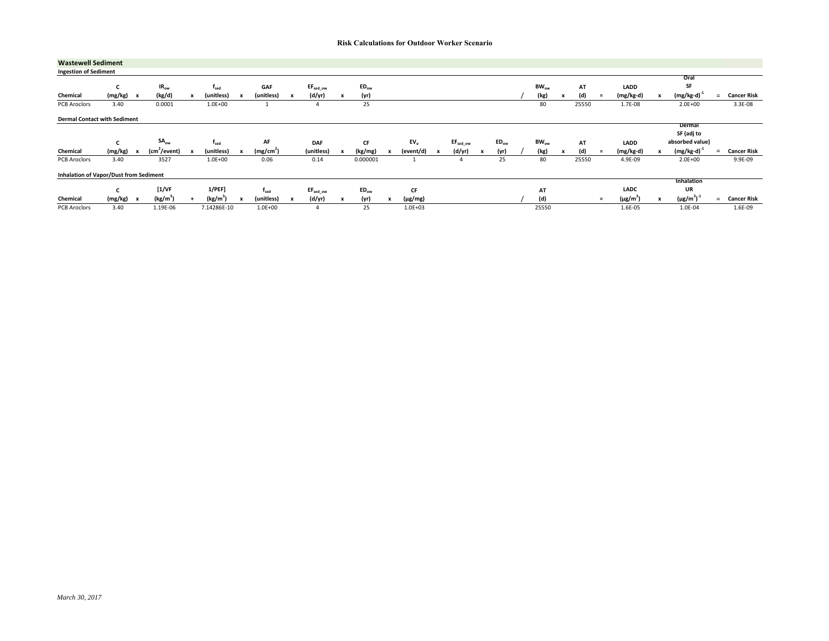| <b>Wastewell Sediment</b>                     |             |              |                          |              |                      |                           |                       |                      |                  |           |                  |                 |              |                      |   |           |           |                           |       |     |                           |                           |                    |     |                    |
|-----------------------------------------------|-------------|--------------|--------------------------|--------------|----------------------|---------------------------|-----------------------|----------------------|------------------|-----------|------------------|-----------------|--------------|----------------------|---|-----------|-----------|---------------------------|-------|-----|---------------------------|---------------------------|--------------------|-----|--------------------|
| <b>Ingestion of Sediment</b>                  |             |              |                          |              |                      |                           |                       |                      |                  |           |                  |                 |              |                      |   |           |           |                           |       |     |                           |                           |                    |     |                    |
|                                               |             |              |                          |              |                      |                           |                       |                      |                  |           |                  |                 |              |                      |   |           |           |                           |       |     |                           |                           | Oral               |     |                    |
|                                               | c           |              | IR <sub>ow</sub>         |              | $r_{\rm sed}$        |                           | GAF                   | $EF_{sed\_ow}$       |                  | $ED_{ow}$ |                  |                 |              |                      |   |           | $BW_{ow}$ |                           | AT    |     | LADD                      |                           | SF                 |     |                    |
| Chemical                                      | $(mg/kg)$ x |              | (kg/d)                   | $\mathbf{x}$ | (unitless)           | $\boldsymbol{\mathsf{x}}$ | (unitless)            | (d/yr)               | $\boldsymbol{x}$ | (yr)      |                  |                 |              |                      |   |           | (kg)      | $\boldsymbol{\mathsf{x}}$ | (d)   | $=$ | (mg/kg-d)                 |                           | $(mg/kg-d)$        | Ξ.  | <b>Cancer Risk</b> |
| PCB Aroclors                                  | 3.40        |              | 0.0001                   |              | $1.0E + 00$          |                           |                       |                      |                  | 25        |                  |                 |              |                      |   |           | 80        |                           | 25550 |     | 1.7E-08                   |                           | $2.0E + 00$        |     | 3.3E-08            |
| <b>Dermal Contact with Sediment</b>           |             |              |                          |              |                      |                           |                       |                      |                  |           |                  |                 |              |                      |   |           |           |                           |       |     |                           |                           |                    |     |                    |
|                                               |             |              |                          |              |                      |                           |                       |                      |                  |           |                  |                 |              |                      |   |           |           |                           |       |     |                           |                           | Dermal             |     |                    |
|                                               |             |              |                          |              |                      |                           |                       |                      |                  |           |                  |                 |              |                      |   |           |           |                           |       |     |                           |                           | SF (adj to         |     |                    |
|                                               | c           |              | $SA_{ow}$                |              | $t_{\rm sed}$        |                           | AF                    | <b>DAF</b>           |                  | CF        |                  | EV <sub>0</sub> |              | EF <sub>sed ow</sub> |   | $ED_{ow}$ | $BW_{ow}$ |                           | AT    |     | LADD                      |                           | absorbed value)    |     |                    |
| Chemical                                      | (mg/kg)     | $\mathbf{x}$ | (cm <sup>2</sup> /event) |              | (unitless)           | $\boldsymbol{\mathsf{x}}$ | (mg/cm <sup>2</sup> ) | (unitless)           |                  | (kg/mg)   |                  | (event/d)       | $\mathbf{x}$ | (d/yr)               | x | (yr)      | (kg)      | $\boldsymbol{\mathsf{x}}$ | (d)   | $=$ | $(mg/kg-d)$               | $\boldsymbol{\mathsf{x}}$ | $(mg/kg-d)$        | $=$ | <b>Cancer Risk</b> |
| <b>PCB Aroclors</b>                           | 3.40        |              | 3527                     |              | $1.0E + 00$          |                           | 0.06                  | 0.14                 |                  | 0.000001  |                  |                 |              |                      |   | 25        | 80        |                           | 25550 |     | 4.9E-09                   |                           | $2.0E + 00$        |     | 9.9E-09            |
| <b>Inhalation of Vapor/Dust from Sediment</b> |             |              |                          |              |                      |                           |                       |                      |                  |           |                  |                 |              |                      |   |           |           |                           |       |     |                           |                           |                    |     |                    |
|                                               |             |              |                          |              |                      |                           |                       |                      |                  |           |                  |                 |              |                      |   |           |           |                           |       |     |                           |                           | Inhalation         |     |                    |
|                                               | c           |              | $[1/\text{VF}]$          |              | $1$ /PEF]            |                           | $f_{\sf sed}$         | EF <sub>sed ow</sub> |                  | $ED_{ow}$ |                  | CF              |              |                      |   |           | AT        |                           |       |     | LADC                      |                           | UR                 |     |                    |
| Chemical                                      | (mg/kg)     | $\mathbf{x}$ | (kg/m <sup>3</sup> )     |              | (kg/m <sup>3</sup> ) | $\boldsymbol{\mathsf{x}}$ | (unitless)            | (d/yr)               |                  | (yr)      | $\boldsymbol{x}$ | $(\mu$ g/mg)    |              |                      |   |           | (d)       |                           |       | $=$ | $(\mu$ g/m <sup>3</sup> ) | $\boldsymbol{\mathsf{x}}$ | $(\mu g/m^3)^{-1}$ | $=$ | <b>Cancer Risk</b> |
| PCB Aroclors                                  | 3.40        |              | 1.19E-06                 |              | 7.14286E-10          |                           | $1.0E + 00$           |                      |                  | 25        |                  | $1.0E + 03$     |              |                      |   |           | 25550     |                           |       |     | 1.6E-05                   |                           | 1.0E-04            |     | 1.6E-09            |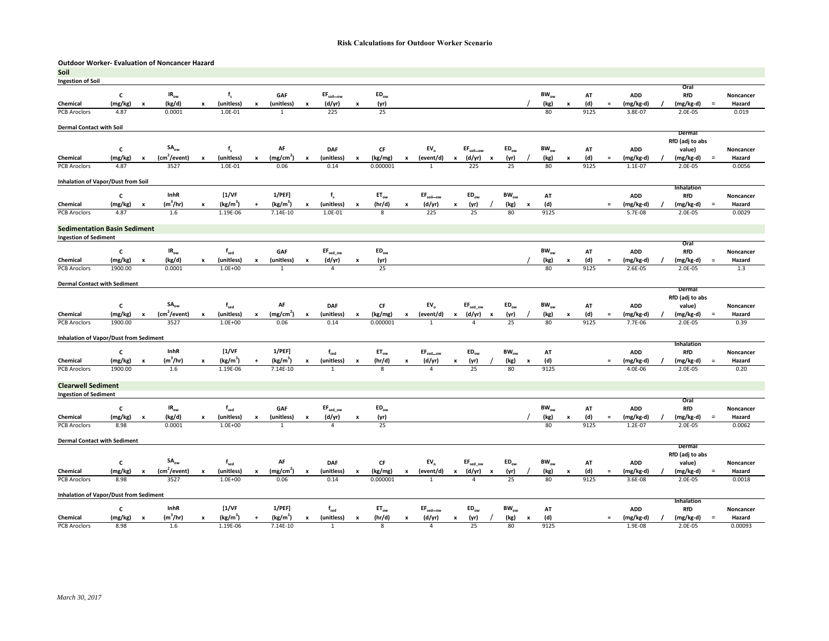#### **Outdoor Worker‐ Evaluation of Noncancer Hazard Soil**

| Soil                                          |                |                           |                           |                           |                           |                           |                       |                           |                              |                           |                           |                           |                                               |                           |                               |                           |           |                           |           |                           |      |          |            |                           |                 |           |
|-----------------------------------------------|----------------|---------------------------|---------------------------|---------------------------|---------------------------|---------------------------|-----------------------|---------------------------|------------------------------|---------------------------|---------------------------|---------------------------|-----------------------------------------------|---------------------------|-------------------------------|---------------------------|-----------|---------------------------|-----------|---------------------------|------|----------|------------|---------------------------|-----------------|-----------|
| <b>Ingestion of Soil</b>                      |                |                           |                           |                           |                           |                           |                       |                           |                              |                           |                           |                           |                                               |                           |                               |                           |           |                           |           |                           |      |          |            | Oral                      |                 |           |
|                                               | c              |                           | $IR_{ow}$                 |                           | $f_s$                     |                           | GAF                   |                           | EF <sub>soil_ow</sub>        |                           | $ED_{ow}$                 |                           |                                               |                           |                               |                           |           |                           | $BW_{ow}$ |                           | AT   |          | <b>ADD</b> | RfD                       |                 | Noncancer |
| Chemical                                      | (mg/kg)        | $\boldsymbol{\mathsf{x}}$ | (kg/d)                    | x                         | (unitless)                | $\pmb{\times}$            | (unitless)            | $\pmb{\mathsf{x}}$        | (d/yr)                       | $\boldsymbol{\mathsf{x}}$ | (yr)                      |                           |                                               |                           |                               |                           |           |                           | (kg)      | x                         | (d)  | $\equiv$ | (mg/kg-d)  | (mg/kg-d)                 | $\equiv$        | Hazard    |
| <b>PCB Aroclors</b>                           | 4.87           |                           | 0.0001                    |                           | 1.0E-01                   |                           | 1                     |                           | 225                          |                           | 25                        |                           |                                               |                           |                               |                           |           |                           | 80        |                           | 9125 |          | 3.8E-07    | 2.0E-05                   |                 | 0.019     |
|                                               |                |                           |                           |                           |                           |                           |                       |                           |                              |                           |                           |                           |                                               |                           |                               |                           |           |                           |           |                           |      |          |            |                           |                 |           |
| <b>Dermal Contact with Soil</b>               |                |                           |                           |                           |                           |                           |                       |                           |                              |                           |                           |                           |                                               |                           |                               |                           |           |                           |           |                           |      |          |            | Dermal                    |                 |           |
|                                               |                |                           |                           |                           |                           |                           |                       |                           |                              |                           |                           |                           |                                               |                           |                               |                           |           |                           |           |                           |      |          |            | RfD (adj to abs           |                 |           |
|                                               | $\mathsf{c}\,$ |                           | $SA_{ow}$                 |                           | $f_s$                     |                           | AF                    |                           | <b>DAF</b>                   |                           | $\mathsf{CF}$             |                           | EV <sub>o</sub>                               |                           | $EF_{\text{soil}\_\text{ow}}$ |                           | $ED_{ow}$ |                           | $BW_{ow}$ |                           | AT   |          | <b>ADD</b> | value)                    |                 | Noncancer |
| Chemical                                      | (mg/kg)        | $\pmb{\mathsf{x}}$        | (cm <sup>2</sup> /event)  | $\pmb{\mathsf{x}}$        | (unitless)                | $\pmb{\mathsf{x}}$        | (mg/cm <sup>2</sup> ) | $\mathbf{x}$              | (unitless)                   | $\pmb{\times}$            | (kg/mg)                   | x                         | (event/d)                                     | $\boldsymbol{\mathsf{x}}$ | (d/yr)                        | $\boldsymbol{\mathsf{x}}$ | (yr)      |                           | (kg)      | $\boldsymbol{x}$          | (d)  | $\equiv$ | (mg/kg-d)  | (mg/kg-d)                 | $=$             | Hazard    |
| <b>PCB Aroclors</b>                           | 4.87           |                           | 3527                      |                           | 1.0E-01                   |                           | 0.06                  |                           | 0.14                         |                           | 0.000001                  |                           | $\mathbf{1}$                                  |                           | 225                           |                           | 25        |                           | 80        |                           | 9125 |          | 1.1E-07    | 2.0E-05                   |                 | 0.0056    |
| <b>Inhalation of Vapor/Dust from Soil</b>     |                |                           |                           |                           |                           |                           |                       |                           |                              |                           |                           |                           |                                               |                           |                               |                           |           |                           |           |                           |      |          |            |                           |                 |           |
|                                               |                |                           |                           |                           |                           |                           |                       |                           |                              |                           |                           |                           |                                               |                           |                               |                           |           |                           |           |                           |      |          |            | Inhalation                |                 |           |
|                                               | $\mathsf{c}\,$ |                           | InhR                      |                           | [1/VF]                    |                           | $1/PEF$ ]             |                           | $\mathbf{f}_\mathsf{s}$      |                           | $\mathsf{ET}_\mathsf{ow}$ |                           | $\text{EF}_{\text{soil} \text{--} \text{ow}}$ |                           | $ED_{ow}$                     |                           | $BW_{ow}$ |                           | AT        |                           |      |          | <b>ADD</b> | RfD                       |                 | Noncancer |
| Chemical                                      | (mg/kg)        | $\pmb{\mathsf{x}}$        | $(m^3/hr)$                | $\pmb{\mathsf{x}}$        | $(kg/m^3)$                | $\ddot{}$                 | $(kg/m^3)$            | $\boldsymbol{\mathsf{x}}$ | (unitless)                   | $\pmb{\times}$            | (hr/d)                    | $\pmb{\mathsf{x}}$        | (d/yr)                                        | $\pmb{\mathsf{x}}$        | (yr)                          |                           | (kg)      | x                         | (d)       |                           |      | $=$      | (mg/kg-d)  | (mg/kg-d)                 | $\equiv$        | Hazard    |
| <b>PCB Aroclors</b>                           | 4.87           |                           | 1.6                       |                           | 1.19E-06                  |                           | $7.14E-10$            |                           | 1.0E-01                      |                           | 8                         |                           | 225                                           |                           | 25                            |                           | 80        |                           | 9125      |                           |      |          | 5.7E-08    | $2.0E - 05$               |                 | 0.0029    |
| <b>Sedimentation Basin Sediment</b>           |                |                           |                           |                           |                           |                           |                       |                           |                              |                           |                           |                           |                                               |                           |                               |                           |           |                           |           |                           |      |          |            |                           |                 |           |
| <b>Ingestion of Sediment</b>                  |                |                           |                           |                           |                           |                           |                       |                           |                              |                           |                           |                           |                                               |                           |                               |                           |           |                           |           |                           |      |          |            |                           |                 |           |
|                                               |                |                           |                           |                           |                           |                           |                       |                           |                              |                           |                           |                           |                                               |                           |                               |                           |           |                           |           |                           |      |          |            | Oral                      |                 |           |
|                                               | $\mathsf{c}\,$ |                           | IR <sub>ow</sub>          |                           | $f_{\rm sed}$             |                           | GAF                   |                           | $EF_{sed\_ow}$               |                           | $ED_{ow}$                 |                           |                                               |                           |                               |                           |           |                           | $BW_{ow}$ |                           | AT   |          | <b>ADD</b> | RfD                       |                 | Noncancer |
| Chemical                                      | (mg/kg)        | x                         | (kg/d)                    | x                         | (unitless)                | $\boldsymbol{\mathsf{x}}$ | (unitless)            |                           | (d/yr)                       | x                         | (yr)                      |                           |                                               |                           |                               |                           |           |                           | (kg)      | X                         | (d)  | $\equiv$ | (mg/kg-d)  | (mg/kg-d)                 | $\quad \  \, =$ | Hazard    |
| <b>PCB Aroclors</b>                           | 1900.00        |                           | 0.0001                    |                           | $1.0E + 00$               |                           | $\mathbf{1}$          |                           | $\overline{4}$               |                           | 25                        |                           |                                               |                           |                               |                           |           |                           | 80        |                           | 9125 |          | $2.6E-05$  | 2.0E-05                   |                 | 1.3       |
| <b>Dermal Contact with Sediment</b>           |                |                           |                           |                           |                           |                           |                       |                           |                              |                           |                           |                           |                                               |                           |                               |                           |           |                           |           |                           |      |          |            | Dermal                    |                 |           |
|                                               |                |                           |                           |                           |                           |                           |                       |                           |                              |                           |                           |                           |                                               |                           |                               |                           |           |                           |           |                           |      |          |            | RfD (adj to abs           |                 |           |
|                                               | C              |                           | SA <sub>ow</sub>          |                           | $f_{\rm sed}$             |                           | AF                    |                           | <b>DAF</b>                   |                           | CF                        |                           | EV <sub>o</sub>                               |                           | EF <sub>sed ow</sub>          |                           | $ED_{ow}$ |                           | $BW_{ow}$ |                           | AT   |          | <b>ADD</b> | value)                    |                 | Noncancer |
| Chemical                                      | (mg/kg)        | $\pmb{\mathsf{x}}$        | (cm <sup>2</sup> /event)  | $\pmb{\mathsf{x}}$        | (unitless)                | $\pmb{\mathsf{x}}$        | (mg/cm <sup>2</sup> ) | $\boldsymbol{x}$          | (unitless)                   | $\pmb{\mathsf{x}}$        | (kg/mg)                   | $\pmb{\mathsf{x}}$        | (event/d)                                     | $\pmb{\times}$            | (d/yr)                        | $\boldsymbol{\mathsf{x}}$ | (yr)      |                           | (kg)      | x                         | (d)  | $=$      | (mg/kg-d)  | (mg/kg-d)                 | $\equiv$        | Hazard    |
| <b>PCB Aroclors</b>                           | 1900.00        |                           | 3527                      |                           | $1.0E + 00$               |                           | 0.06                  |                           | 0.14                         |                           | 0.000001                  |                           | $\overline{1}$                                |                           | $\Delta$                      |                           | 25        |                           | 80        |                           | 9125 |          | 7.7E-06    | 2.0E-05                   |                 | 0.39      |
|                                               |                |                           |                           |                           |                           |                           |                       |                           |                              |                           |                           |                           |                                               |                           |                               |                           |           |                           |           |                           |      |          |            |                           |                 |           |
| <b>Inhalation of Vapor/Dust from Sediment</b> |                |                           |                           |                           |                           |                           |                       |                           |                              |                           |                           |                           |                                               |                           |                               |                           |           |                           |           |                           |      |          |            | Inhalation                |                 |           |
|                                               | $\mathsf{c}\,$ |                           | InhR                      |                           | [1/VF]                    |                           | $1/PEF$ ]             |                           | $f_{\rm sed}$                |                           | $ET_{ow}$                 |                           | $\text{EF}_{\text{sed}\_\text{OW}}$           |                           | $ED_{ow}$                     |                           | $BW_{ow}$ |                           | AT        |                           |      |          | <b>ADD</b> | RfD                       |                 | Noncancer |
| Chemical                                      | (mg/kg)        | $\pmb{\times}$            | $(m^3/hr)$                | $\boldsymbol{\mathsf{x}}$ | (kg/m <sup>3</sup> )      | $\ddot{+}$                | (kg/m <sup>3</sup> )  | $\pmb{\mathsf{x}}$        | (unitless)                   | $\boldsymbol{x}$          | (hr/d)                    | x                         | (d/yr)                                        | $\pmb{\mathsf{x}}$        | (yr)                          |                           | (kg)      | x                         | (d)       |                           |      | $\equiv$ | (mg/kg-d)  | (mg/kg-d)                 | $=$             | Hazard    |
| <b>PCB Aroclors</b>                           | 1900.00        |                           | 1.6                       |                           | 1.19E-06                  |                           | 7.14E-10              |                           | $\overline{1}$               |                           | 8                         |                           | $\Delta$                                      |                           | 25                            |                           | 80        |                           | 9125      |                           |      |          | 4.0E-06    | 2.0E-05                   |                 | 0.20      |
| <b>Clearwell Sediment</b>                     |                |                           |                           |                           |                           |                           |                       |                           |                              |                           |                           |                           |                                               |                           |                               |                           |           |                           |           |                           |      |          |            |                           |                 |           |
| <b>Ingestion of Sediment</b>                  |                |                           |                           |                           |                           |                           |                       |                           |                              |                           |                           |                           |                                               |                           |                               |                           |           |                           |           |                           |      |          |            |                           |                 |           |
|                                               |                |                           |                           |                           |                           |                           |                       |                           |                              |                           |                           |                           |                                               |                           |                               |                           |           |                           |           |                           |      |          |            | Oral                      |                 |           |
|                                               | c              |                           | $IR_{ow}$                 |                           | $f_{\rm sed}$             |                           | GAF                   |                           | $\text{EF}_{\text{sed\_ow}}$ |                           | $ED_{ow}$                 |                           |                                               |                           |                               |                           |           |                           | $BW_{ow}$ |                           | AT   |          | <b>ADD</b> | RfD                       |                 | Noncancer |
| Chemical                                      | (mg/kg)        | X                         | (kg/d)                    | $\boldsymbol{x}$          | (unitless)                | $\pmb{\times}$            | (unitless)            |                           | (d/yr)                       | x                         | (yr)                      |                           |                                               |                           |                               |                           |           |                           | (kg)      | $\boldsymbol{\mathsf{x}}$ | (d)  | $\equiv$ | (mg/kg-d)  | (mg/kg-d)                 | $\equiv$        | Hazard    |
| <b>PCB Aroclors</b>                           | 8.98           |                           | 0.0001                    |                           | $1.0E + 00$               |                           | 1                     |                           | $\overline{4}$               |                           | 25                        |                           |                                               |                           |                               |                           |           |                           | 80        |                           | 9125 |          | $1.2E-07$  | 2.0E-05                   |                 | 0.0062    |
| <b>Dermal Contact with Sediment</b>           |                |                           |                           |                           |                           |                           |                       |                           |                              |                           |                           |                           |                                               |                           |                               |                           |           |                           |           |                           |      |          |            |                           |                 |           |
|                                               |                |                           |                           |                           |                           |                           |                       |                           |                              |                           |                           |                           |                                               |                           |                               |                           |           |                           |           |                           |      |          |            | Dermal<br>RfD (adj to abs |                 |           |
|                                               | $\mathsf{c}\,$ |                           | $\mathsf{SA}_\mathsf{ow}$ |                           | $\mathsf{f}_\mathsf{sed}$ |                           | AF                    |                           | <b>DAF</b>                   |                           | СF                        |                           | EV <sub>o</sub>                               |                           | $\text{EF}_{\text{sed\_ow}}$  |                           | $ED_{ow}$ |                           | $BW_{ow}$ |                           | AT   |          | ADD        | value)                    |                 | Noncancer |
| Chemical                                      | (mg/kg)        | x                         | (cm <sup>2</sup> /event)  | $\pmb{\times}$            | (unitless)                | $\boldsymbol{\mathsf{x}}$ | (mg/cm <sup>2</sup> ) | $\mathbf{x}$              | (unitless)                   | $\boldsymbol{\mathsf{x}}$ | (kg/mg)                   | $\boldsymbol{\mathsf{x}}$ | (event/d)                                     | $\boldsymbol{\mathsf{x}}$ | (d/yr)                        | $\boldsymbol{\mathsf{x}}$ | (yr)      |                           | (kg)      | X                         | (d)  | $\equiv$ | (mg/kg-d)  | $(mg/kg-d)$               | $\equiv$        | Hazard    |
| <b>PCB Aroclors</b>                           | 8.98           |                           | 3527                      |                           | $1.0E + 00$               |                           | 0.06                  |                           | 0.14                         |                           | 0.000001                  |                           | $\mathbf{1}$                                  |                           | $\overline{a}$                |                           | 25        |                           | 80        |                           | 9125 |          | 3.6E-08    | 2.0E-05                   |                 | 0.0018    |
| <b>Inhalation of Vapor/Dust from Sediment</b> |                |                           |                           |                           |                           |                           |                       |                           |                              |                           |                           |                           |                                               |                           |                               |                           |           |                           |           |                           |      |          |            |                           |                 |           |
|                                               |                |                           |                           |                           |                           |                           |                       |                           |                              |                           |                           |                           |                                               |                           |                               |                           |           |                           |           |                           |      |          |            | Inhalation                |                 |           |
|                                               | c              |                           | InhR                      |                           | [1/VF]                    |                           | $1$ /PEF]             |                           | $f_{\rm sed}$                |                           | $ET_{ow}$                 |                           | EF <sub>sed_ow</sub>                          |                           | $ED_{ow}$                     |                           | $BW_{ow}$ |                           | AT        |                           |      |          | <b>ADD</b> | RfD                       |                 | Noncancer |
| Chemical                                      | (mg/kg)        | $\pmb{\times}$            | $(m^3/hr)$                | $\pmb{\mathsf{x}}$        | (kg/m <sup>3</sup> )      | $\ddot{+}$                | (kg/m <sup>3</sup> )  | x                         | (unitless)                   | $\pmb{\mathsf{x}}$        | (hr/d)                    | $\boldsymbol{\mathsf{x}}$ | (d/yr)                                        | $\pmb{\mathsf{x}}$        | (yr)                          |                           | (kg)      | $\boldsymbol{\mathsf{x}}$ | (d)       |                           |      | $\equiv$ | (mg/kg-d)  | (mg/kg-d)                 | $\equiv$        | Hazard    |
| <b>PCB</b> Aroclors                           | 8.98           |                           | 1.6                       |                           | 1.19E-06                  |                           | $7.14E-10$            |                           | $\mathbf{1}$                 |                           | 8                         |                           | $\overline{4}$                                |                           | 25                            |                           | 80        |                           | 9125      |                           |      |          | 1.9E-08    | 2.0E-05                   |                 | 0.00093   |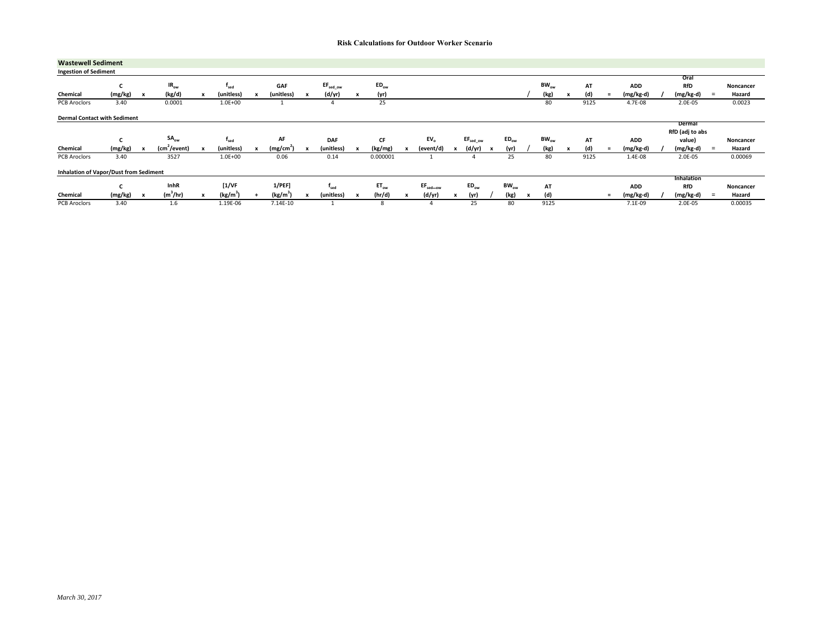| <b>Wastewell Sediment</b>                     |                                |                           |                          |                           |                      |              |                       |              |                      |              |           |                      |                     |  |           |   |           |      |          |            |                           |          |           |
|-----------------------------------------------|--------------------------------|---------------------------|--------------------------|---------------------------|----------------------|--------------|-----------------------|--------------|----------------------|--------------|-----------|----------------------|---------------------|--|-----------|---|-----------|------|----------|------------|---------------------------|----------|-----------|
| <b>Ingestion of Sediment</b>                  |                                |                           |                          |                           |                      |              |                       |              |                      |              |           |                      |                     |  |           |   |           |      |          |            |                           |          |           |
|                                               |                                |                           |                          |                           |                      |              |                       |              |                      |              |           |                      |                     |  |           |   |           |      |          |            | Oral                      |          |           |
|                                               |                                |                           | IR <sub>ow</sub>         |                           | $t_{\rm sed}$        |              | GAF                   |              | EF <sub>sed ow</sub> |              | $ED_{ow}$ |                      |                     |  |           |   | $BW_{ow}$ | АТ   |          | <b>ADD</b> | RfD                       |          | Noncancer |
| Chemical                                      | (mg/kg)                        | $\boldsymbol{\mathsf{x}}$ | (kg/d)                   | x                         | (unitless)           | x            | (unitless)            |              | (d/yr)               | x            | (yr)      |                      |                     |  |           |   | (kg)      | (d)  | $\equiv$ | (mg/kg-d)  | (mg/kg-d)                 | $=$      | Hazard    |
| PCB Aroclors                                  | 3.40                           |                           | 0.0001                   |                           | $1.0E + 00$          |              |                       |              |                      |              | 25        |                      |                     |  |           |   | 80        | 9125 |          | 4.7E-08    | 2.0E-05                   |          | 0.0023    |
| <b>Dermal Contact with Sediment</b>           |                                |                           |                          |                           |                      |              |                       |              |                      |              |           |                      |                     |  |           |   |           |      |          |            |                           |          |           |
|                                               |                                |                           |                          |                           |                      |              |                       |              |                      |              |           |                      |                     |  |           |   |           |      |          |            | Dermal<br>RfD (adj to abs |          |           |
|                                               | $\overline{\phantom{0}}$<br>c. |                           | $SA_{ow}$                |                           | $f_{\sf sed}$        |              | AF                    |              | <b>DAF</b>           |              | CF        | EV <sub>o</sub>      | $EF_{sed\_ow}$      |  | $ED_{ow}$ |   | $BW_{ow}$ | AT   |          | <b>ADD</b> | value)                    |          | Noncancer |
| Chemical                                      | (mg/kg)                        |                           | (cm <sup>2</sup> /event) | $\boldsymbol{\mathsf{x}}$ | (unitless)           | $\mathbf{x}$ | (mg/cm <sup>2</sup> ) | $\mathbf{x}$ | (unitless)           | $\mathbf{x}$ | (kg/mg)   | (event/d)            | (d/yr)              |  | (yr)      |   | (kg)      | (d)  | $=$      | (mg/kg-d)  | (mg/kg-d)                 | $=$      | Hazard    |
| PCB Aroclors                                  | 3.40                           |                           | 3527                     |                           | $1.0E + 00$          |              | 0.06                  |              | 0.14                 |              | 0.000001  |                      |                     |  | 25        |   | 80        | 9125 |          | 1.4E-08    | 2.0E-05                   |          | 0.00069   |
| <b>Inhalation of Vapor/Dust from Sediment</b> |                                |                           |                          |                           |                      |              |                       |              |                      |              |           |                      |                     |  |           |   |           |      |          |            |                           |          |           |
|                                               |                                |                           |                          |                           |                      |              |                       |              |                      |              |           |                      |                     |  |           |   |           |      |          |            |                           |          |           |
|                                               |                                |                           |                          |                           |                      |              |                       |              |                      |              |           |                      |                     |  |           |   |           |      |          |            | Inhalation                |          |           |
|                                               |                                |                           | <b>InhR</b>              |                           | [1/VF]               |              | 1/PEF                 |              | <sup>1</sup> sed     |              | $ET_{ow}$ | EF <sub>sed-ow</sub> | $ED_{\alpha\omega}$ |  | $BW_{ow}$ |   | AT        |      |          | <b>ADD</b> | <b>RfD</b>                |          | Noncancer |
| Chemical                                      | (mg/kg)                        |                           | $(m^3/hr)$               | $\mathbf{x}$              | (kg/m <sup>3</sup> ) |              | (kg/m <sup>3</sup> )  |              | (unitless)           |              | (hr/d)    | (d/yr)               | (yr)                |  | (kg)      | x | (d)       |      | $=$      | (mg/kg-d)  | (mg/kg-d)                 | $\equiv$ | Hazard    |